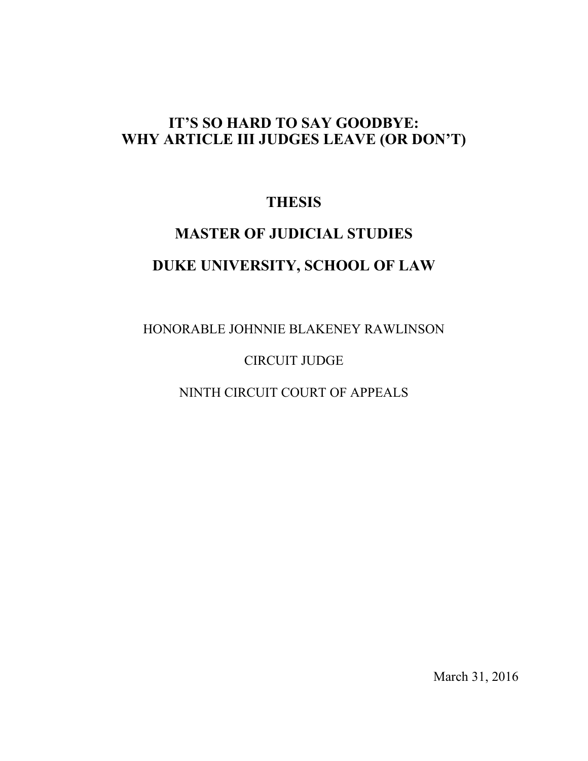# **IT'S SO HARD TO SAY GOODBYE: WHY ARTICLE III JUDGES LEAVE (OR DON'T)**

# **THESIS**

# **MASTER OF JUDICIAL STUDIES DUKE UNIVERSITY, SCHOOL OF LAW**

HONORABLE JOHNNIE BLAKENEY RAWLINSON

# CIRCUIT JUDGE

NINTH CIRCUIT COURT OF APPEALS

March 31, 2016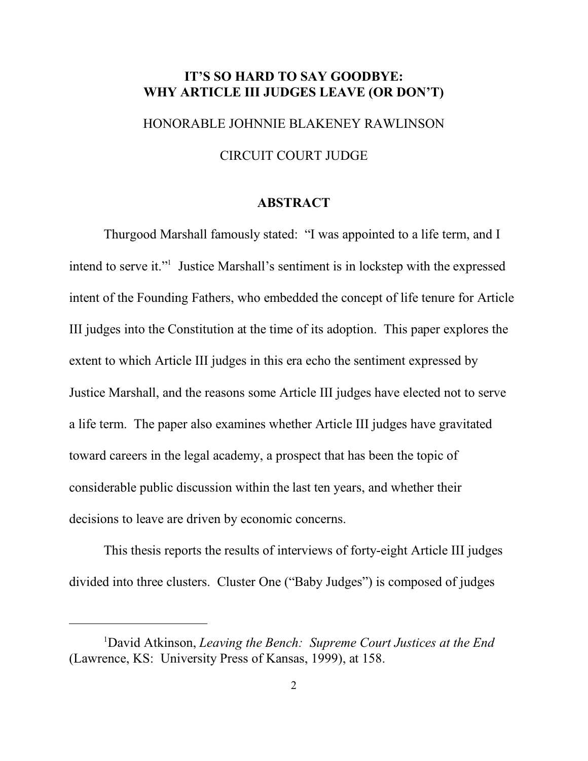## **IT'S SO HARD TO SAY GOODBYE: WHY ARTICLE III JUDGES LEAVE (OR DON'T)**

HONORABLE JOHNNIE BLAKENEY RAWLINSON

#### CIRCUIT COURT JUDGE

#### **ABSTRACT**

Thurgood Marshall famously stated: "I was appointed to a life term, and I intend to serve it."<sup>1</sup> Justice Marshall's sentiment is in lockstep with the expressed intent of the Founding Fathers, who embedded the concept of life tenure for Article III judges into the Constitution at the time of its adoption. This paper explores the extent to which Article III judges in this era echo the sentiment expressed by Justice Marshall, and the reasons some Article III judges have elected not to serve a life term. The paper also examines whether Article III judges have gravitated toward careers in the legal academy, a prospect that has been the topic of considerable public discussion within the last ten years, and whether their decisions to leave are driven by economic concerns.

This thesis reports the results of interviews of forty-eight Article III judges divided into three clusters. Cluster One ("Baby Judges") is composed of judges

<sup>1</sup>David Atkinson, *Leaving the Bench: Supreme Court Justices at the End* (Lawrence, KS: University Press of Kansas, 1999), at 158.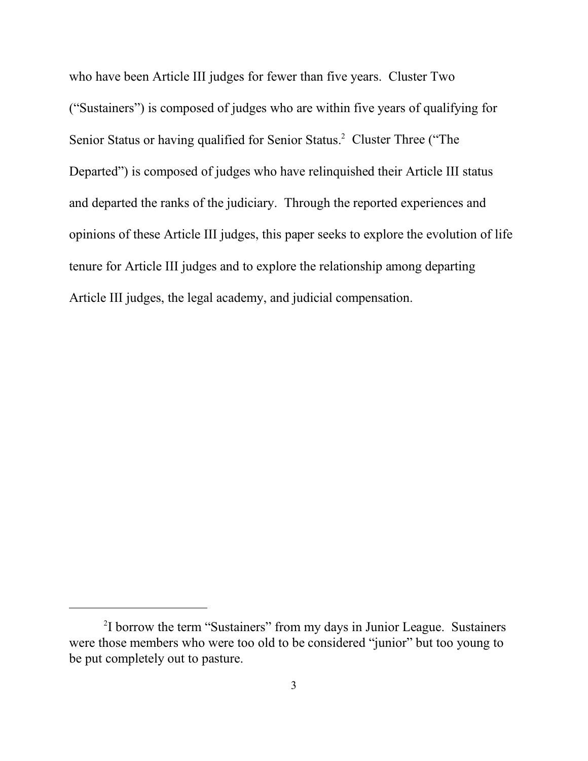who have been Article III judges for fewer than five years. Cluster Two ("Sustainers") is composed of judges who are within five years of qualifying for Senior Status or having qualified for Senior Status.<sup>2</sup> Cluster Three ("The Departed") is composed of judges who have relinquished their Article III status and departed the ranks of the judiciary. Through the reported experiences and opinions of these Article III judges, this paper seeks to explore the evolution of life tenure for Article III judges and to explore the relationship among departing Article III judges, the legal academy, and judicial compensation.

<sup>&</sup>lt;sup>2</sup>I borrow the term "Sustainers" from my days in Junior League. Sustainers were those members who were too old to be considered "junior" but too young to be put completely out to pasture.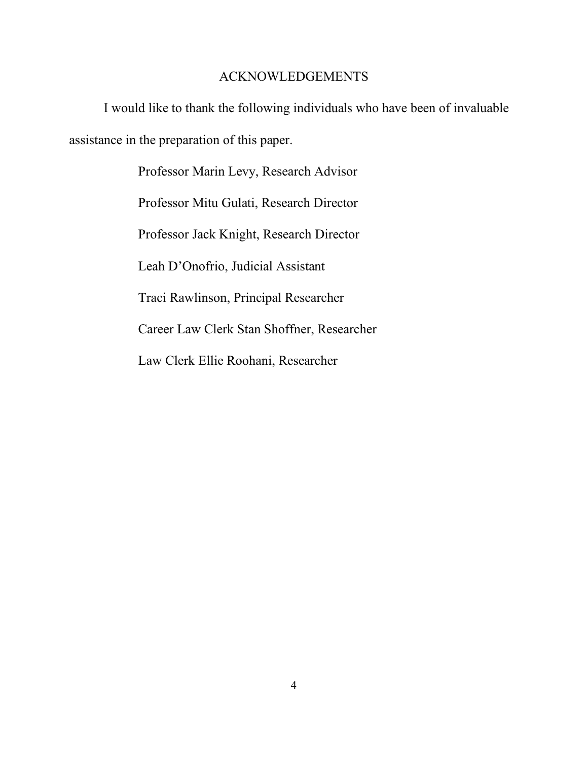## ACKNOWLEDGEMENTS

I would like to thank the following individuals who have been of invaluable assistance in the preparation of this paper.

> Professor Marin Levy, Research Advisor Professor Mitu Gulati, Research Director Professor Jack Knight, Research Director Leah D'Onofrio, Judicial Assistant Traci Rawlinson, Principal Researcher Career Law Clerk Stan Shoffner, Researcher Law Clerk Ellie Roohani, Researcher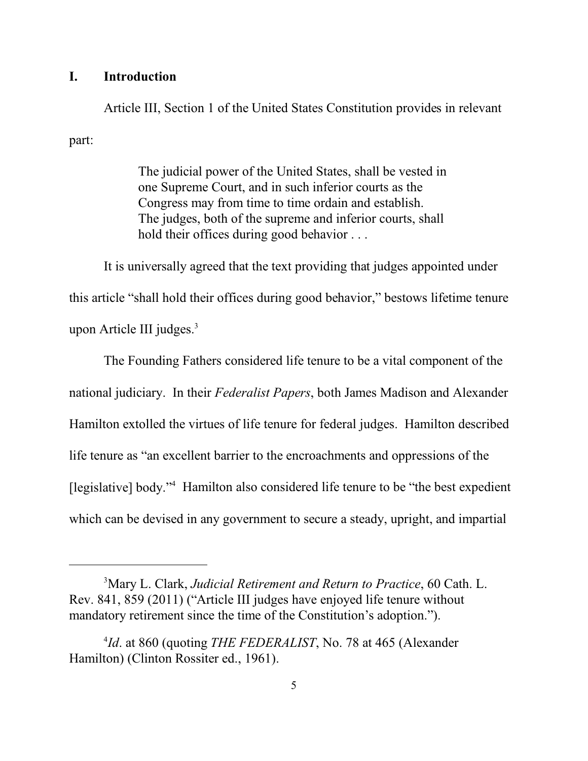#### **I. Introduction**

Article III, Section 1 of the United States Constitution provides in relevant part:

> The judicial power of the United States, shall be vested in one Supreme Court, and in such inferior courts as the Congress may from time to time ordain and establish. The judges, both of the supreme and inferior courts, shall hold their offices during good behavior . . .

It is universally agreed that the text providing that judges appointed under this article "shall hold their offices during good behavior," bestows lifetime tenure upon Article III judges. $3$ 

The Founding Fathers considered life tenure to be a vital component of the national judiciary. In their *Federalist Papers*, both James Madison and Alexander Hamilton extolled the virtues of life tenure for federal judges. Hamilton described life tenure as "an excellent barrier to the encroachments and oppressions of the [legislative] body."<sup>4</sup> Hamilton also considered life tenure to be "the best expedient which can be devised in any government to secure a steady, upright, and impartial

<sup>3</sup>Mary L. Clark, *Judicial Retirement and Return to Practice*, 60 Cath. L. Rev. 841, 859 (2011) ("Article III judges have enjoyed life tenure without mandatory retirement since the time of the Constitution's adoption.").

<sup>4</sup> *Id*. at 860 (quoting *THE FEDERALIST*, No. 78 at 465 (Alexander Hamilton) (Clinton Rossiter ed., 1961).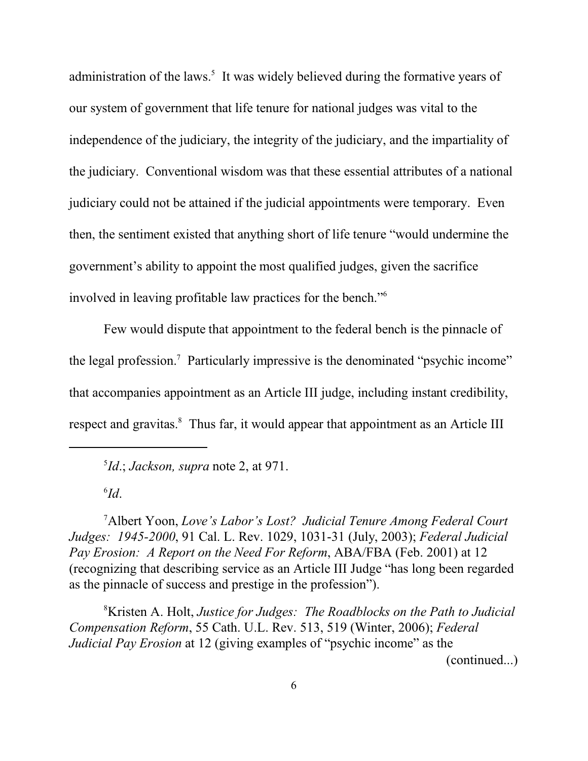administration of the laws.<sup>5</sup> It was widely believed during the formative years of our system of government that life tenure for national judges was vital to the independence of the judiciary, the integrity of the judiciary, and the impartiality of the judiciary. Conventional wisdom was that these essential attributes of a national judiciary could not be attained if the judicial appointments were temporary. Even then, the sentiment existed that anything short of life tenure "would undermine the government's ability to appoint the most qualified judges, given the sacrifice involved in leaving profitable law practices for the bench."<sup>6</sup>

Few would dispute that appointment to the federal bench is the pinnacle of the legal profession.<sup>7</sup> Particularly impressive is the denominated "psychic income" that accompanies appointment as an Article III judge, including instant credibility, respect and gravitas.<sup>8</sup> Thus far, it would appear that appointment as an Article III

5 *Id*.; *Jackson, supra* note 2, at 971.

6 *Id*.

<sup>7</sup>Albert Yoon, *Love's Labor's Lost? Judicial Tenure Among Federal Court Judges: 1945-2000*, 91 Cal. L. Rev. 1029, 1031-31 (July, 2003); *Federal Judicial Pay Erosion: A Report on the Need For Reform*, ABA/FBA (Feb. 2001) at 12 (recognizing that describing service as an Article III Judge "has long been regarded as the pinnacle of success and prestige in the profession").

<sup>8</sup>Kristen A. Holt, *Justice for Judges: The Roadblocks on the Path to Judicial Compensation Reform*, 55 Cath. U.L. Rev. 513, 519 (Winter, 2006); *Federal Judicial Pay Erosion* at 12 (giving examples of "psychic income" as the

(continued...)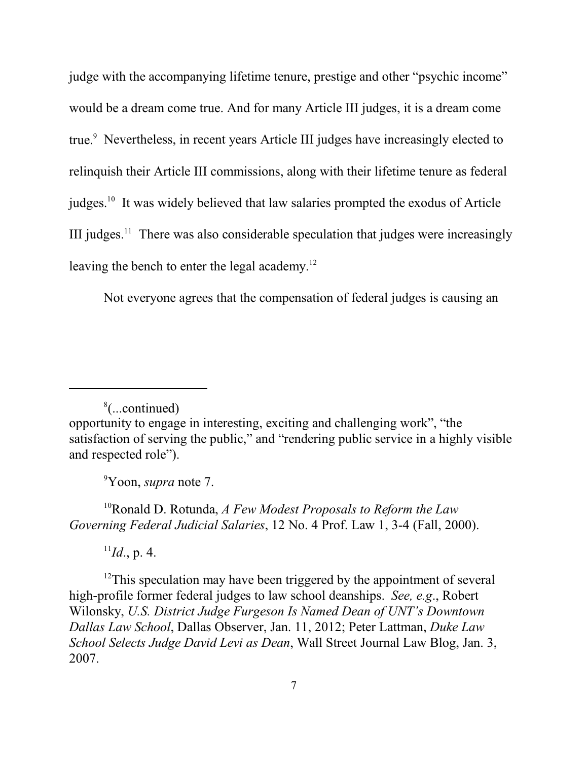judge with the accompanying lifetime tenure, prestige and other "psychic income" would be a dream come true. And for many Article III judges, it is a dream come true. 9 Nevertheless, in recent years Article III judges have increasingly elected to relinquish their Article III commissions, along with their lifetime tenure as federal judges.<sup>10</sup> It was widely believed that law salaries prompted the exodus of Article III judges.<sup>11</sup> There was also considerable speculation that judges were increasingly leaving the bench to enter the legal academy.<sup>12</sup>

Not everyone agrees that the compensation of federal judges is causing an

<sup>9</sup>Yoon, *supra* note 7.

<sup>10</sup>Ronald D. Rotunda, *A Few Modest Proposals to Reform the Law Governing Federal Judicial Salaries*, 12 No. 4 Prof. Law 1, 3-4 (Fall, 2000).

 $^{11}Id.$ , p. 4.

 $12$ This speculation may have been triggered by the appointment of several high-profile former federal judges to law school deanships. *See, e.g*., Robert Wilonsky, *U.S. District Judge Furgeson Is Named Dean of UNT's Downtown Dallas Law School*, Dallas Observer, Jan. 11, 2012; Peter Lattman, *Duke Law School Selects Judge David Levi as Dean*, Wall Street Journal Law Blog, Jan. 3, 2007.

<sup>8</sup> (...continued) opportunity to engage in interesting, exciting and challenging work", "the satisfaction of serving the public," and "rendering public service in a highly visible and respected role").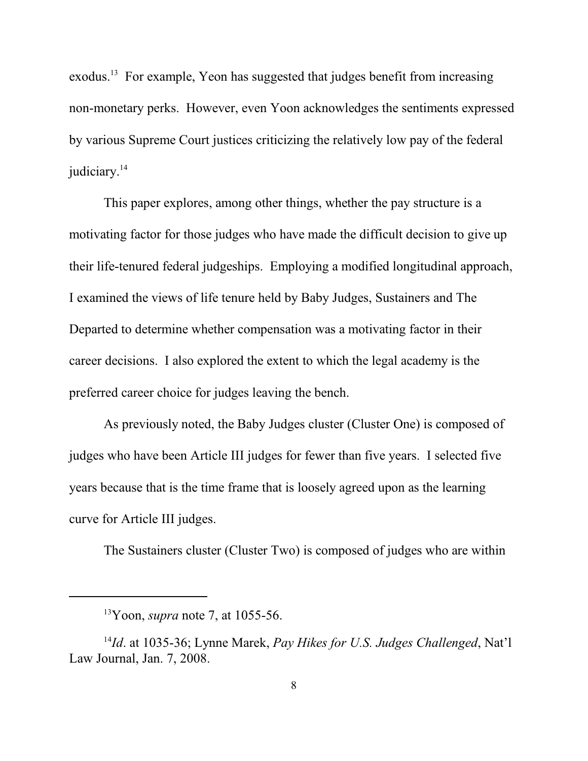exodus.<sup>13</sup> For example, Yeon has suggested that judges benefit from increasing non-monetary perks. However, even Yoon acknowledges the sentiments expressed by various Supreme Court justices criticizing the relatively low pay of the federal judiciary.<sup>14</sup>

This paper explores, among other things, whether the pay structure is a motivating factor for those judges who have made the difficult decision to give up their life-tenured federal judgeships. Employing a modified longitudinal approach, I examined the views of life tenure held by Baby Judges, Sustainers and The Departed to determine whether compensation was a motivating factor in their career decisions. I also explored the extent to which the legal academy is the preferred career choice for judges leaving the bench.

As previously noted, the Baby Judges cluster (Cluster One) is composed of judges who have been Article III judges for fewer than five years. I selected five years because that is the time frame that is loosely agreed upon as the learning curve for Article III judges.

The Sustainers cluster (Cluster Two) is composed of judges who are within

<sup>13</sup>Yoon, *supra* note 7, at 1055-56.

<sup>14</sup> *Id*. at 1035-36; Lynne Marek, *Pay Hikes for U.S. Judges Challenged*, Nat'l Law Journal, Jan. 7, 2008.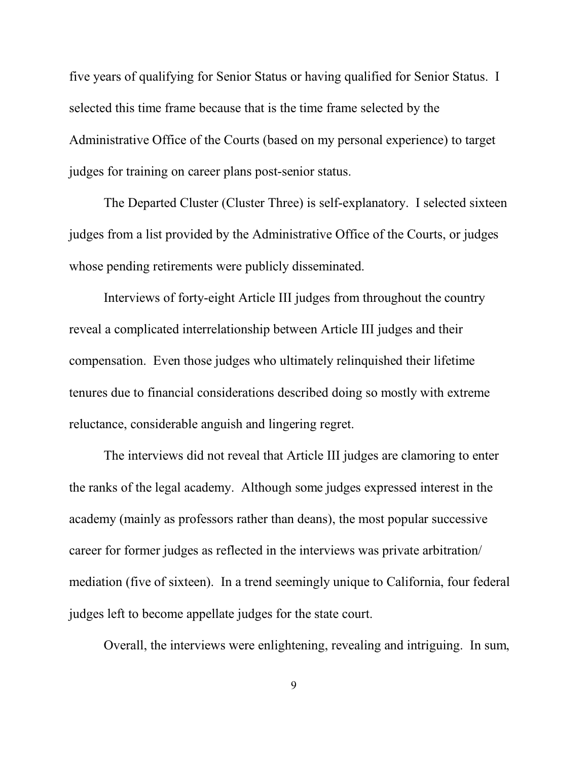five years of qualifying for Senior Status or having qualified for Senior Status. I selected this time frame because that is the time frame selected by the Administrative Office of the Courts (based on my personal experience) to target judges for training on career plans post-senior status.

The Departed Cluster (Cluster Three) is self-explanatory. I selected sixteen judges from a list provided by the Administrative Office of the Courts, or judges whose pending retirements were publicly disseminated.

Interviews of forty-eight Article III judges from throughout the country reveal a complicated interrelationship between Article III judges and their compensation. Even those judges who ultimately relinquished their lifetime tenures due to financial considerations described doing so mostly with extreme reluctance, considerable anguish and lingering regret.

The interviews did not reveal that Article III judges are clamoring to enter the ranks of the legal academy. Although some judges expressed interest in the academy (mainly as professors rather than deans), the most popular successive career for former judges as reflected in the interviews was private arbitration/ mediation (five of sixteen). In a trend seemingly unique to California, four federal judges left to become appellate judges for the state court.

Overall, the interviews were enlightening, revealing and intriguing. In sum,

9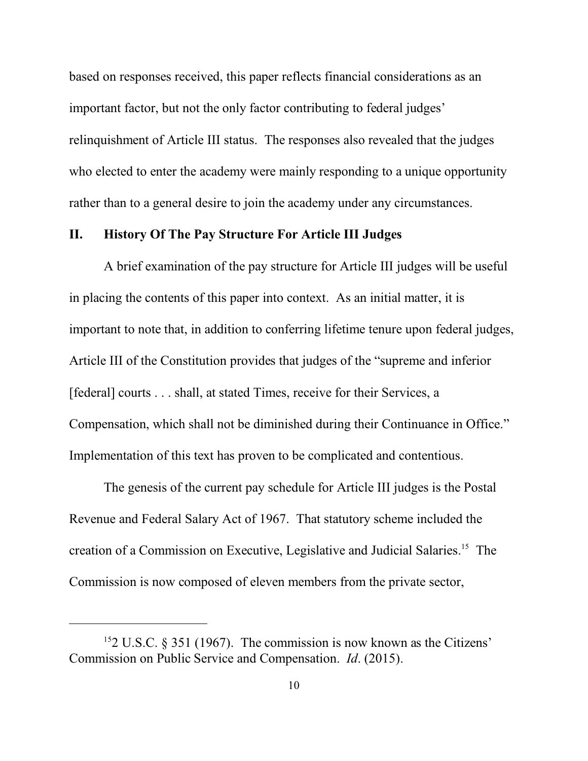based on responses received, this paper reflects financial considerations as an important factor, but not the only factor contributing to federal judges' relinquishment of Article III status. The responses also revealed that the judges who elected to enter the academy were mainly responding to a unique opportunity rather than to a general desire to join the academy under any circumstances.

#### **II. History Of The Pay Structure For Article III Judges**

A brief examination of the pay structure for Article III judges will be useful in placing the contents of this paper into context. As an initial matter, it is important to note that, in addition to conferring lifetime tenure upon federal judges, Article III of the Constitution provides that judges of the "supreme and inferior [federal] courts . . . shall, at stated Times, receive for their Services, a Compensation, which shall not be diminished during their Continuance in Office." Implementation of this text has proven to be complicated and contentious.

The genesis of the current pay schedule for Article III judges is the Postal Revenue and Federal Salary Act of 1967. That statutory scheme included the creation of a Commission on Executive, Legislative and Judicial Salaries.<sup>15</sup> The Commission is now composed of eleven members from the private sector,

 $152$  U.S.C. § 351 (1967). The commission is now known as the Citizens' Commission on Public Service and Compensation. *Id*. (2015).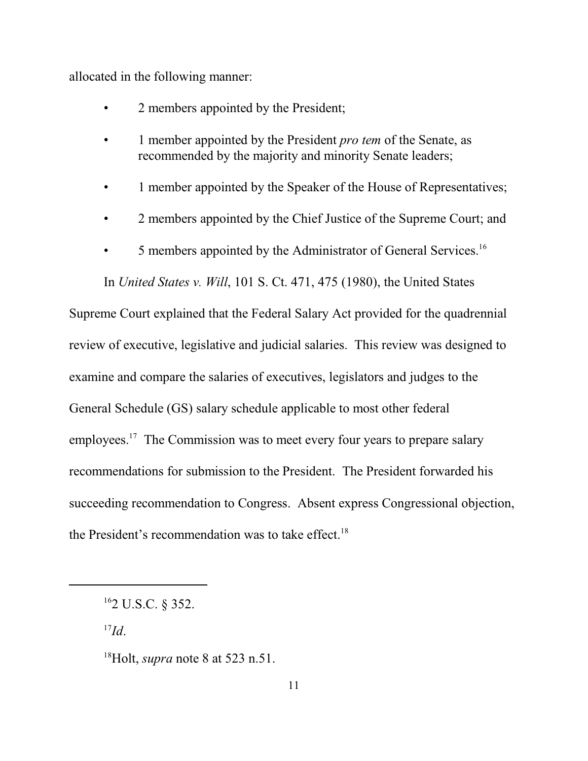allocated in the following manner:

- 2 members appointed by the President;
- 1 member appointed by the President *pro tem* of the Senate, as recommended by the majority and minority Senate leaders;
- 1 member appointed by the Speaker of the House of Representatives;
- 2 members appointed by the Chief Justice of the Supreme Court; and
- 5 members appointed by the Administrator of General Services.<sup>16</sup>

In *United States v. Will*, 101 S. Ct. 471, 475 (1980), the United States

Supreme Court explained that the Federal Salary Act provided for the quadrennial review of executive, legislative and judicial salaries. This review was designed to examine and compare the salaries of executives, legislators and judges to the General Schedule (GS) salary schedule applicable to most other federal employees.<sup>17</sup> The Commission was to meet every four years to prepare salary recommendations for submission to the President. The President forwarded his succeeding recommendation to Congress. Absent express Congressional objection, the President's recommendation was to take effect.<sup>18</sup>

17 *Id*.

<sup>16</sup> 2 U.S.C. § 352.

<sup>18</sup>Holt, *supra* note 8 at 523 n.51.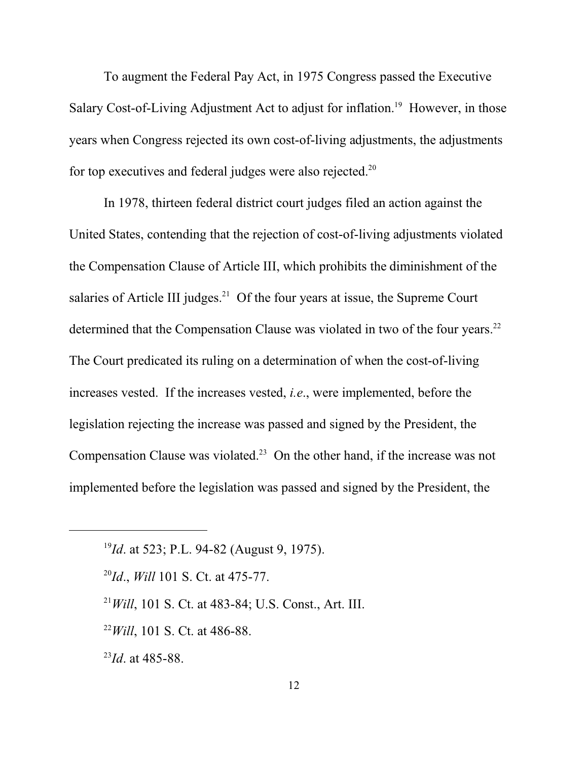To augment the Federal Pay Act, in 1975 Congress passed the Executive Salary Cost-of-Living Adjustment Act to adjust for inflation.<sup>19</sup> However, in those years when Congress rejected its own cost-of-living adjustments, the adjustments for top executives and federal judges were also rejected.<sup>20</sup>

In 1978, thirteen federal district court judges filed an action against the United States, contending that the rejection of cost-of-living adjustments violated the Compensation Clause of Article III, which prohibits the diminishment of the salaries of Article III judges.<sup>21</sup> Of the four years at issue, the Supreme Court determined that the Compensation Clause was violated in two of the four years.<sup>22</sup> The Court predicated its ruling on a determination of when the cost-of-living increases vested. If the increases vested, *i.e*., were implemented, before the legislation rejecting the increase was passed and signed by the President, the Compensation Clause was violated. $2<sup>3</sup>$  On the other hand, if the increase was not implemented before the legislation was passed and signed by the President, the

23 *Id*. at 485-88.

<sup>19</sup> *Id*. at 523; P.L. 94-82 (August 9, 1975).

<sup>20</sup> *Id*., *Will* 101 S. Ct. at 475-77.

<sup>21</sup>*Will*, 101 S. Ct. at 483-84; U.S. Const., Art. III.

<sup>22</sup>*Will*, 101 S. Ct. at 486-88.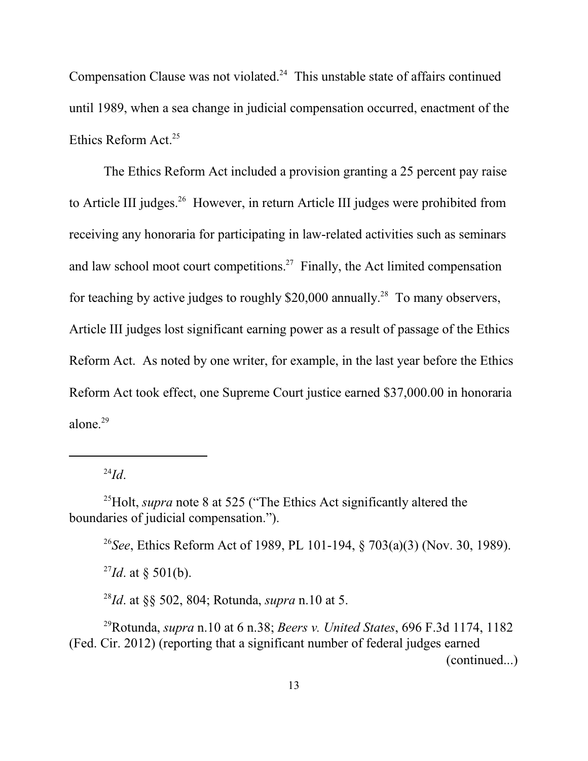Compensation Clause was not violated. $24$  This unstable state of affairs continued until 1989, when a sea change in judicial compensation occurred, enactment of the Ethics Reform Act.<sup>25</sup>

The Ethics Reform Act included a provision granting a 25 percent pay raise to Article III judges.<sup>26</sup> However, in return Article III judges were prohibited from receiving any honoraria for participating in law-related activities such as seminars and law school moot court competitions.<sup>27</sup> Finally, the Act limited compensation for teaching by active judges to roughly \$20,000 annually.<sup>28</sup> To many observers, Article III judges lost significant earning power as a result of passage of the Ethics Reform Act. As noted by one writer, for example, in the last year before the Ethics Reform Act took effect, one Supreme Court justice earned \$37,000.00 in honoraria alone. 29

24 *Id*.

<sup>25</sup>Holt, *supra* note 8 at 525 ("The Ethics Act significantly altered the boundaries of judicial compensation.").

26 *See*, Ethics Reform Act of 1989, PL 101-194, § 703(a)(3) (Nov. 30, 1989).  $^{27}Id.$  at § 501(b).

28 *Id*. at §§ 502, 804; Rotunda, *supra* n.10 at 5.

<sup>29</sup>Rotunda, *supra* n.10 at 6 n.38; *Beers v. United States*, 696 F.3d 1174, 1182 (Fed. Cir. 2012) (reporting that a significant number of federal judges earned (continued...)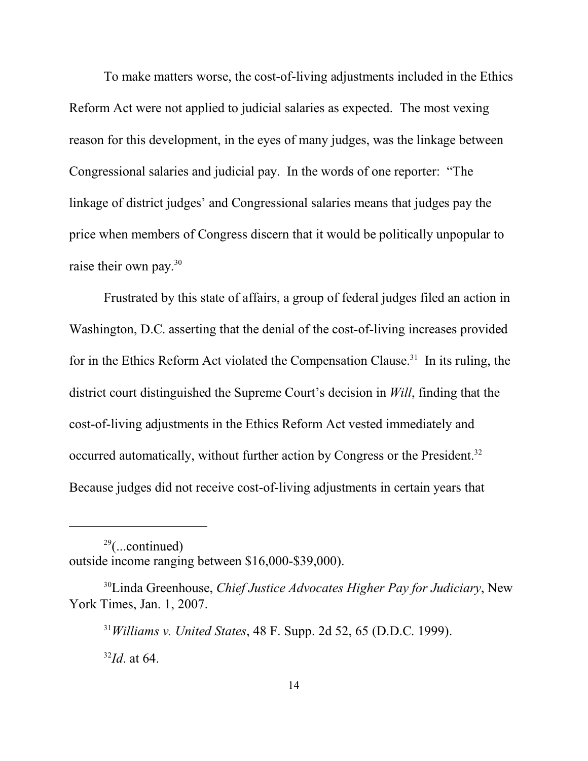To make matters worse, the cost-of-living adjustments included in the Ethics Reform Act were not applied to judicial salaries as expected. The most vexing reason for this development, in the eyes of many judges, was the linkage between Congressional salaries and judicial pay. In the words of one reporter: "The linkage of district judges' and Congressional salaries means that judges pay the price when members of Congress discern that it would be politically unpopular to raise their own pay.<sup>30</sup>

Frustrated by this state of affairs, a group of federal judges filed an action in Washington, D.C. asserting that the denial of the cost-of-living increases provided for in the Ethics Reform Act violated the Compensation Clause.<sup>31</sup> In its ruling, the district court distinguished the Supreme Court's decision in *Will*, finding that the cost-of-living adjustments in the Ethics Reform Act vested immediately and occurred automatically, without further action by Congress or the President.<sup>32</sup> Because judges did not receive cost-of-living adjustments in certain years that

 $29$ (...continued) outside income ranging between \$16,000-\$39,000).

<sup>30</sup>Linda Greenhouse, *Chief Justice Advocates Higher Pay for Judiciary*, New York Times, Jan. 1, 2007.

<sup>31</sup>*Williams v. United States*, 48 F. Supp. 2d 52, 65 (D.D.C. 1999). 32 *Id*. at 64.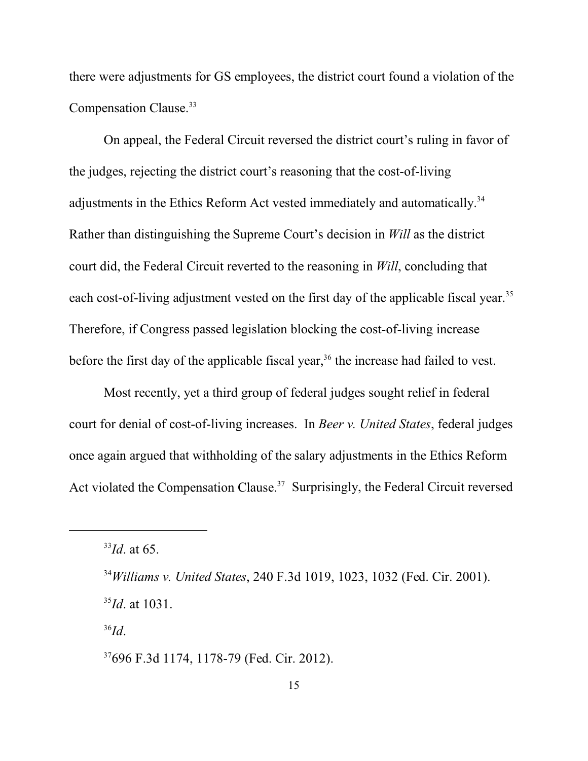there were adjustments for GS employees, the district court found a violation of the Compensation Clause. 33

On appeal, the Federal Circuit reversed the district court's ruling in favor of the judges, rejecting the district court's reasoning that the cost-of-living adjustments in the Ethics Reform Act vested immediately and automatically.<sup>34</sup> Rather than distinguishing the Supreme Court's decision in *Will* as the district court did, the Federal Circuit reverted to the reasoning in *Will*, concluding that each cost-of-living adjustment vested on the first day of the applicable fiscal year.<sup>35</sup> Therefore, if Congress passed legislation blocking the cost-of-living increase before the first day of the applicable fiscal year,<sup>36</sup> the increase had failed to vest.

Most recently, yet a third group of federal judges sought relief in federal court for denial of cost-of-living increases. In *Beer v. United States*, federal judges once again argued that withholding of the salary adjustments in the Ethics Reform Act violated the Compensation Clause.<sup>37</sup> Surprisingly, the Federal Circuit reversed

36 *Id*.

<sup>33</sup> *Id*. at 65.

<sup>34</sup>*Williams v. United States*, 240 F.3d 1019, 1023, 1032 (Fed. Cir. 2001). 35 *Id*. at 1031.

<sup>37</sup> 696 F.3d 1174, 1178-79 (Fed. Cir. 2012).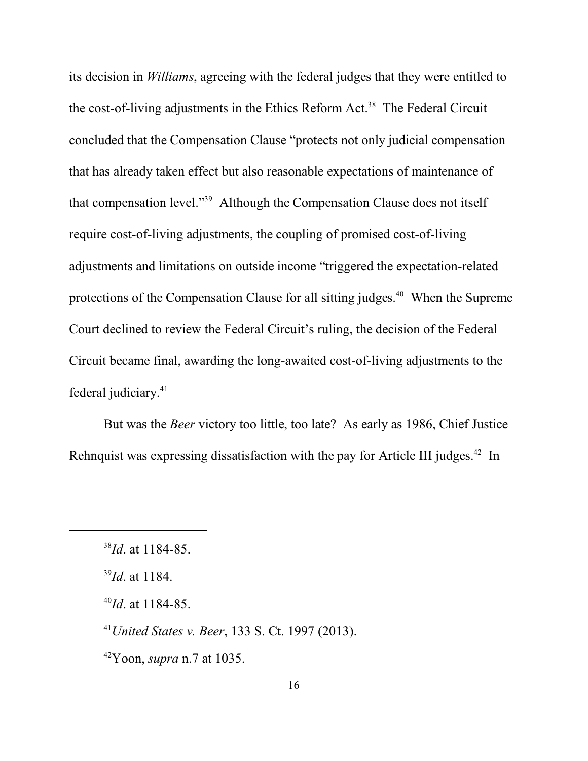its decision in *Williams*, agreeing with the federal judges that they were entitled to the cost-of-living adjustments in the Ethics Reform Act.<sup>38</sup> The Federal Circuit concluded that the Compensation Clause "protects not only judicial compensation that has already taken effect but also reasonable expectations of maintenance of that compensation level."<sup>39</sup> Although the Compensation Clause does not itself require cost-of-living adjustments, the coupling of promised cost-of-living adjustments and limitations on outside income "triggered the expectation-related protections of the Compensation Clause for all sitting judges.<sup>40</sup> When the Supreme Court declined to review the Federal Circuit's ruling, the decision of the Federal Circuit became final, awarding the long-awaited cost-of-living adjustments to the federal judiciary. 41

But was the *Beer* victory too little, too late? As early as 1986, Chief Justice Rehnquist was expressing dissatisfaction with the pay for Article III judges.<sup>42</sup> In

<sup>41</sup>*United States v. Beer*, 133 S. Ct. 1997 (2013).

<sup>42</sup>Yoon, *supra* n.7 at 1035.

<sup>38</sup> *Id*. at 1184-85.

<sup>39</sup> *Id*. at 1184.

<sup>40</sup> *Id*. at 1184-85.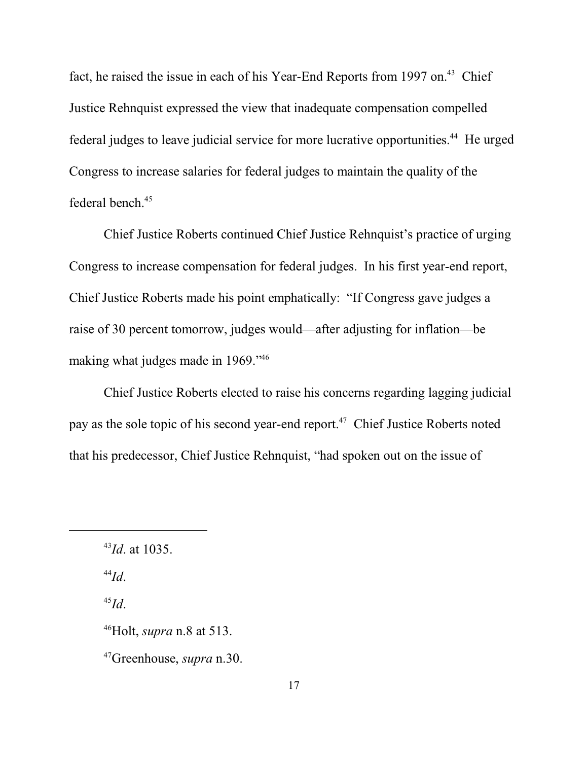fact, he raised the issue in each of his Year-End Reports from 1997 on.<sup>43</sup> Chief Justice Rehnquist expressed the view that inadequate compensation compelled federal judges to leave judicial service for more lucrative opportunities.<sup>44</sup> He urged Congress to increase salaries for federal judges to maintain the quality of the federal bench.<sup>45</sup>

Chief Justice Roberts continued Chief Justice Rehnquist's practice of urging Congress to increase compensation for federal judges. In his first year-end report, Chief Justice Roberts made his point emphatically: "If Congress gave judges a raise of 30 percent tomorrow, judges would—after adjusting for inflation—be making what judges made in 1969."<sup>46</sup>

Chief Justice Roberts elected to raise his concerns regarding lagging judicial pay as the sole topic of his second year-end report.<sup>47</sup> Chief Justice Roberts noted that his predecessor, Chief Justice Rehnquist, "had spoken out on the issue of

44 *Id*.

45 *Id*.

<sup>43</sup> *Id*. at 1035.

<sup>46</sup>Holt, *supra* n.8 at 513.

<sup>47</sup>Greenhouse, *supra* n.30.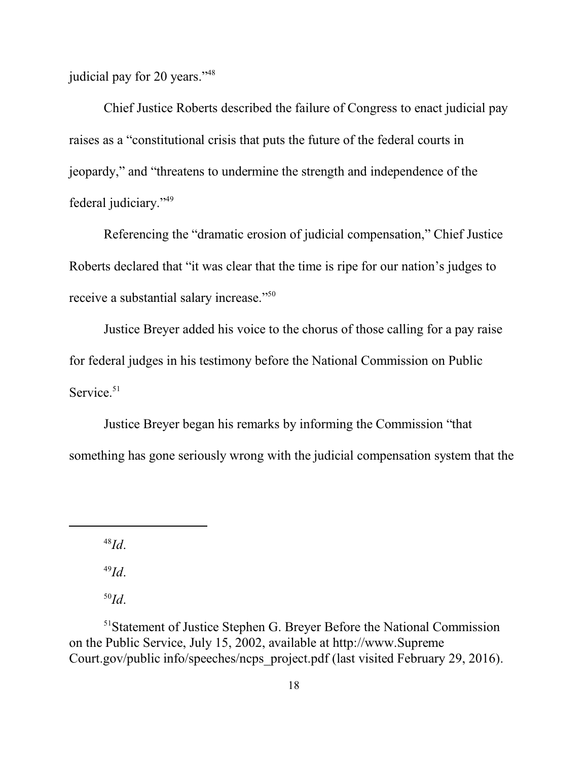judicial pay for 20 years."<sup>48</sup>

Chief Justice Roberts described the failure of Congress to enact judicial pay raises as a "constitutional crisis that puts the future of the federal courts in jeopardy," and "threatens to undermine the strength and independence of the federal judiciary."<sup>49</sup>

Referencing the "dramatic erosion of judicial compensation," Chief Justice Roberts declared that "it was clear that the time is ripe for our nation's judges to receive a substantial salary increase."<sup>50</sup>

Justice Breyer added his voice to the chorus of those calling for a pay raise for federal judges in his testimony before the National Commission on Public Service.<sup>51</sup>

Justice Breyer began his remarks by informing the Commission "that something has gone seriously wrong with the judicial compensation system that the

48 *Id*.

49 *Id*.

50 *Id*.

<sup>51</sup>Statement of Justice Stephen G. Breyer Before the National Commission on the Public Service, July 15, 2002, available at http://www.Supreme Court.gov/public info/speeches/ncps\_project.pdf (last visited February 29, 2016).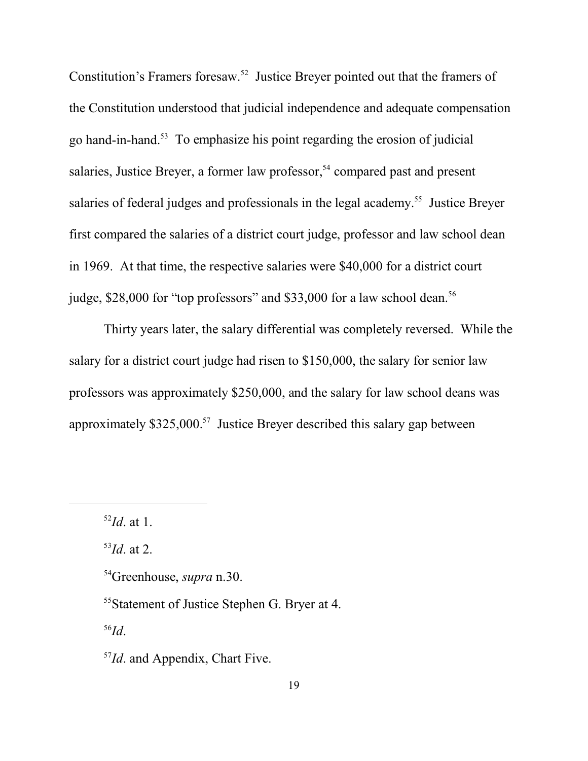Constitution's Framers foresaw.<sup>52</sup> Justice Breyer pointed out that the framers of the Constitution understood that judicial independence and adequate compensation go hand-in-hand.<sup>53</sup> To emphasize his point regarding the erosion of judicial salaries, Justice Breyer, a former law professor,<sup>54</sup> compared past and present salaries of federal judges and professionals in the legal academy.<sup>55</sup> Justice Breyer first compared the salaries of a district court judge, professor and law school dean in 1969. At that time, the respective salaries were \$40,000 for a district court judge, \$28,000 for "top professors" and \$33,000 for a law school dean.<sup>56</sup>

Thirty years later, the salary differential was completely reversed. While the salary for a district court judge had risen to \$150,000, the salary for senior law professors was approximately \$250,000, and the salary for law school deans was approximately \$325,000.<sup>57</sup> Justice Breyer described this salary gap between

53 *Id*. at 2.

56 *Id*.

<sup>57</sup>*Id*. and Appendix, Chart Five.

<sup>52</sup> *Id*. at 1.

<sup>54</sup>Greenhouse, *supra* n.30.

<sup>55</sup>Statement of Justice Stephen G. Bryer at 4.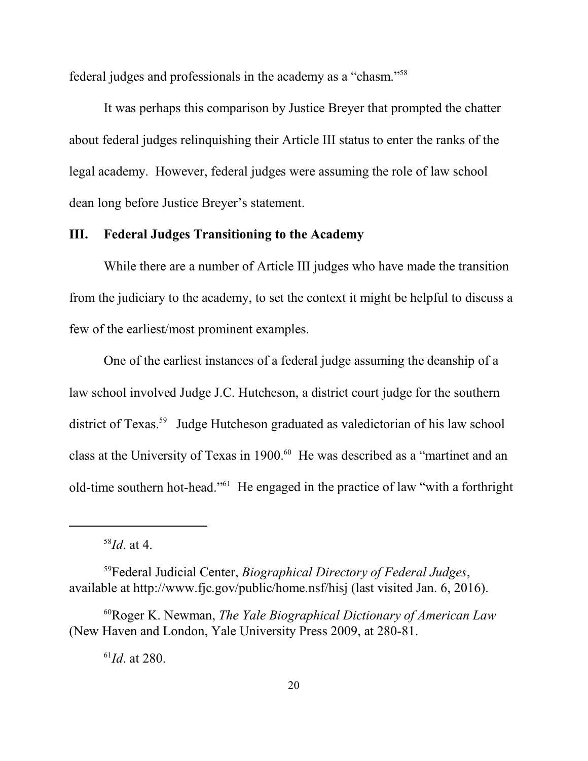federal judges and professionals in the academy as a "chasm."<sup>58</sup>

It was perhaps this comparison by Justice Breyer that prompted the chatter about federal judges relinquishing their Article III status to enter the ranks of the legal academy. However, federal judges were assuming the role of law school dean long before Justice Breyer's statement.

## **III. Federal Judges Transitioning to the Academy**

While there are a number of Article III judges who have made the transition from the judiciary to the academy, to set the context it might be helpful to discuss a few of the earliest/most prominent examples.

One of the earliest instances of a federal judge assuming the deanship of a law school involved Judge J.C. Hutcheson, a district court judge for the southern district of Texas.<sup>59</sup> Judge Hutcheson graduated as valedictorian of his law school class at the University of Texas in 1900.<sup>60</sup> He was described as a "martinet and an old-time southern hot-head."<sup>61</sup> He engaged in the practice of law "with a forthright

58 *Id*. at 4.

<sup>59</sup>Federal Judicial Center, *Biographical Directory of Federal Judges*, available at http://www.fjc.gov/public/home.nsf/hisj (last visited Jan. 6, 2016).

<sup>60</sup>Roger K. Newman, *The Yale Biographical Dictionary of American Law* (New Haven and London, Yale University Press 2009, at 280-81.

61 *Id*. at 280.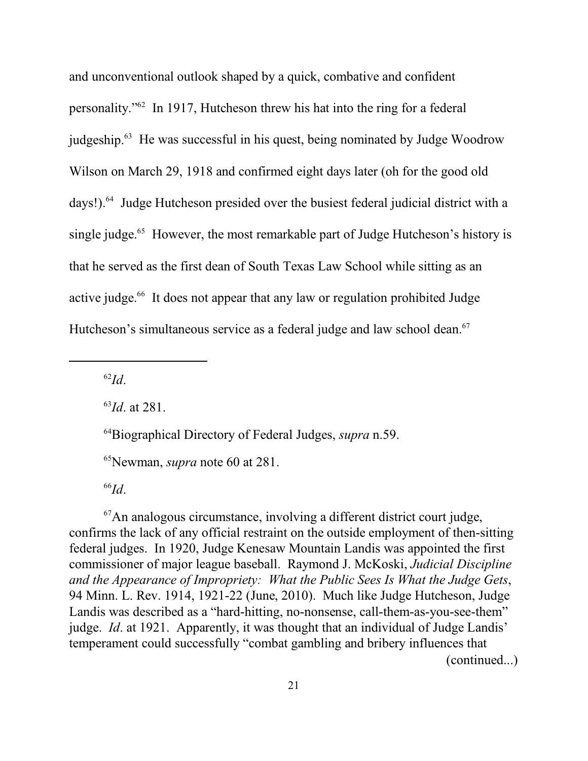and unconventional outlook shaped by a quick, combative and confident personality."<sup>62</sup> In 1917, Hutcheson threw his hat into the ring for a federal judgeship.<sup>63</sup> He was successful in his quest, being nominated by Judge Woodrow Wilson on March 29, 1918 and confirmed eight days later (oh for the good old days!).<sup>64</sup> Judge Hutcheson presided over the busiest federal judicial district with a single judge.<sup>65</sup> However, the most remarkable part of Judge Hutcheson's history is that he served as the first dean of South Texas Law School while sitting as an active judge. 66 It does not appear that any law or regulation prohibited Judge Hutcheson's simultaneous service as a federal judge and law school dean.<sup>67</sup>

62 *Id*.

63 *Id*. at 281.

<sup>64</sup>Biographical Directory of Federal Judges, *supra* n.59.

<sup>65</sup>Newman, *supra* note 60 at 281.

66 *Id*.

 $67$ An analogous circumstance, involving a different district court judge, confirms the lack of any official restraint on the outside employment of then-sitting federal judges. In 1920, Judge Kenesaw Mountain Landis was appointed the first commissioner of major league baseball. Raymond J. McKoski, *Judicial Discipline and the Appearance of Impropriety: What the Public Sees Is What the Judge Gets*, 94 Minn. L. Rev. 1914, 1921-22 (June, 2010). Much like Judge Hutcheson, Judge Landis was described as a "hard-hitting, no-nonsense, call-them-as-you-see-them" judge. *Id*. at 1921. Apparently, it was thought that an individual of Judge Landis' temperament could successfully "combat gambling and bribery influences that (continued...)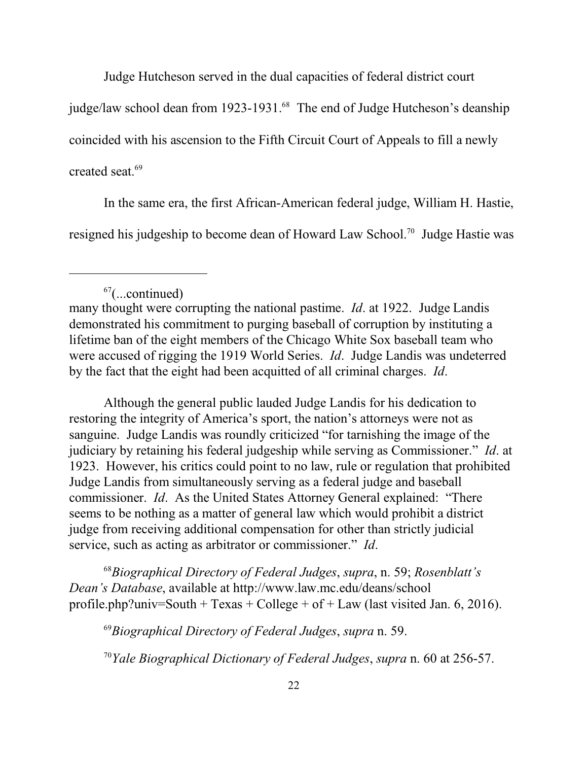Judge Hutcheson served in the dual capacities of federal district court

judge/law school dean from 1923-1931.<sup>68</sup> The end of Judge Hutcheson's deanship

coincided with his ascension to the Fifth Circuit Court of Appeals to fill a newly

created seat. 69

In the same era, the first African-American federal judge, William H. Hastie, resigned his judgeship to become dean of Howard Law School.<sup>70</sup> Judge Hastie was

Although the general public lauded Judge Landis for his dedication to restoring the integrity of America's sport, the nation's attorneys were not as sanguine. Judge Landis was roundly criticized "for tarnishing the image of the judiciary by retaining his federal judgeship while serving as Commissioner." *Id*. at 1923. However, his critics could point to no law, rule or regulation that prohibited Judge Landis from simultaneously serving as a federal judge and baseball commissioner. *Id*. As the United States Attorney General explained: "There seems to be nothing as a matter of general law which would prohibit a district judge from receiving additional compensation for other than strictly judicial service, such as acting as arbitrator or commissioner." *Id*.

<sup>68</sup>*Biographical Directory of Federal Judges*, *supra*, n. 59; *Rosenblatt's Dean's Database*, available at http://www.law.mc.edu/deans/school profile.php?univ=South + Texas + College + of + Law (last visited Jan. 6, 2016).

<sup>69</sup>*Biographical Directory of Federal Judges*, *supra* n. 59.

<sup>70</sup>*Yale Biographical Dictionary of Federal Judges*, *supra* n. 60 at 256-57.

 $67$ (...continued)

many thought were corrupting the national pastime. *Id*. at 1922. Judge Landis demonstrated his commitment to purging baseball of corruption by instituting a lifetime ban of the eight members of the Chicago White Sox baseball team who were accused of rigging the 1919 World Series. *Id*. Judge Landis was undeterred by the fact that the eight had been acquitted of all criminal charges. *Id*.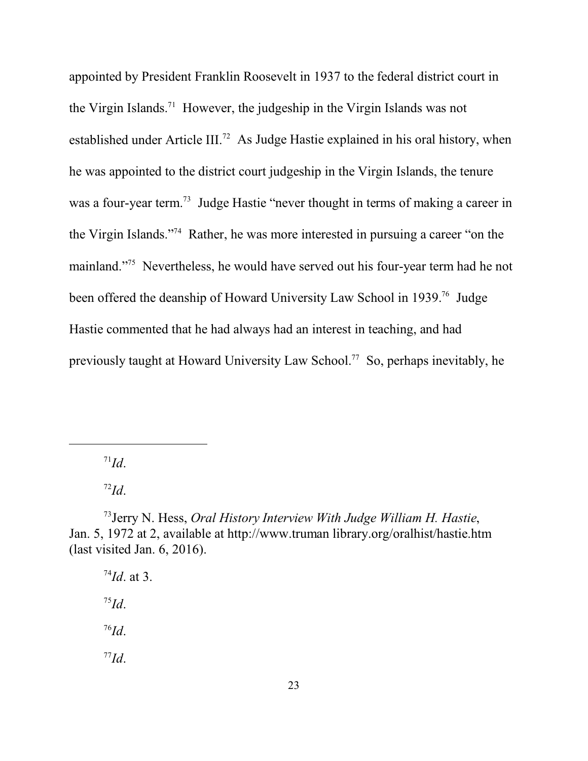appointed by President Franklin Roosevelt in 1937 to the federal district court in the Virgin Islands.<sup>71</sup> However, the judgeship in the Virgin Islands was not established under Article III.<sup>72</sup> As Judge Hastie explained in his oral history, when he was appointed to the district court judgeship in the Virgin Islands, the tenure was a four-year term.<sup>73</sup> Judge Hastie "never thought in terms of making a career in the Virgin Islands."<sup>74</sup> Rather, he was more interested in pursuing a career "on the mainland."<sup>75</sup> Nevertheless, he would have served out his four-year term had he not been offered the deanship of Howard University Law School in 1939.<sup>76</sup> Judge Hastie commented that he had always had an interest in teaching, and had previously taught at Howard University Law School.<sup>77</sup> So, perhaps inevitably, he

71 *Id*.

72 *Id*.

73 Jerry N. Hess, *Oral History Interview With Judge William H. Hastie*, Jan. 5, 1972 at 2, available at http://www.truman library.org/oralhist/hastie.htm (last visited Jan. 6, 2016).

74 *Id*. at 3. 75 *Id*. 76 *Id*. 77 *Id*.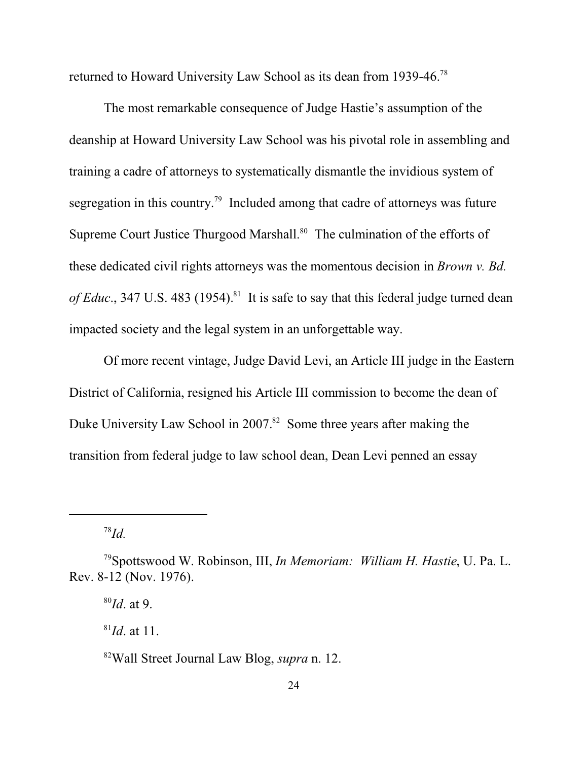returned to Howard University Law School as its dean from 1939-46.<sup>78</sup>

The most remarkable consequence of Judge Hastie's assumption of the deanship at Howard University Law School was his pivotal role in assembling and training a cadre of attorneys to systematically dismantle the invidious system of segregation in this country.<sup>79</sup> Included among that cadre of attorneys was future Supreme Court Justice Thurgood Marshall.<sup>80</sup> The culmination of the efforts of these dedicated civil rights attorneys was the momentous decision in *Brown v. Bd.* of Educ., 347 U.S. 483 (1954).<sup>81</sup> It is safe to say that this federal judge turned dean impacted society and the legal system in an unforgettable way.

Of more recent vintage, Judge David Levi, an Article III judge in the Eastern District of California, resigned his Article III commission to become the dean of Duke University Law School in 2007.<sup>82</sup> Some three years after making the transition from federal judge to law school dean, Dean Levi penned an essay

78 *Id.*

80 *Id*. at 9.

81 *Id*. at 11.

<sup>79</sup>Spottswood W. Robinson, III, *In Memoriam: William H. Hastie*, U. Pa. L. Rev. 8-12 (Nov. 1976).

<sup>82</sup>Wall Street Journal Law Blog, *supra* n. 12.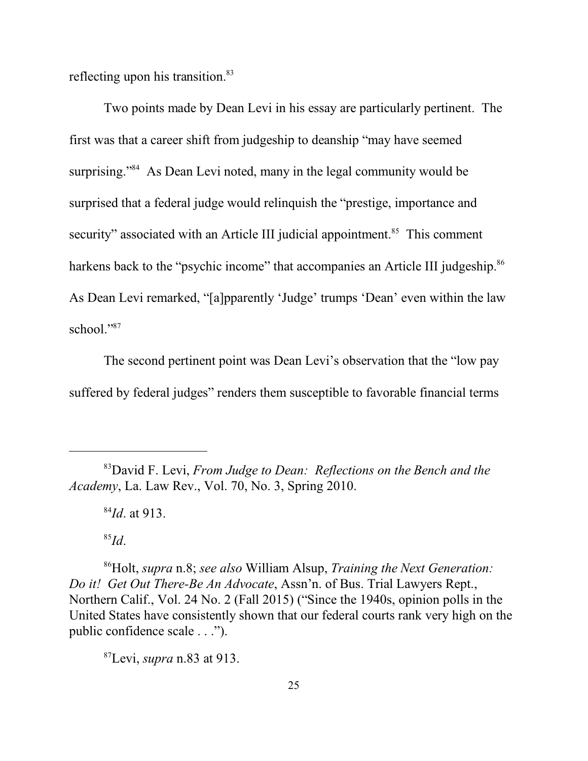reflecting upon his transition.<sup>83</sup>

Two points made by Dean Levi in his essay are particularly pertinent. The first was that a career shift from judgeship to deanship "may have seemed surprising."<sup>84</sup> As Dean Levi noted, many in the legal community would be surprised that a federal judge would relinquish the "prestige, importance and security" associated with an Article III judicial appointment.<sup>85</sup> This comment harkens back to the "psychic income" that accompanies an Article III judgeship.<sup>86</sup> As Dean Levi remarked, "[a]pparently 'Judge' trumps 'Dean' even within the law school."<sup>87</sup>

The second pertinent point was Dean Levi's observation that the "low pay suffered by federal judges" renders them susceptible to favorable financial terms

85 *Id*.

<sup>86</sup>Holt, *supra* n.8; *see also* William Alsup, *Training the Next Generation: Do it! Get Out There-Be An Advocate*, Assn'n. of Bus. Trial Lawyers Rept., Northern Calif., Vol. 24 No. 2 (Fall 2015) ("Since the 1940s, opinion polls in the United States have consistently shown that our federal courts rank very high on the public confidence scale . . .").

<sup>87</sup>Levi, *supra* n.83 at 913.

<sup>83</sup>David F. Levi, *From Judge to Dean: Reflections on the Bench and the Academy*, La. Law Rev., Vol. 70, No. 3, Spring 2010.

<sup>84</sup> *Id*. at 913.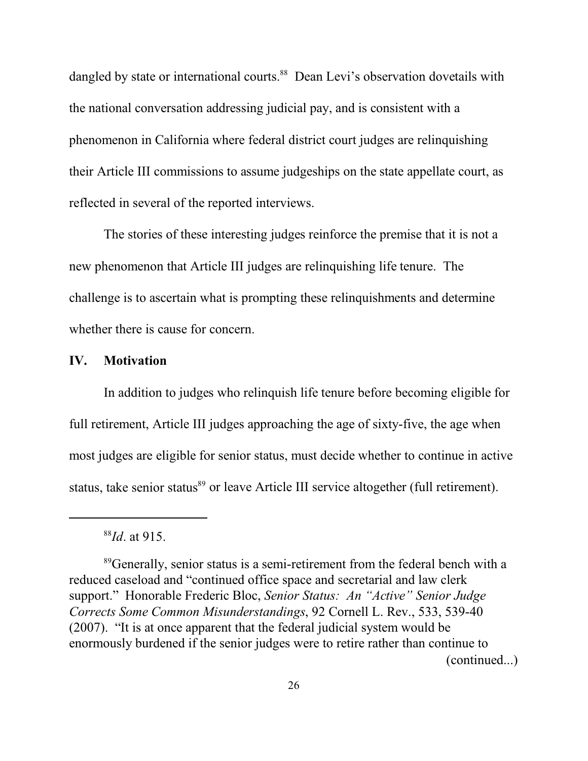dangled by state or international courts.<sup>88</sup> Dean Levi's observation dovetails with the national conversation addressing judicial pay, and is consistent with a phenomenon in California where federal district court judges are relinquishing their Article III commissions to assume judgeships on the state appellate court, as reflected in several of the reported interviews.

The stories of these interesting judges reinforce the premise that it is not a new phenomenon that Article III judges are relinquishing life tenure. The challenge is to ascertain what is prompting these relinquishments and determine whether there is cause for concern.

#### **IV. Motivation**

In addition to judges who relinquish life tenure before becoming eligible for full retirement, Article III judges approaching the age of sixty-five, the age when most judges are eligible for senior status, must decide whether to continue in active status, take senior status<sup>89</sup> or leave Article III service altogether (full retirement).

<sup>88</sup> *Id*. at 915.

<sup>&</sup>lt;sup>89</sup>Generally, senior status is a semi-retirement from the federal bench with a reduced caseload and "continued office space and secretarial and law clerk support." Honorable Frederic Bloc, *Senior Status: An "Active" Senior Judge Corrects Some Common Misunderstandings*, 92 Cornell L. Rev., 533, 539-40 (2007). "It is at once apparent that the federal judicial system would be enormously burdened if the senior judges were to retire rather than continue to (continued...)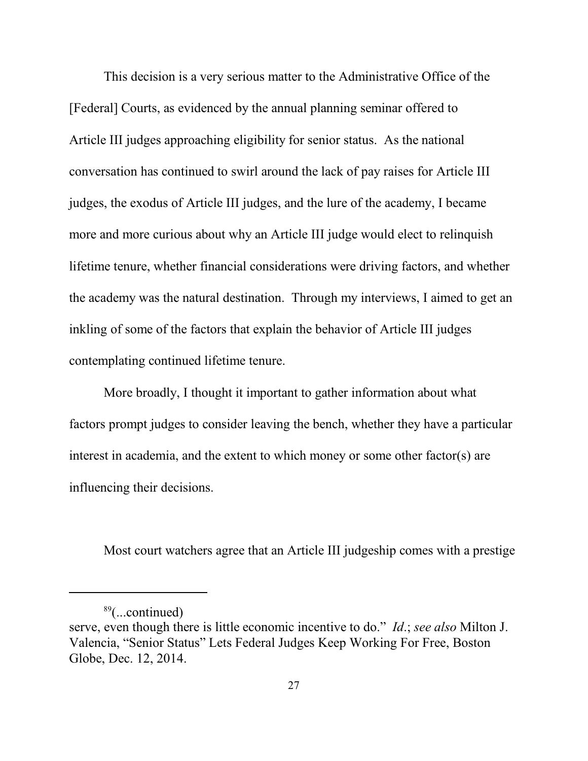This decision is a very serious matter to the Administrative Office of the [Federal] Courts, as evidenced by the annual planning seminar offered to Article III judges approaching eligibility for senior status. As the national conversation has continued to swirl around the lack of pay raises for Article III judges, the exodus of Article III judges, and the lure of the academy, I became more and more curious about why an Article III judge would elect to relinquish lifetime tenure, whether financial considerations were driving factors, and whether the academy was the natural destination. Through my interviews, I aimed to get an inkling of some of the factors that explain the behavior of Article III judges contemplating continued lifetime tenure.

More broadly, I thought it important to gather information about what factors prompt judges to consider leaving the bench, whether they have a particular interest in academia, and the extent to which money or some other factor(s) are influencing their decisions.

Most court watchers agree that an Article III judgeship comes with a prestige

<sup>89</sup> (...continued)

serve, even though there is little economic incentive to do." *Id*.; *see also* Milton J. Valencia, "Senior Status" Lets Federal Judges Keep Working For Free, Boston Globe, Dec. 12, 2014.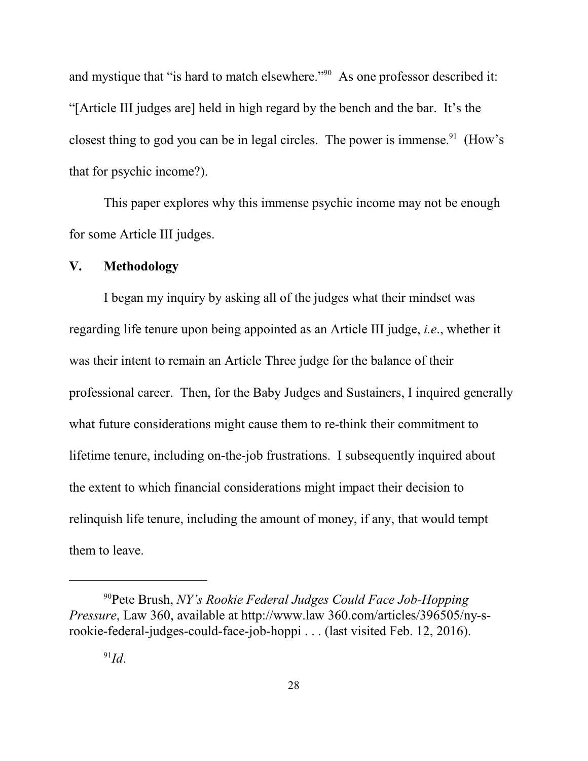and mystique that "is hard to match elsewhere."<sup>90</sup> As one professor described it: "[Article III judges are] held in high regard by the bench and the bar. It's the closest thing to god you can be in legal circles. The power is immense.<sup>91</sup> (How's that for psychic income?).

This paper explores why this immense psychic income may not be enough for some Article III judges.

#### **V. Methodology**

I began my inquiry by asking all of the judges what their mindset was regarding life tenure upon being appointed as an Article III judge, *i.e*., whether it was their intent to remain an Article Three judge for the balance of their professional career. Then, for the Baby Judges and Sustainers, I inquired generally what future considerations might cause them to re-think their commitment to lifetime tenure, including on-the-job frustrations. I subsequently inquired about the extent to which financial considerations might impact their decision to relinquish life tenure, including the amount of money, if any, that would tempt them to leave.

<sup>90</sup>Pete Brush, *NY's Rookie Federal Judges Could Face Job-Hopping Pressure*, Law 360, available at http://www.law 360.com/articles/396505/ny-srookie-federal-judges-could-face-job-hoppi . . . (last visited Feb. 12, 2016).

<sup>91</sup> *Id*.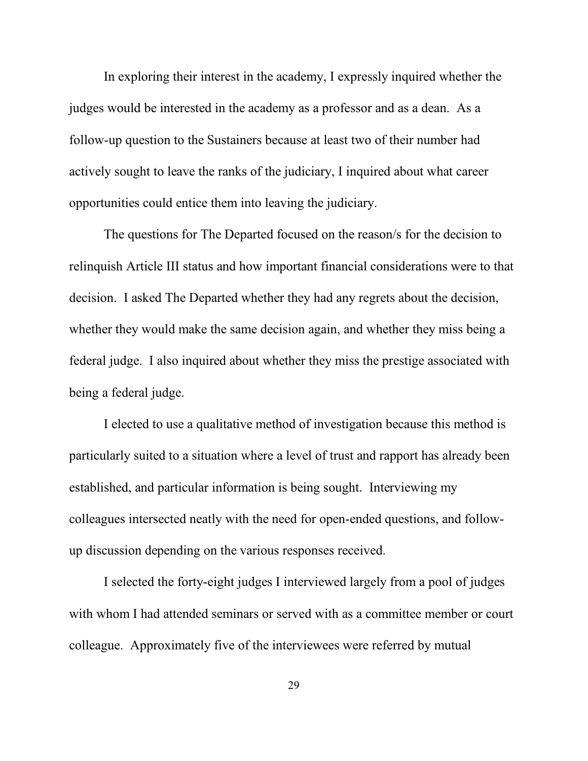In exploring their interest in the academy, I expressly inquired whether the judges would be interested in the academy as a professor and as a dean. As a follow-up question to the Sustainers because at least two of their number had actively sought to leave the ranks of the judiciary, I inquired about what career opportunities could entice them into leaving the judiciary.

The questions for The Departed focused on the reason/s for the decision to relinquish Article III status and how important financial considerations were to that decision. I asked The Departed whether they had any regrets about the decision, whether they would make the same decision again, and whether they miss being a federal judge. I also inquired about whether they miss the prestige associated with being a federal judge.

I elected to use a qualitative method of investigation because this method is particularly suited to a situation where a level of trust and rapport has already been established, and particular information is being sought. Interviewing my colleagues intersected neatly with the need for open-ended questions, and followup discussion depending on the various responses received.

I selected the forty-eight judges I interviewed largely from a pool of judges with whom I had attended seminars or served with as a committee member or court colleague. Approximately five of the interviewees were referred by mutual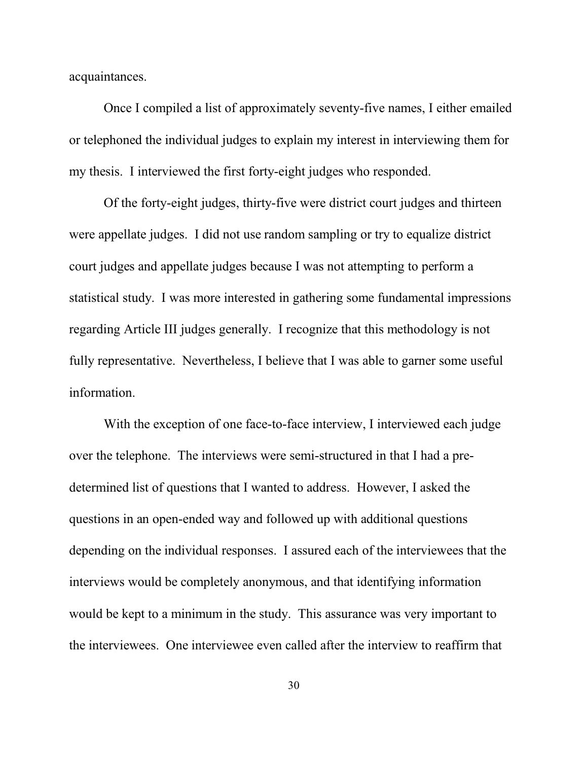acquaintances.

Once I compiled a list of approximately seventy-five names, I either emailed or telephoned the individual judges to explain my interest in interviewing them for my thesis. I interviewed the first forty-eight judges who responded.

Of the forty-eight judges, thirty-five were district court judges and thirteen were appellate judges. I did not use random sampling or try to equalize district court judges and appellate judges because I was not attempting to perform a statistical study. I was more interested in gathering some fundamental impressions regarding Article III judges generally. I recognize that this methodology is not fully representative. Nevertheless, I believe that I was able to garner some useful information.

With the exception of one face-to-face interview, I interviewed each judge over the telephone. The interviews were semi-structured in that I had a predetermined list of questions that I wanted to address. However, I asked the questions in an open-ended way and followed up with additional questions depending on the individual responses. I assured each of the interviewees that the interviews would be completely anonymous, and that identifying information would be kept to a minimum in the study. This assurance was very important to the interviewees. One interviewee even called after the interview to reaffirm that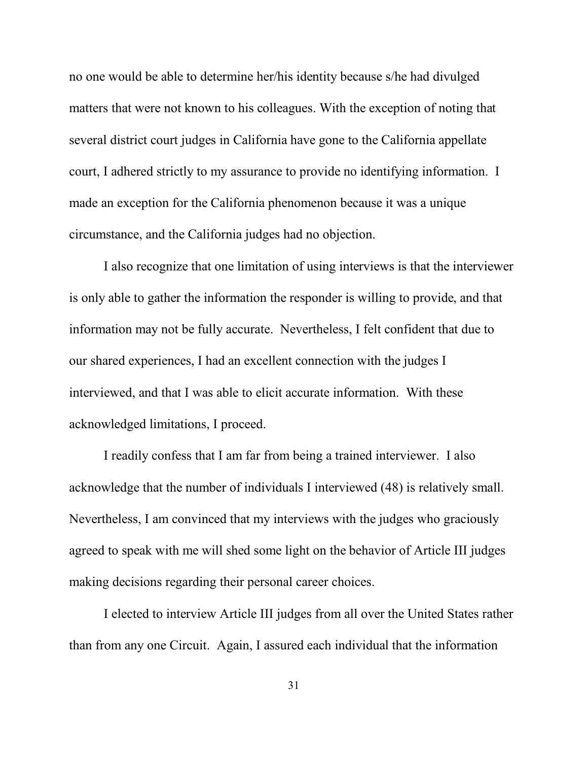no one would be able to determine her/his identity because s/he had divulged matters that were not known to his colleagues. With the exception of noting that several district court judges in California have gone to the California appellate court, I adhered strictly to my assurance to provide no identifying information. I made an exception for the California phenomenon because it was a unique circumstance, and the California judges had no objection.

I also recognize that one limitation of using interviews is that the interviewer is only able to gather the information the responder is willing to provide, and that information may not be fully accurate. Nevertheless, I felt confident that due to our shared experiences, I had an excellent connection with the judges I interviewed, and that I was able to elicit accurate information. With these acknowledged limitations, I proceed.

I readily confess that I am far from being a trained interviewer. I also acknowledge that the number of individuals I interviewed (48) is relatively small. Nevertheless, I am convinced that my interviews with the judges who graciously agreed to speak with me will shed some light on the behavior of Article III judges making decisions regarding their personal career choices.

I elected to interview Article III judges from all over the United States rather than from any one Circuit. Again, I assured each individual that the information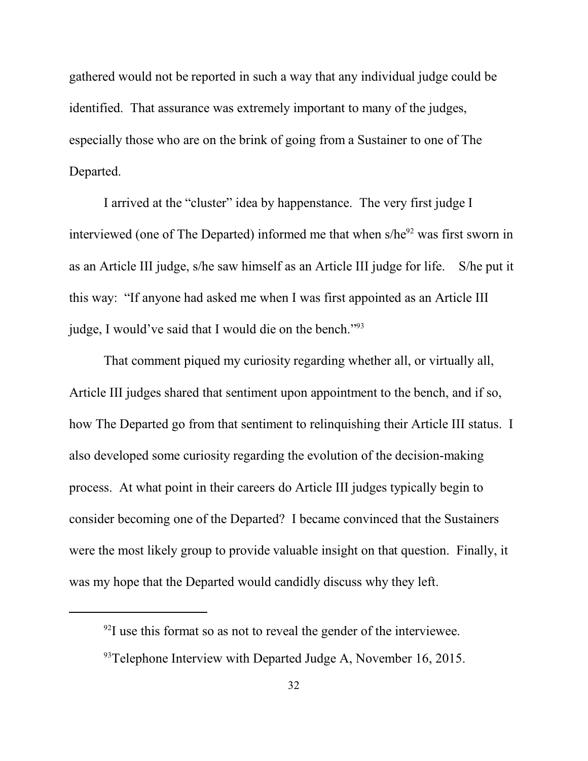gathered would not be reported in such a way that any individual judge could be identified. That assurance was extremely important to many of the judges, especially those who are on the brink of going from a Sustainer to one of The Departed.

I arrived at the "cluster" idea by happenstance. The very first judge I interviewed (one of The Departed) informed me that when s/he<sup>92</sup> was first sworn in as an Article III judge, s/he saw himself as an Article III judge for life. S/he put it this way: "If anyone had asked me when I was first appointed as an Article III judge, I would've said that I would die on the bench."<sup>93</sup>

That comment piqued my curiosity regarding whether all, or virtually all, Article III judges shared that sentiment upon appointment to the bench, and if so, how The Departed go from that sentiment to relinquishing their Article III status. I also developed some curiosity regarding the evolution of the decision-making process. At what point in their careers do Article III judges typically begin to consider becoming one of the Departed? I became convinced that the Sustainers were the most likely group to provide valuable insight on that question. Finally, it was my hope that the Departed would candidly discuss why they left.

 $^{92}$ I use this format so as not to reveal the gender of the interviewee.

 $93$ Telephone Interview with Departed Judge A, November 16, 2015.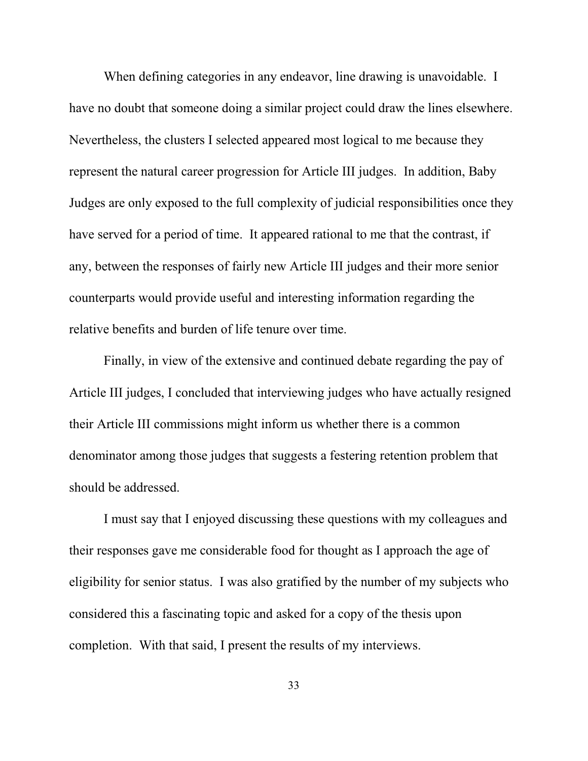When defining categories in any endeavor, line drawing is unavoidable. I have no doubt that someone doing a similar project could draw the lines elsewhere. Nevertheless, the clusters I selected appeared most logical to me because they represent the natural career progression for Article III judges. In addition, Baby Judges are only exposed to the full complexity of judicial responsibilities once they have served for a period of time. It appeared rational to me that the contrast, if any, between the responses of fairly new Article III judges and their more senior counterparts would provide useful and interesting information regarding the relative benefits and burden of life tenure over time.

Finally, in view of the extensive and continued debate regarding the pay of Article III judges, I concluded that interviewing judges who have actually resigned their Article III commissions might inform us whether there is a common denominator among those judges that suggests a festering retention problem that should be addressed.

I must say that I enjoyed discussing these questions with my colleagues and their responses gave me considerable food for thought as I approach the age of eligibility for senior status. I was also gratified by the number of my subjects who considered this a fascinating topic and asked for a copy of the thesis upon completion. With that said, I present the results of my interviews.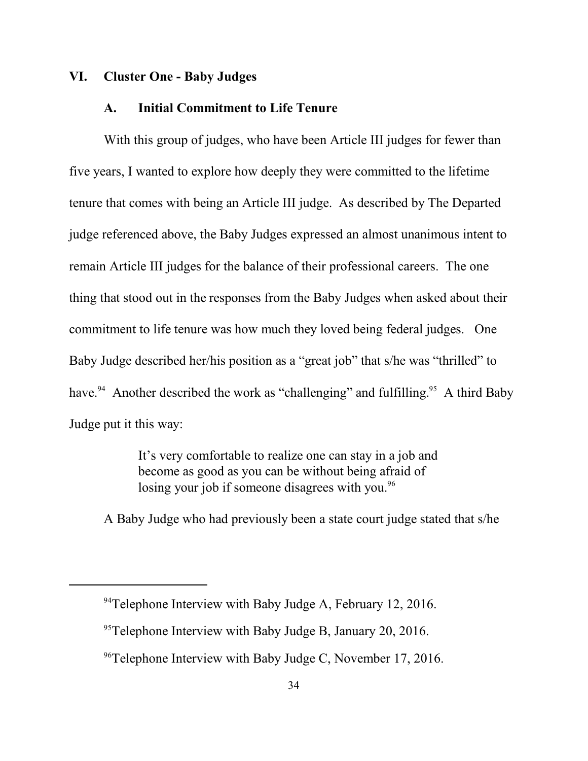### **VI. Cluster One - Baby Judges**

#### **A. Initial Commitment to Life Tenure**

With this group of judges, who have been Article III judges for fewer than five years, I wanted to explore how deeply they were committed to the lifetime tenure that comes with being an Article III judge. As described by The Departed judge referenced above, the Baby Judges expressed an almost unanimous intent to remain Article III judges for the balance of their professional careers. The one thing that stood out in the responses from the Baby Judges when asked about their commitment to life tenure was how much they loved being federal judges. One Baby Judge described her/his position as a "great job" that s/he was "thrilled" to have.<sup>94</sup> Another described the work as "challenging" and fulfilling.<sup>95</sup> A third Baby Judge put it this way:

> It's very comfortable to realize one can stay in a job and become as good as you can be without being afraid of losing your job if someone disagrees with you.<sup>96</sup>

A Baby Judge who had previously been a state court judge stated that s/he

<sup>&</sup>lt;sup>94</sup>Telephone Interview with Baby Judge A, February 12, 2016.

 $95$ <sup>95</sup>Telephone Interview with Baby Judge B, January 20, 2016.

<sup>&</sup>lt;sup>96</sup>Telephone Interview with Baby Judge C, November 17, 2016.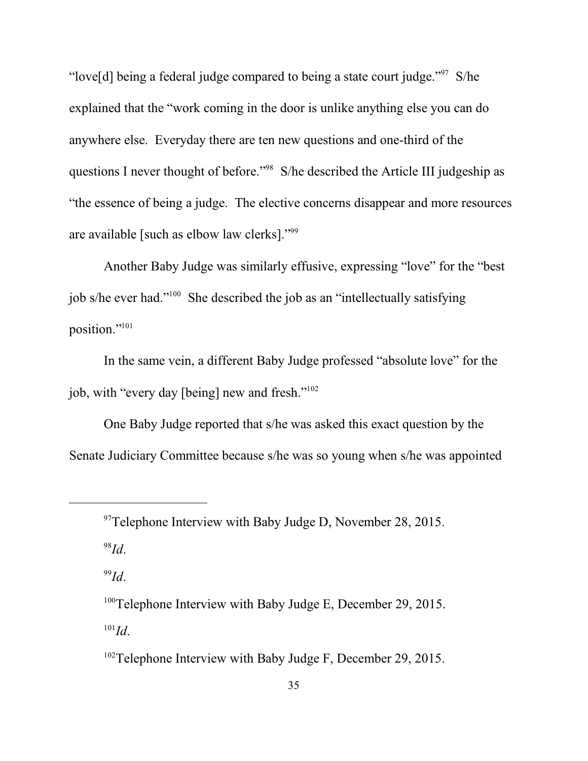"love[d] being a federal judge compared to being a state court judge." $97$  S/he explained that the "work coming in the door is unlike anything else you can do anywhere else. Everyday there are ten new questions and one-third of the questions I never thought of before."<sup>98</sup> S/he described the Article III judgeship as "the essence of being a judge. The elective concerns disappear and more resources are available [such as elbow law clerks]."<sup>99</sup>

Another Baby Judge was similarly effusive, expressing "love" for the "best job s/he ever had."<sup>100</sup> She described the job as an "intellectually satisfying position."<sup>101</sup>

In the same vein, a different Baby Judge professed "absolute love" for the job, with "every day [being] new and fresh."<sup>102</sup>

One Baby Judge reported that s/he was asked this exact question by the Senate Judiciary Committee because s/he was so young when s/he was appointed

98 *Id*.

99 *Id*.

<sup>&</sup>lt;sup>97</sup>Telephone Interview with Baby Judge D, November 28, 2015.

<sup>&</sup>lt;sup>100</sup>Telephone Interview with Baby Judge E, December 29, 2015. 101 *Id*.

<sup>&</sup>lt;sup>102</sup>Telephone Interview with Baby Judge F, December 29, 2015.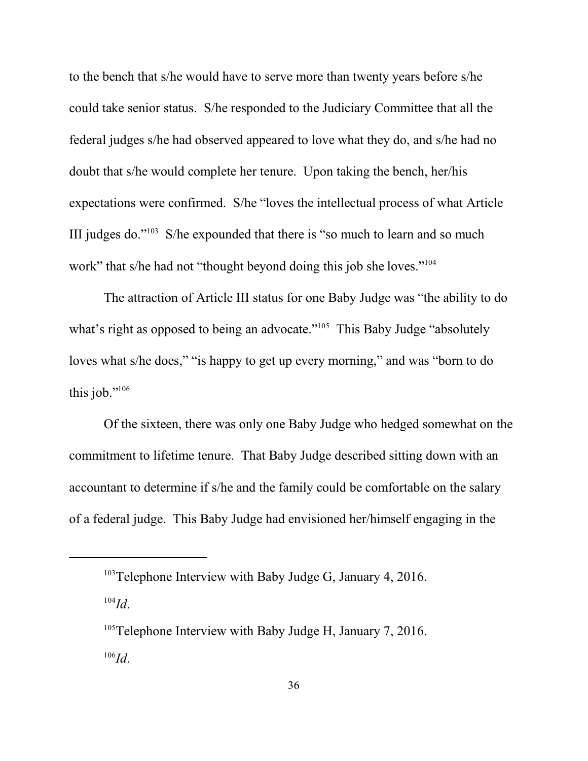to the bench that s/he would have to serve more than twenty years before s/he could take senior status. S/he responded to the Judiciary Committee that all the federal judges s/he had observed appeared to love what they do, and s/he had no doubt that s/he would complete her tenure. Upon taking the bench, her/his expectations were confirmed. S/he "loves the intellectual process of what Article III judges do."<sup>103</sup> S/he expounded that there is "so much to learn and so much work" that s/he had not "thought beyond doing this job she loves."<sup>104</sup>

The attraction of Article III status for one Baby Judge was "the ability to do what's right as opposed to being an advocate."<sup>105</sup> This Baby Judge "absolutely loves what s/he does," "is happy to get up every morning," and was "born to do this job." $106$ 

Of the sixteen, there was only one Baby Judge who hedged somewhat on the commitment to lifetime tenure. That Baby Judge described sitting down with an accountant to determine if s/he and the family could be comfortable on the salary of a federal judge. This Baby Judge had envisioned her/himself engaging in the

104 *Id*.

<sup>&</sup>lt;sup>103</sup>Telephone Interview with Baby Judge G, January 4, 2016.

<sup>&</sup>lt;sup>105</sup>Telephone Interview with Baby Judge H, January 7, 2016. 106 *Id*.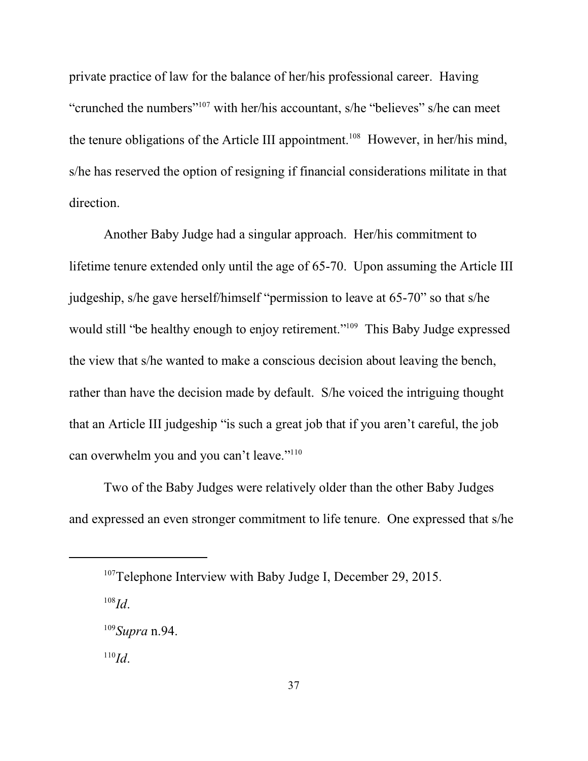private practice of law for the balance of her/his professional career. Having "crunched the numbers"<sup>107</sup> with her/his accountant, s/he "believes" s/he can meet the tenure obligations of the Article III appointment.<sup>108</sup> However, in her/his mind, s/he has reserved the option of resigning if financial considerations militate in that direction.

Another Baby Judge had a singular approach. Her/his commitment to lifetime tenure extended only until the age of 65-70. Upon assuming the Article III judgeship, s/he gave herself/himself "permission to leave at 65-70" so that s/he would still "be healthy enough to enjoy retirement."<sup>109</sup> This Baby Judge expressed the view that s/he wanted to make a conscious decision about leaving the bench, rather than have the decision made by default. S/he voiced the intriguing thought that an Article III judgeship "is such a great job that if you aren't careful, the job can overwhelm you and you can't leave."<sup>110</sup>

Two of the Baby Judges were relatively older than the other Baby Judges and expressed an even stronger commitment to life tenure. One expressed that s/he

108 *Id*.

<sup>&</sup>lt;sup>107</sup>Telephone Interview with Baby Judge I, December 29, 2015.

<sup>109</sup> *Supra* n.94.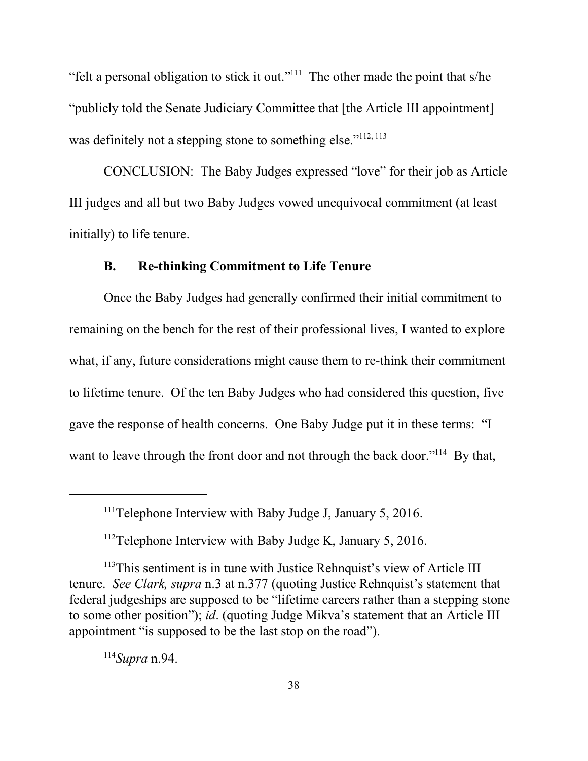"felt a personal obligation to stick it out."<sup>111</sup> The other made the point that s/he "publicly told the Senate Judiciary Committee that [the Article III appointment] was definitely not a stepping stone to something else."<sup>112, 113</sup>

CONCLUSION: The Baby Judges expressed "love" for their job as Article III judges and all but two Baby Judges vowed unequivocal commitment (at least initially) to life tenure.

### **B. Re-thinking Commitment to Life Tenure**

Once the Baby Judges had generally confirmed their initial commitment to remaining on the bench for the rest of their professional lives, I wanted to explore what, if any, future considerations might cause them to re-think their commitment to lifetime tenure. Of the ten Baby Judges who had considered this question, five gave the response of health concerns. One Baby Judge put it in these terms: "I want to leave through the front door and not through the back door."<sup>114</sup> By that,

 $111$ <sup>T</sup>elephone Interview with Baby Judge J, January 5, 2016.

 $112$ Telephone Interview with Baby Judge K, January 5, 2016.

<sup>&</sup>lt;sup>113</sup>This sentiment is in tune with Justice Rehnquist's view of Article III tenure. *See Clark, supra* n.3 at n.377 (quoting Justice Rehnquist's statement that federal judgeships are supposed to be "lifetime careers rather than a stepping stone to some other position"); *id*. (quoting Judge Mikva's statement that an Article III appointment "is supposed to be the last stop on the road").

<sup>114</sup> *Supra* n.94.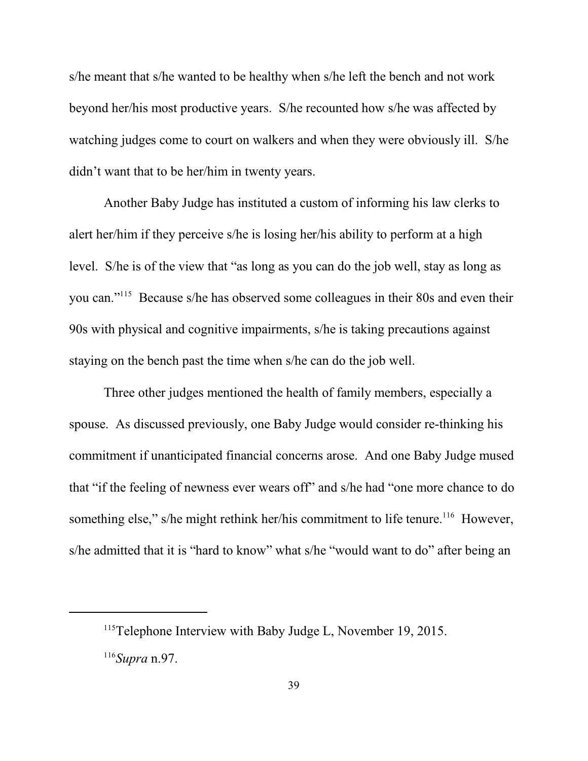s/he meant that s/he wanted to be healthy when s/he left the bench and not work beyond her/his most productive years. S/he recounted how s/he was affected by watching judges come to court on walkers and when they were obviously ill. S/he didn't want that to be her/him in twenty years.

Another Baby Judge has instituted a custom of informing his law clerks to alert her/him if they perceive s/he is losing her/his ability to perform at a high level. S/he is of the view that "as long as you can do the job well, stay as long as you can."<sup>115</sup> Because s/he has observed some colleagues in their 80s and even their 90s with physical and cognitive impairments, s/he is taking precautions against staying on the bench past the time when s/he can do the job well.

Three other judges mentioned the health of family members, especially a spouse. As discussed previously, one Baby Judge would consider re-thinking his commitment if unanticipated financial concerns arose. And one Baby Judge mused that "if the feeling of newness ever wears off" and s/he had "one more chance to do something else," s/he might rethink her/his commitment to life tenure.<sup>116</sup> However, s/he admitted that it is "hard to know" what s/he "would want to do" after being an

<sup>&</sup>lt;sup>115</sup>Telephone Interview with Baby Judge L, November 19, 2015.

<sup>116</sup> *Supra* n.97.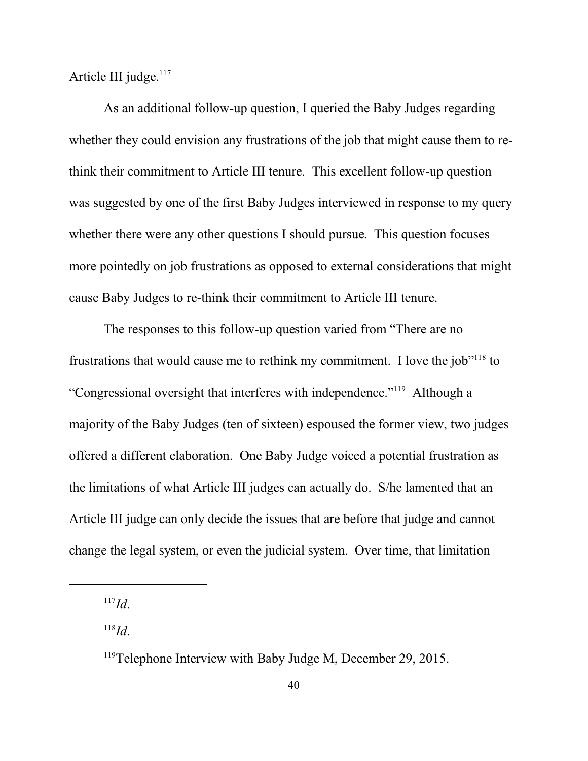Article III judge.<sup>117</sup>

As an additional follow-up question, I queried the Baby Judges regarding whether they could envision any frustrations of the job that might cause them to rethink their commitment to Article III tenure. This excellent follow-up question was suggested by one of the first Baby Judges interviewed in response to my query whether there were any other questions I should pursue. This question focuses more pointedly on job frustrations as opposed to external considerations that might cause Baby Judges to re-think their commitment to Article III tenure.

The responses to this follow-up question varied from "There are no frustrations that would cause me to rethink my commitment. I love the job"<sup>118</sup> to "Congressional oversight that interferes with independence."<sup>119</sup> Although a majority of the Baby Judges (ten of sixteen) espoused the former view, two judges offered a different elaboration. One Baby Judge voiced a potential frustration as the limitations of what Article III judges can actually do. S/he lamented that an Article III judge can only decide the issues that are before that judge and cannot change the legal system, or even the judicial system. Over time, that limitation

<sup>117</sup> *Id*.

<sup>118</sup> *Id*.

<sup>&</sup>lt;sup>119</sup>Telephone Interview with Baby Judge M, December 29, 2015.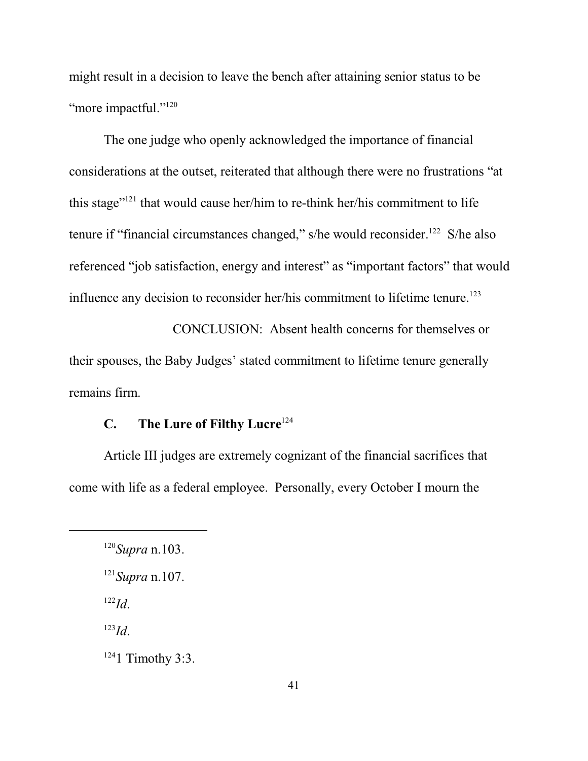might result in a decision to leave the bench after attaining senior status to be "more impactful."<sup>120</sup>

The one judge who openly acknowledged the importance of financial considerations at the outset, reiterated that although there were no frustrations "at this stage"<sup>121</sup> that would cause her/him to re-think her/his commitment to life tenure if "financial circumstances changed," s/he would reconsider.<sup>122</sup> S/he also referenced "job satisfaction, energy and interest" as "important factors" that would influence any decision to reconsider her/his commitment to lifetime tenure. 123

CONCLUSION: Absent health concerns for themselves or their spouses, the Baby Judges' stated commitment to lifetime tenure generally remains firm.

# **C. The Lure of Filthy Lucre** 124

Article III judges are extremely cognizant of the financial sacrifices that come with life as a federal employee. Personally, every October I mourn the

122 *Id*.

123 *Id*.

 $1241$  Timothy 3:3.

<sup>120</sup> *Supra* n.103.

<sup>121</sup> *Supra* n.107.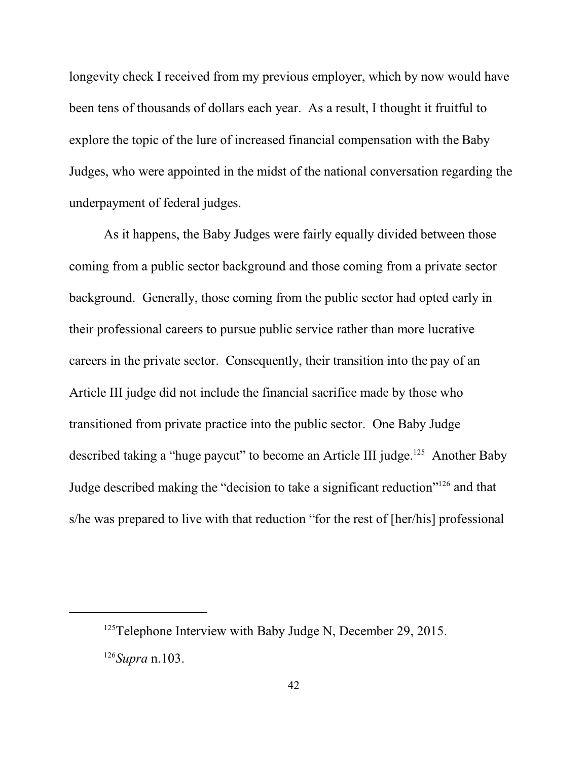longevity check I received from my previous employer, which by now would have been tens of thousands of dollars each year. As a result, I thought it fruitful to explore the topic of the lure of increased financial compensation with the Baby Judges, who were appointed in the midst of the national conversation regarding the underpayment of federal judges.

As it happens, the Baby Judges were fairly equally divided between those coming from a public sector background and those coming from a private sector background. Generally, those coming from the public sector had opted early in their professional careers to pursue public service rather than more lucrative careers in the private sector. Consequently, their transition into the pay of an Article III judge did not include the financial sacrifice made by those who transitioned from private practice into the public sector. One Baby Judge described taking a "huge paycut" to become an Article III judge.<sup>125</sup> Another Baby Judge described making the "decision to take a significant reduction"<sup>126</sup> and that s/he was prepared to live with that reduction "for the rest of [her/his] professional

 $125$ Telephone Interview with Baby Judge N, December 29, 2015. 126 *Supra* n.103.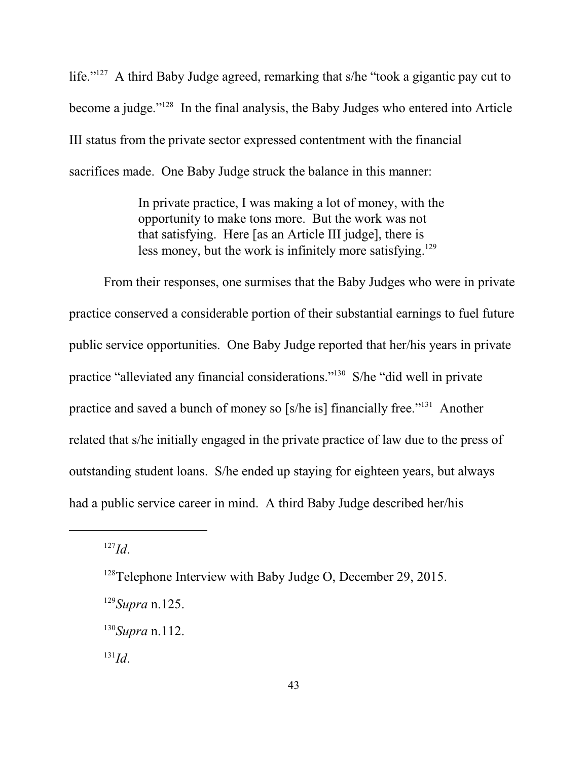life."<sup>127</sup> A third Baby Judge agreed, remarking that s/he "took a gigantic pay cut to become a judge."<sup>128</sup> In the final analysis, the Baby Judges who entered into Article III status from the private sector expressed contentment with the financial sacrifices made. One Baby Judge struck the balance in this manner:

> In private practice, I was making a lot of money, with the opportunity to make tons more. But the work was not that satisfying. Here [as an Article III judge], there is less money, but the work is infinitely more satisfying.<sup>129</sup>

From their responses, one surmises that the Baby Judges who were in private practice conserved a considerable portion of their substantial earnings to fuel future public service opportunities. One Baby Judge reported that her/his years in private practice "alleviated any financial considerations."<sup>130</sup> S/he "did well in private practice and saved a bunch of money so [s/he is] financially free."<sup>131</sup> Another related that s/he initially engaged in the private practice of law due to the press of outstanding student loans. S/he ended up staying for eighteen years, but always had a public service career in mind. A third Baby Judge described her/his

127 *Id*.

 $128$ Telephone Interview with Baby Judge O, December 29, 2015.

<sup>129</sup> *Supra* n.125.

<sup>130</sup> *Supra* n.112.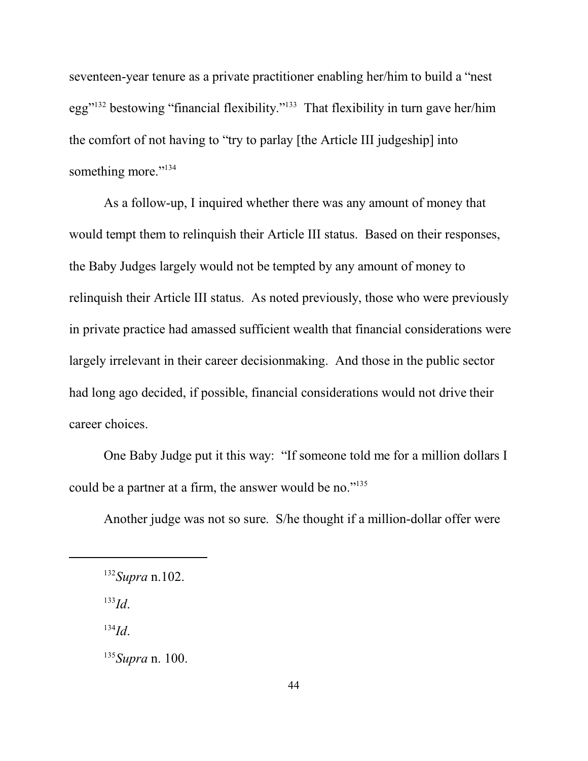seventeen-year tenure as a private practitioner enabling her/him to build a "nest egg"<sup>132</sup> bestowing "financial flexibility."<sup>133</sup> That flexibility in turn gave her/him the comfort of not having to "try to parlay [the Article III judgeship] into something more."<sup>134</sup>

As a follow-up, I inquired whether there was any amount of money that would tempt them to relinquish their Article III status. Based on their responses, the Baby Judges largely would not be tempted by any amount of money to relinquish their Article III status. As noted previously, those who were previously in private practice had amassed sufficient wealth that financial considerations were largely irrelevant in their career decisionmaking. And those in the public sector had long ago decided, if possible, financial considerations would not drive their career choices.

One Baby Judge put it this way: "If someone told me for a million dollars I could be a partner at a firm, the answer would be no."<sup>135</sup>

Another judge was not so sure. S/he thought if a million-dollar offer were

133 *Id*.

<sup>132</sup> *Supra* n.102.

<sup>135</sup> *Supra* n. 100.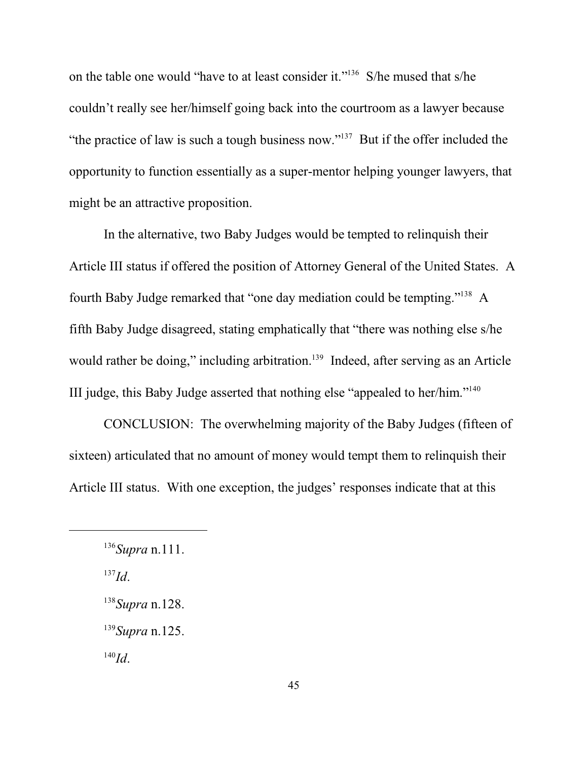on the table one would "have to at least consider it."<sup>136</sup> S/he mused that s/he couldn't really see her/himself going back into the courtroom as a lawyer because "the practice of law is such a tough business now." $137$  But if the offer included the opportunity to function essentially as a super-mentor helping younger lawyers, that might be an attractive proposition.

In the alternative, two Baby Judges would be tempted to relinquish their Article III status if offered the position of Attorney General of the United States. A fourth Baby Judge remarked that "one day mediation could be tempting."<sup>138</sup> A fifth Baby Judge disagreed, stating emphatically that "there was nothing else s/he would rather be doing," including arbitration.<sup>139</sup> Indeed, after serving as an Article III judge, this Baby Judge asserted that nothing else "appealed to her/him."<sup>140</sup>

CONCLUSION: The overwhelming majority of the Baby Judges (fifteen of sixteen) articulated that no amount of money would tempt them to relinquish their Article III status. With one exception, the judges' responses indicate that at this

<sup>136</sup> *Supra* n.111.

<sup>137</sup> *Id*.

<sup>138</sup> *Supra* n.128.

<sup>139</sup> *Supra* n.125.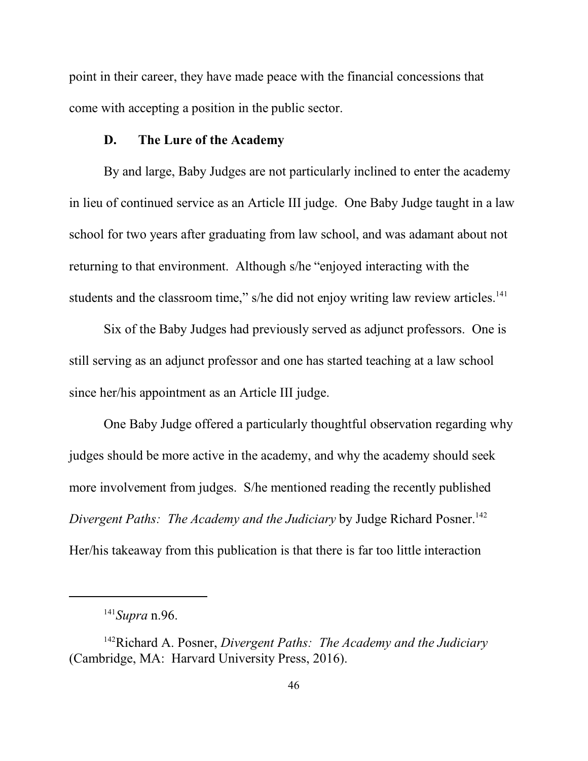point in their career, they have made peace with the financial concessions that come with accepting a position in the public sector.

## **D. The Lure of the Academy**

By and large, Baby Judges are not particularly inclined to enter the academy in lieu of continued service as an Article III judge. One Baby Judge taught in a law school for two years after graduating from law school, and was adamant about not returning to that environment. Although s/he "enjoyed interacting with the students and the classroom time," s/he did not enjoy writing law review articles.<sup>141</sup>

Six of the Baby Judges had previously served as adjunct professors. One is still serving as an adjunct professor and one has started teaching at a law school since her/his appointment as an Article III judge.

One Baby Judge offered a particularly thoughtful observation regarding why judges should be more active in the academy, and why the academy should seek more involvement from judges. S/he mentioned reading the recently published *Divergent Paths: The Academy and the Judiciary* by Judge Richard Posner.<sup>142</sup> Her/his takeaway from this publication is that there is far too little interaction

<sup>141</sup> *Supra* n.96.

<sup>142</sup>Richard A. Posner, *Divergent Paths: The Academy and the Judiciary* (Cambridge, MA: Harvard University Press, 2016).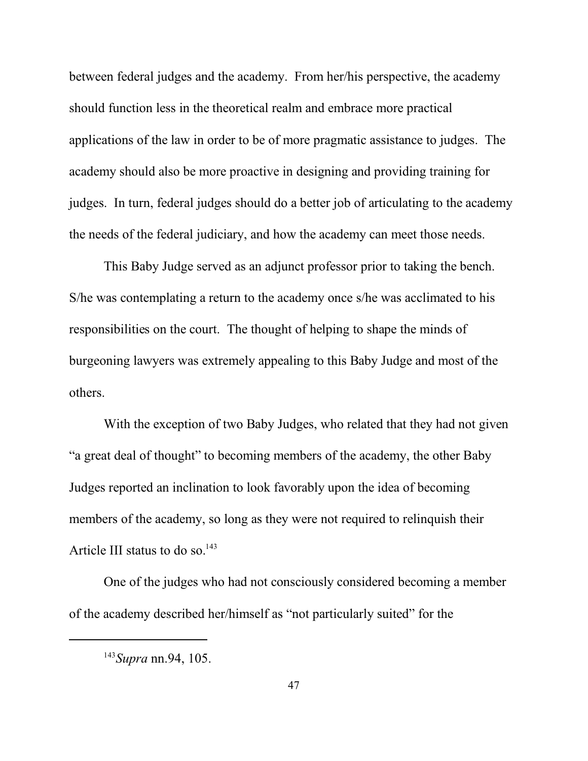between federal judges and the academy. From her/his perspective, the academy should function less in the theoretical realm and embrace more practical applications of the law in order to be of more pragmatic assistance to judges. The academy should also be more proactive in designing and providing training for judges. In turn, federal judges should do a better job of articulating to the academy the needs of the federal judiciary, and how the academy can meet those needs.

This Baby Judge served as an adjunct professor prior to taking the bench. S/he was contemplating a return to the academy once s/he was acclimated to his responsibilities on the court. The thought of helping to shape the minds of burgeoning lawyers was extremely appealing to this Baby Judge and most of the others.

With the exception of two Baby Judges, who related that they had not given "a great deal of thought" to becoming members of the academy, the other Baby Judges reported an inclination to look favorably upon the idea of becoming members of the academy, so long as they were not required to relinquish their Article III status to do so. $143$ 

One of the judges who had not consciously considered becoming a member of the academy described her/himself as "not particularly suited" for the

<sup>143</sup> *Supra* nn.94, 105.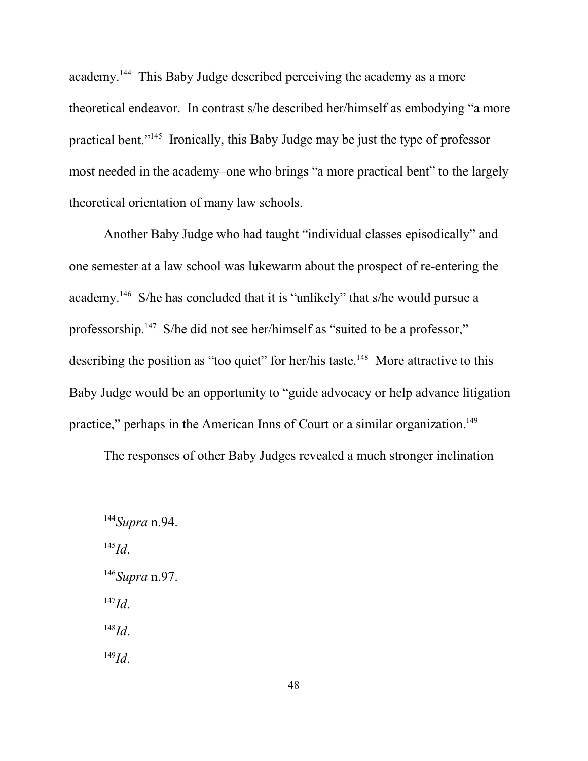academy.<sup>144</sup> This Baby Judge described perceiving the academy as a more theoretical endeavor. In contrast s/he described her/himself as embodying "a more practical bent."<sup>145</sup> Ironically, this Baby Judge may be just the type of professor most needed in the academy–one who brings "a more practical bent" to the largely theoretical orientation of many law schools.

Another Baby Judge who had taught "individual classes episodically" and one semester at a law school was lukewarm about the prospect of re-entering the academy.<sup>146</sup> S/he has concluded that it is "unlikely" that s/he would pursue a professorship.<sup>147</sup> S/he did not see her/himself as "suited to be a professor," describing the position as "too quiet" for her/his taste.<sup>148</sup> More attractive to this Baby Judge would be an opportunity to "guide advocacy or help advance litigation practice," perhaps in the American Inns of Court or a similar organization.<sup>149</sup>

The responses of other Baby Judges revealed a much stronger inclination

145 *Id*.

- 146 *Supra* n.97.
- 147 *Id*.

148 *Id*.

<sup>144</sup> *Supra* n.94.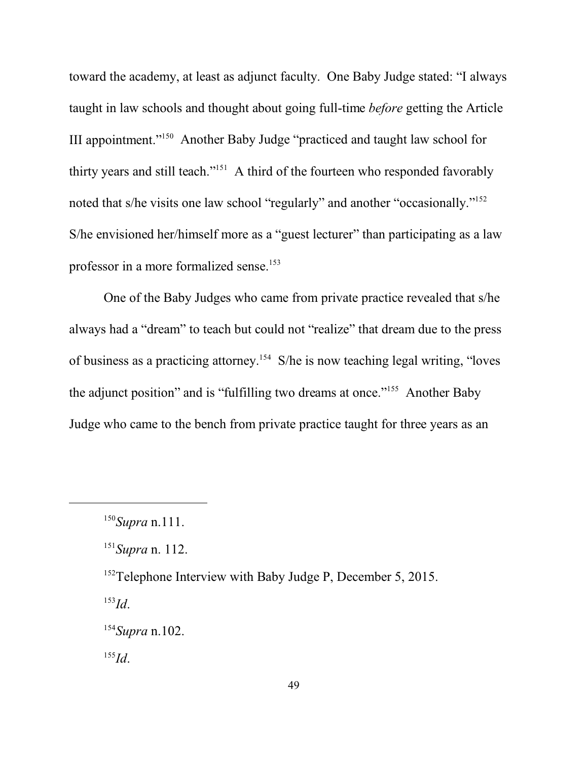toward the academy, at least as adjunct faculty. One Baby Judge stated: "I always taught in law schools and thought about going full-time *before* getting the Article III appointment."<sup>150</sup> Another Baby Judge "practiced and taught law school for thirty years and still teach."<sup>151</sup> A third of the fourteen who responded favorably noted that s/he visits one law school "regularly" and another "occasionally."<sup>152</sup> S/he envisioned her/himself more as a "guest lecturer" than participating as a law professor in a more formalized sense. 153

One of the Baby Judges who came from private practice revealed that s/he always had a "dream" to teach but could not "realize" that dream due to the press of business as a practicing attorney. 154 S/he is now teaching legal writing, "loves the adjunct position" and is "fulfilling two dreams at once."<sup>155</sup> Another Baby Judge who came to the bench from private practice taught for three years as an

153 *Id*.

<sup>150</sup> *Supra* n.111.

<sup>151</sup> *Supra* n. 112.

<sup>&</sup>lt;sup>152</sup>Telephone Interview with Baby Judge P, December 5, 2015.

<sup>154</sup> *Supra* n.102.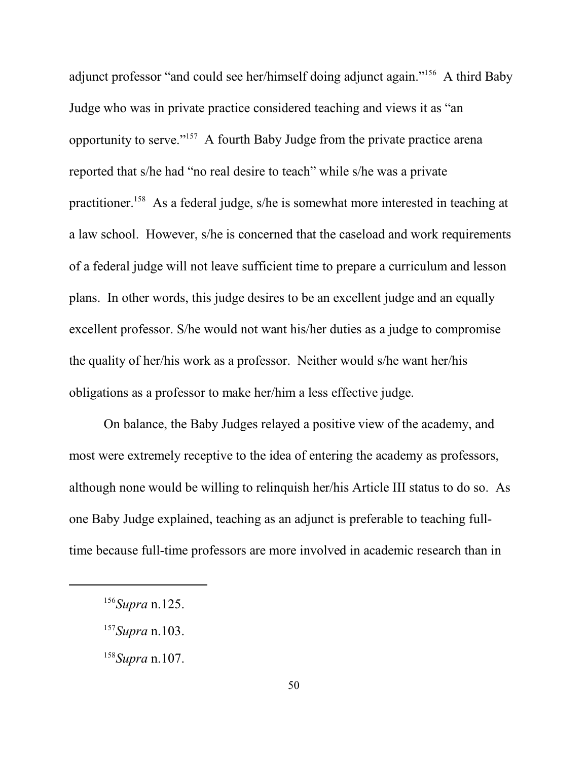adjunct professor "and could see her/himself doing adjunct again."<sup>156</sup> A third Baby Judge who was in private practice considered teaching and views it as "an opportunity to serve."<sup>157</sup> A fourth Baby Judge from the private practice arena reported that s/he had "no real desire to teach" while s/he was a private practitioner.<sup>158</sup> As a federal judge, s/he is somewhat more interested in teaching at a law school. However, s/he is concerned that the caseload and work requirements of a federal judge will not leave sufficient time to prepare a curriculum and lesson plans. In other words, this judge desires to be an excellent judge and an equally excellent professor. S/he would not want his/her duties as a judge to compromise the quality of her/his work as a professor. Neither would s/he want her/his obligations as a professor to make her/him a less effective judge.

On balance, the Baby Judges relayed a positive view of the academy, and most were extremely receptive to the idea of entering the academy as professors, although none would be willing to relinquish her/his Article III status to do so. As one Baby Judge explained, teaching as an adjunct is preferable to teaching fulltime because full-time professors are more involved in academic research than in

<sup>156</sup> *Supra* n.125.

<sup>157</sup> *Supra* n.103.

<sup>158</sup> *Supra* n.107.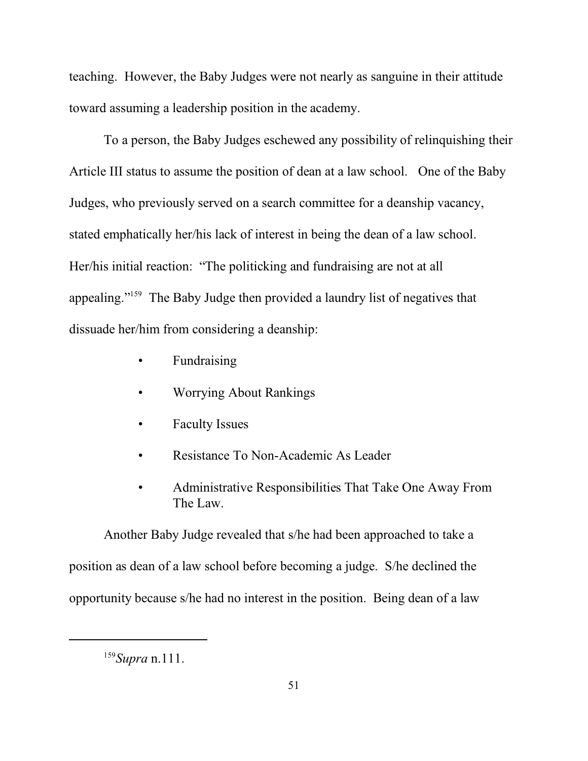teaching. However, the Baby Judges were not nearly as sanguine in their attitude toward assuming a leadership position in the academy.

To a person, the Baby Judges eschewed any possibility of relinquishing their Article III status to assume the position of dean at a law school. One of the Baby Judges, who previously served on a search committee for a deanship vacancy, stated emphatically her/his lack of interest in being the dean of a law school. Her/his initial reaction: "The politicking and fundraising are not at all appealing."<sup>159</sup> The Baby Judge then provided a laundry list of negatives that dissuade her/him from considering a deanship:

- Fundraising
- Worrying About Rankings
- Faculty Issues
- Resistance To Non-Academic As Leader
- Administrative Responsibilities That Take One Away From The Law.

Another Baby Judge revealed that s/he had been approached to take a position as dean of a law school before becoming a judge. S/he declined the opportunity because s/he had no interest in the position. Being dean of a law

<sup>159</sup> *Supra* n.111.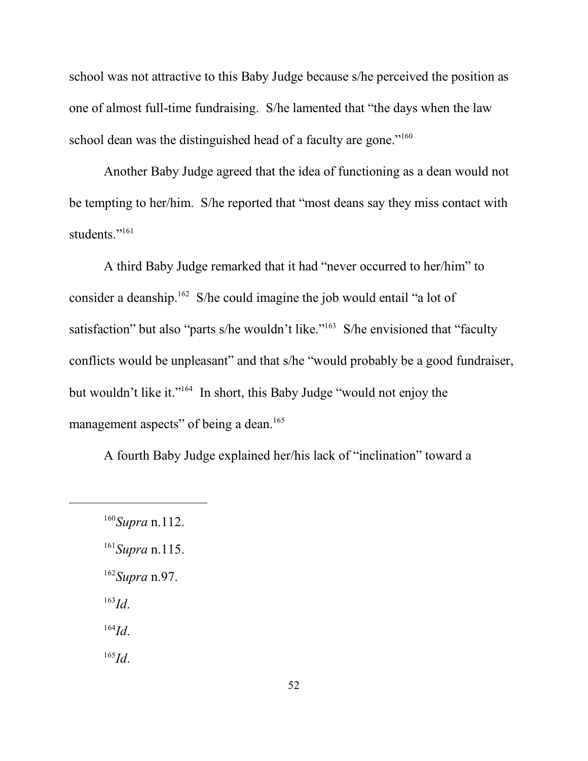school was not attractive to this Baby Judge because s/he perceived the position as one of almost full-time fundraising. S/he lamented that "the days when the law school dean was the distinguished head of a faculty are gone."<sup>160</sup>

Another Baby Judge agreed that the idea of functioning as a dean would not be tempting to her/him. S/he reported that "most deans say they miss contact with students."<sup>161</sup>

A third Baby Judge remarked that it had "never occurred to her/him" to consider a deanship.<sup>162</sup> S/he could imagine the job would entail "a lot of satisfaction" but also "parts s/he wouldn't like."<sup>163</sup> S/he envisioned that "faculty conflicts would be unpleasant" and that s/he "would probably be a good fundraiser, but wouldn't like it."<sup>164</sup> In short, this Baby Judge "would not enjoy the management aspects" of being a dean.<sup>165</sup>

A fourth Baby Judge explained her/his lack of "inclination" toward a

- 162 *Supra* n.97.
- 163 *Id*.

164 *Id*.

<sup>160</sup> *Supra* n.112.

<sup>161</sup> *Supra* n.115.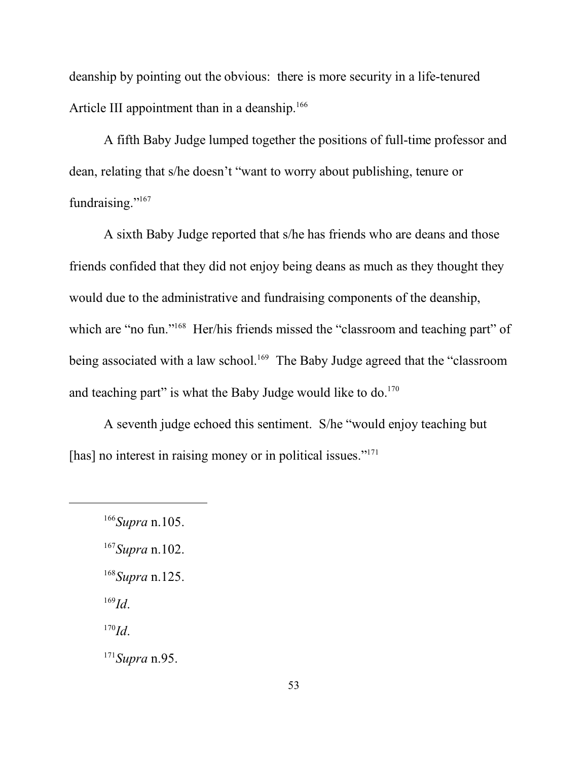deanship by pointing out the obvious: there is more security in a life-tenured Article III appointment than in a deanship.<sup>166</sup>

A fifth Baby Judge lumped together the positions of full-time professor and dean, relating that s/he doesn't "want to worry about publishing, tenure or fundraising."<sup>167</sup>

A sixth Baby Judge reported that s/he has friends who are deans and those friends confided that they did not enjoy being deans as much as they thought they would due to the administrative and fundraising components of the deanship, which are "no fun."<sup>168</sup> Her/his friends missed the "classroom and teaching part" of being associated with a law school.<sup>169</sup> The Baby Judge agreed that the "classroom and teaching part" is what the Baby Judge would like to  $do.^{170}$ .

A seventh judge echoed this sentiment. S/he "would enjoy teaching but [has] no interest in raising money or in political issues."<sup>171</sup>

- 168 *Supra* n.125.
- 169 *Id*.

170 *Id*.

171 *Supra* n.95.

<sup>166</sup> *Supra* n.105.

<sup>167</sup> *Supra* n.102.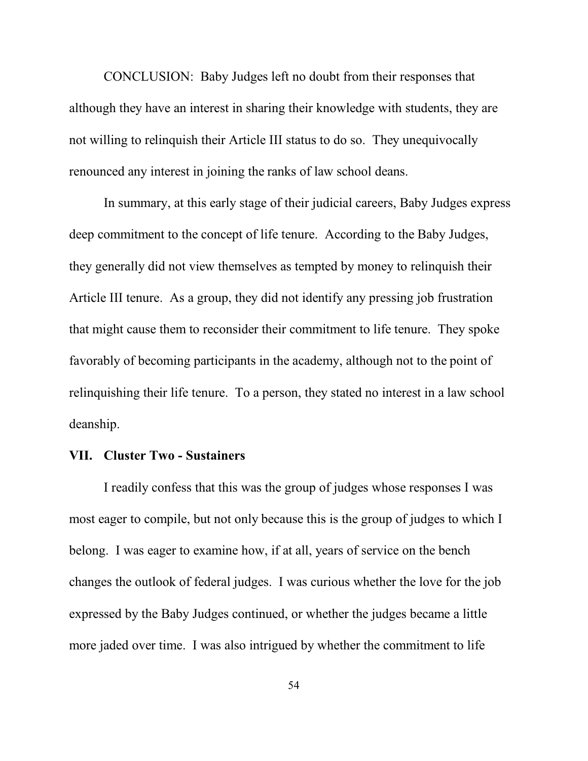CONCLUSION: Baby Judges left no doubt from their responses that although they have an interest in sharing their knowledge with students, they are not willing to relinquish their Article III status to do so. They unequivocally renounced any interest in joining the ranks of law school deans.

In summary, at this early stage of their judicial careers, Baby Judges express deep commitment to the concept of life tenure. According to the Baby Judges, they generally did not view themselves as tempted by money to relinquish their Article III tenure. As a group, they did not identify any pressing job frustration that might cause them to reconsider their commitment to life tenure. They spoke favorably of becoming participants in the academy, although not to the point of relinquishing their life tenure. To a person, they stated no interest in a law school deanship.

#### **VII. Cluster Two - Sustainers**

I readily confess that this was the group of judges whose responses I was most eager to compile, but not only because this is the group of judges to which I belong. I was eager to examine how, if at all, years of service on the bench changes the outlook of federal judges. I was curious whether the love for the job expressed by the Baby Judges continued, or whether the judges became a little more jaded over time. I was also intrigued by whether the commitment to life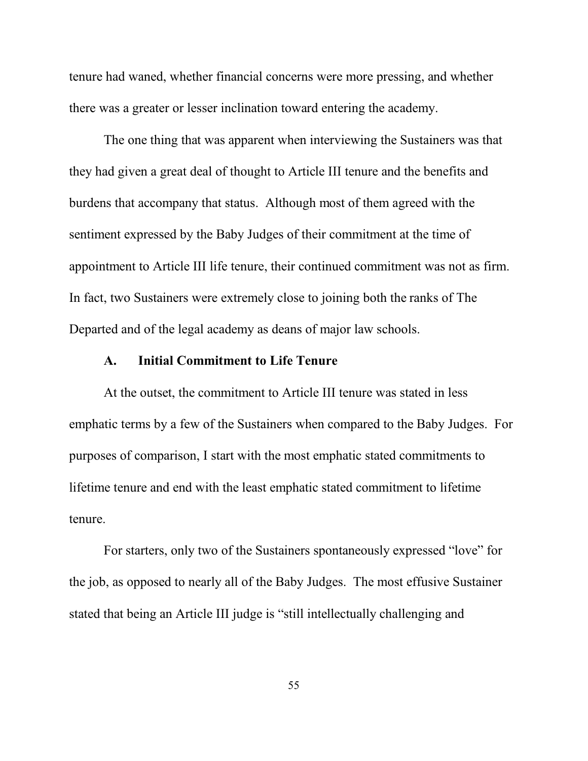tenure had waned, whether financial concerns were more pressing, and whether there was a greater or lesser inclination toward entering the academy.

The one thing that was apparent when interviewing the Sustainers was that they had given a great deal of thought to Article III tenure and the benefits and burdens that accompany that status. Although most of them agreed with the sentiment expressed by the Baby Judges of their commitment at the time of appointment to Article III life tenure, their continued commitment was not as firm. In fact, two Sustainers were extremely close to joining both the ranks of The Departed and of the legal academy as deans of major law schools.

#### **A. Initial Commitment to Life Tenure**

At the outset, the commitment to Article III tenure was stated in less emphatic terms by a few of the Sustainers when compared to the Baby Judges. For purposes of comparison, I start with the most emphatic stated commitments to lifetime tenure and end with the least emphatic stated commitment to lifetime tenure.

For starters, only two of the Sustainers spontaneously expressed "love" for the job, as opposed to nearly all of the Baby Judges. The most effusive Sustainer stated that being an Article III judge is "still intellectually challenging and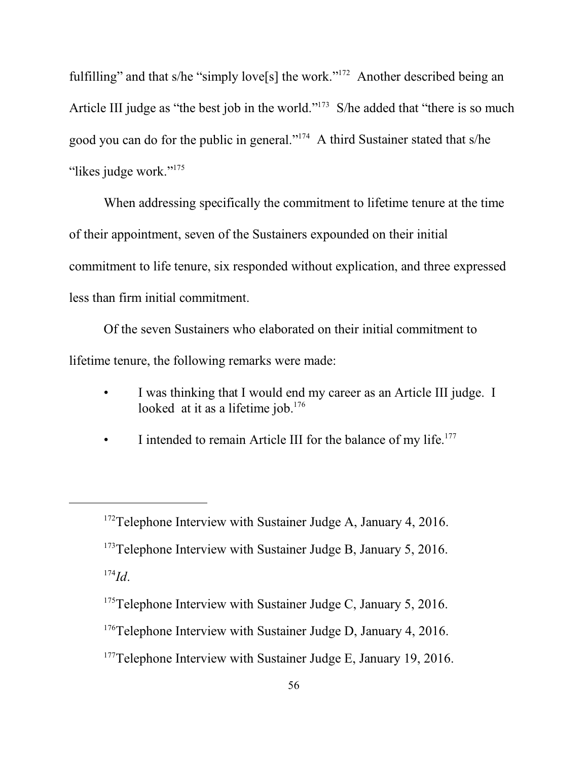fulfilling" and that s/he "simply love[s] the work."<sup>172</sup> Another described being an Article III judge as "the best job in the world."<sup>173</sup> S/he added that "there is so much good you can do for the public in general."<sup>174</sup> A third Sustainer stated that s/he "likes judge work."<sup>175</sup>

When addressing specifically the commitment to lifetime tenure at the time of their appointment, seven of the Sustainers expounded on their initial commitment to life tenure, six responded without explication, and three expressed less than firm initial commitment.

Of the seven Sustainers who elaborated on their initial commitment to lifetime tenure, the following remarks were made:

- I was thinking that I would end my career as an Article III judge. I looked at it as a lifetime job. $176$
- I intended to remain Article III for the balance of my life.<sup>177</sup>

<sup>177</sup>Telephone Interview with Sustainer Judge E, January 19, 2016.

<sup>&</sup>lt;sup>172</sup>Telephone Interview with Sustainer Judge A, January 4, 2016. <sup>173</sup>Telephone Interview with Sustainer Judge B, January 5, 2016. 174 *Id*.

 $175$ Telephone Interview with Sustainer Judge C, January 5, 2016.

<sup>&</sup>lt;sup>176</sup>Telephone Interview with Sustainer Judge D, January 4, 2016.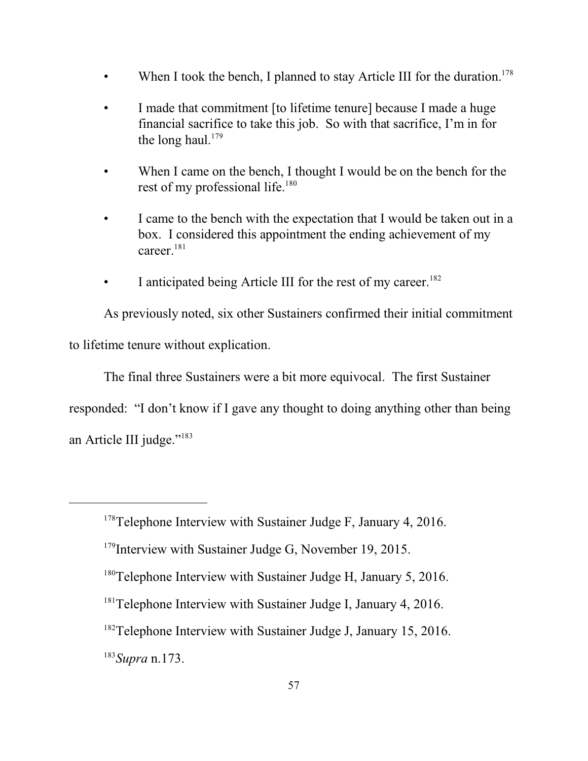- When I took the bench, I planned to stay Article III for the duration.<sup>178</sup>
- I made that commitment [to lifetime tenure] because I made a huge financial sacrifice to take this job. So with that sacrifice, I'm in for the long haul.<sup>179</sup>
- When I came on the bench, I thought I would be on the bench for the rest of my professional life.<sup>180</sup>
- I came to the bench with the expectation that I would be taken out in a box. I considered this appointment the ending achievement of my career.<sup>181</sup>
- I anticipated being Article III for the rest of my career.<sup>182</sup>

As previously noted, six other Sustainers confirmed their initial commitment to lifetime tenure without explication.

The final three Sustainers were a bit more equivocal. The first Sustainer

responded: "I don't know if I gave any thought to doing anything other than being

an Article III judge."<sup>183</sup>

183 *Supra* n.173.

<sup>&</sup>lt;sup>178</sup>Telephone Interview with Sustainer Judge F, January 4, 2016.

<sup>&</sup>lt;sup>179</sup>Interview with Sustainer Judge G, November 19, 2015.

<sup>&</sup>lt;sup>180</sup>Telephone Interview with Sustainer Judge H, January 5, 2016.

<sup>&</sup>lt;sup>181</sup>Telephone Interview with Sustainer Judge I, January 4, 2016.

<sup>&</sup>lt;sup>182</sup>Telephone Interview with Sustainer Judge J, January 15, 2016.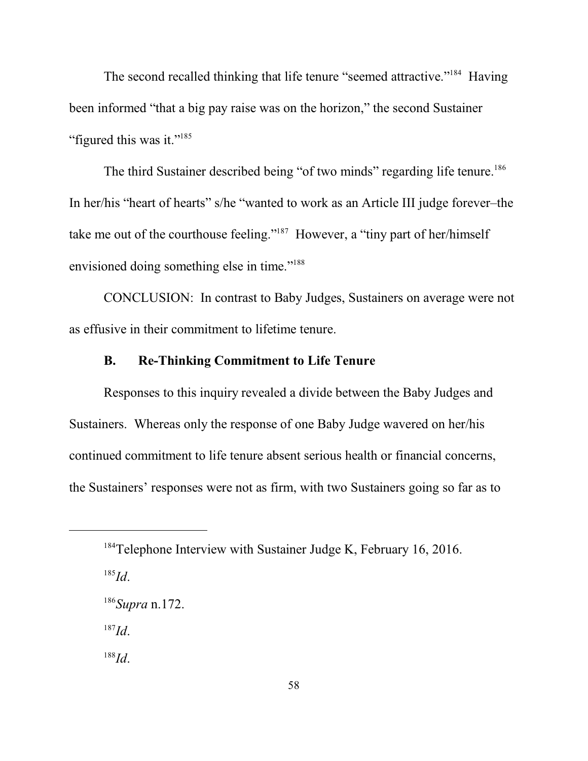The second recalled thinking that life tenure "seemed attractive."<sup>184</sup> Having been informed "that a big pay raise was on the horizon," the second Sustainer "figured this was it."<sup>185</sup>

The third Sustainer described being "of two minds" regarding life tenure.<sup>186</sup> In her/his "heart of hearts" s/he "wanted to work as an Article III judge forever–the take me out of the courthouse feeling."<sup>187</sup> However, a "tiny part of her/himself envisioned doing something else in time."<sup>188</sup>

CONCLUSION: In contrast to Baby Judges, Sustainers on average were not as effusive in their commitment to lifetime tenure.

# **B. Re-Thinking Commitment to Life Tenure**

Responses to this inquiry revealed a divide between the Baby Judges and Sustainers. Whereas only the response of one Baby Judge wavered on her/his continued commitment to life tenure absent serious health or financial concerns, the Sustainers' responses were not as firm, with two Sustainers going so far as to

187 *Id*.

<sup>&</sup>lt;sup>184</sup>Telephone Interview with Sustainer Judge K, February 16, 2016.

<sup>185</sup> *Id*.

<sup>186</sup> *Supra* n.172.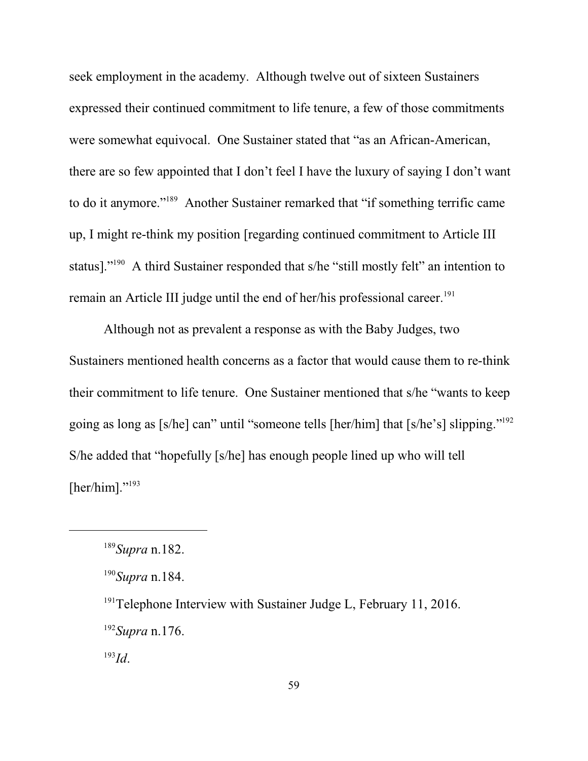seek employment in the academy. Although twelve out of sixteen Sustainers expressed their continued commitment to life tenure, a few of those commitments were somewhat equivocal. One Sustainer stated that "as an African-American, there are so few appointed that I don't feel I have the luxury of saying I don't want to do it anymore."<sup>189</sup> Another Sustainer remarked that "if something terrific came up, I might re-think my position [regarding continued commitment to Article III status]."<sup>190</sup> A third Sustainer responded that s/he "still mostly felt" an intention to remain an Article III judge until the end of her/his professional career.<sup>191</sup>

Although not as prevalent a response as with the Baby Judges, two Sustainers mentioned health concerns as a factor that would cause them to re-think their commitment to life tenure. One Sustainer mentioned that s/he "wants to keep going as long as [s/he] can" until "someone tells [her/him] that [s/he's] slipping."<sup>192</sup> S/he added that "hopefully [s/he] has enough people lined up who will tell [her/him]." $193$ 

 $191$ <sup>191</sup>Telephone Interview with Sustainer Judge L, February 11, 2016. 192 *Supra* n.176.

<sup>189</sup> *Supra* n.182.

<sup>190</sup> *Supra* n.184.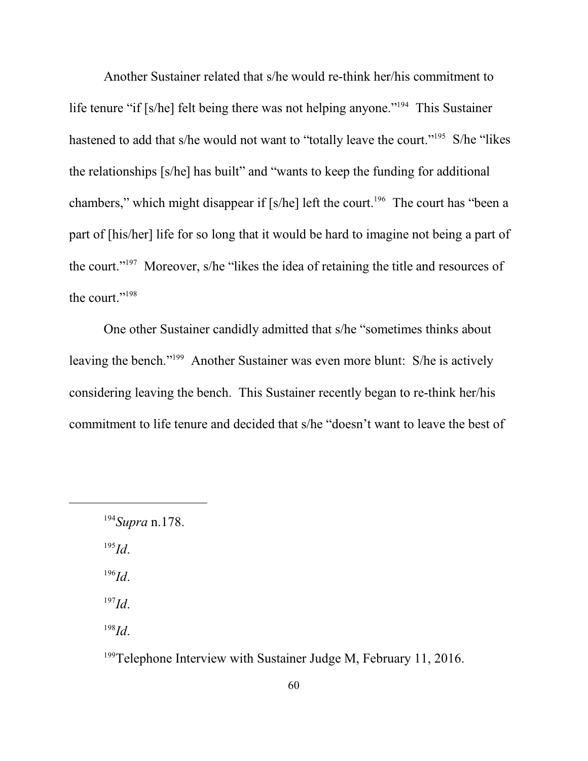Another Sustainer related that s/he would re-think her/his commitment to life tenure "if [s/he] felt being there was not helping anyone."<sup>194</sup> This Sustainer hastened to add that s/he would not want to "totally leave the court."<sup>195</sup> S/he "likes the relationships [s/he] has built" and "wants to keep the funding for additional chambers," which might disappear if [s/he] left the court.<sup>196</sup> The court has "been a part of [his/her] life for so long that it would be hard to imagine not being a part of the court."<sup>197</sup> Moreover, s/he "likes the idea of retaining the title and resources of the court."<sup>198</sup>

One other Sustainer candidly admitted that s/he "sometimes thinks about leaving the bench."<sup>199</sup> Another Sustainer was even more blunt: S/he is actively considering leaving the bench. This Sustainer recently began to re-think her/his commitment to life tenure and decided that s/he "doesn't want to leave the best of

195 *Id*.

196 *Id*.

197 *Id*.

198 *Id*.

<sup>199</sup>Telephone Interview with Sustainer Judge M, February 11, 2016.

<sup>194</sup> *Supra* n.178.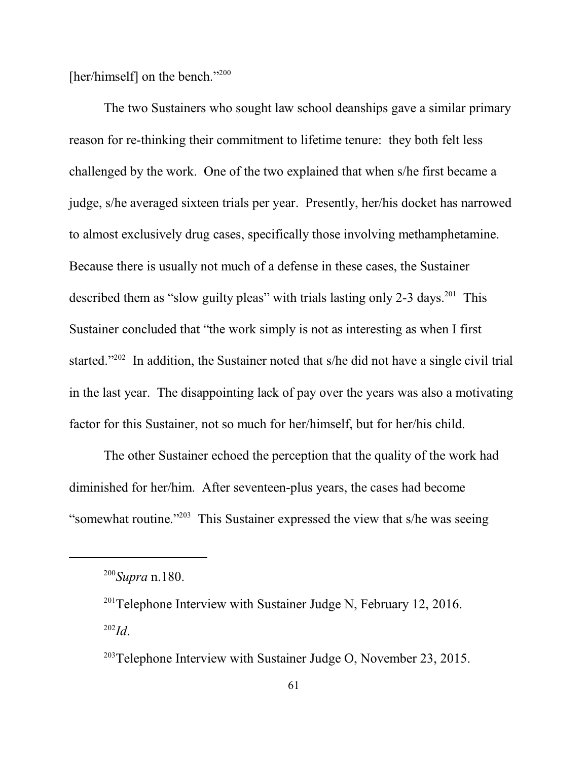[her/himself] on the bench."<sup>200</sup>

The two Sustainers who sought law school deanships gave a similar primary reason for re-thinking their commitment to lifetime tenure: they both felt less challenged by the work. One of the two explained that when s/he first became a judge, s/he averaged sixteen trials per year. Presently, her/his docket has narrowed to almost exclusively drug cases, specifically those involving methamphetamine. Because there is usually not much of a defense in these cases, the Sustainer described them as "slow guilty pleas" with trials lasting only 2-3 days.<sup>201</sup> This Sustainer concluded that "the work simply is not as interesting as when I first started."<sup>202</sup> In addition, the Sustainer noted that s/he did not have a single civil trial in the last year. The disappointing lack of pay over the years was also a motivating factor for this Sustainer, not so much for her/himself, but for her/his child.

The other Sustainer echoed the perception that the quality of the work had diminished for her/him. After seventeen-plus years, the cases had become "somewhat routine."<sup>203</sup> This Sustainer expressed the view that s/he was seeing

<sup>200</sup> *Supra* n.180.

 $201$ Telephone Interview with Sustainer Judge N, February 12, 2016. 202 *Id*.

<sup>&</sup>lt;sup>203</sup>Telephone Interview with Sustainer Judge O, November 23, 2015.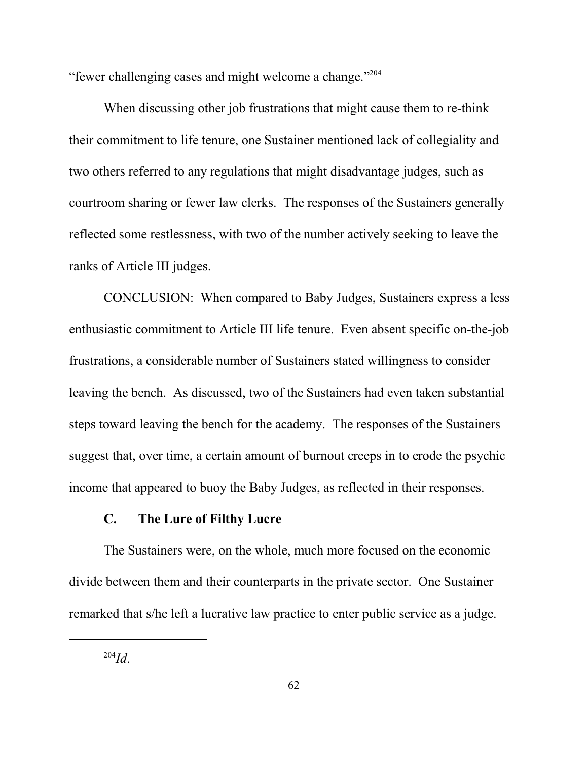"fewer challenging cases and might welcome a change."<sup>204</sup>

When discussing other job frustrations that might cause them to re-think their commitment to life tenure, one Sustainer mentioned lack of collegiality and two others referred to any regulations that might disadvantage judges, such as courtroom sharing or fewer law clerks. The responses of the Sustainers generally reflected some restlessness, with two of the number actively seeking to leave the ranks of Article III judges.

CONCLUSION: When compared to Baby Judges, Sustainers express a less enthusiastic commitment to Article III life tenure. Even absent specific on-the-job frustrations, a considerable number of Sustainers stated willingness to consider leaving the bench. As discussed, two of the Sustainers had even taken substantial steps toward leaving the bench for the academy. The responses of the Sustainers suggest that, over time, a certain amount of burnout creeps in to erode the psychic income that appeared to buoy the Baby Judges, as reflected in their responses.

#### **C. The Lure of Filthy Lucre**

The Sustainers were, on the whole, much more focused on the economic divide between them and their counterparts in the private sector. One Sustainer remarked that s/he left a lucrative law practice to enter public service as a judge.

<sup>204</sup> *Id*.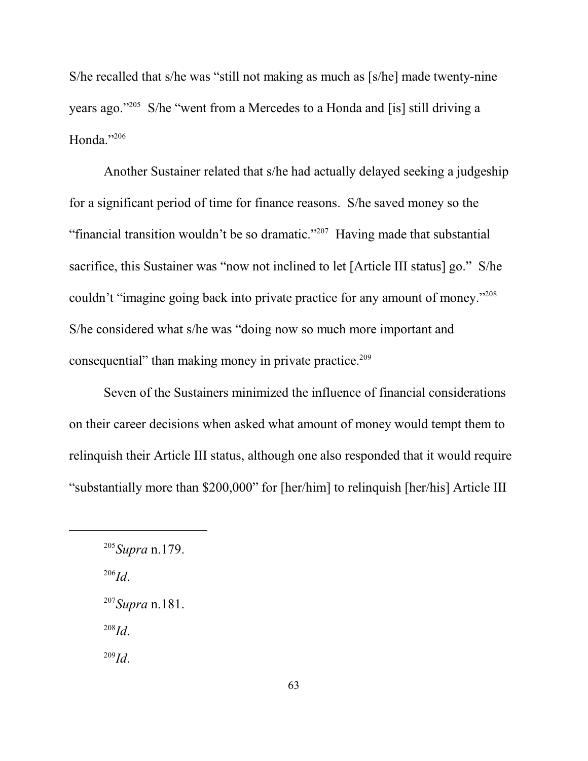S/he recalled that s/he was "still not making as much as [s/he] made twenty-nine years ago."<sup>205</sup> S/he "went from a Mercedes to a Honda and [is] still driving a Honda."206

Another Sustainer related that s/he had actually delayed seeking a judgeship for a significant period of time for finance reasons. S/he saved money so the "financial transition wouldn't be so dramatic."<sup>207</sup> Having made that substantial sacrifice, this Sustainer was "now not inclined to let [Article III status] go." S/he couldn't "imagine going back into private practice for any amount of money."<sup>208</sup> S/he considered what s/he was "doing now so much more important and consequential" than making money in private practice. 209

Seven of the Sustainers minimized the influence of financial considerations on their career decisions when asked what amount of money would tempt them to relinquish their Article III status, although one also responded that it would require "substantially more than \$200,000" for [her/him] to relinquish [her/his] Article III

206 *Id*.

208 *Id*.

<sup>205</sup> *Supra* n.179.

<sup>207</sup> *Supra* n.181.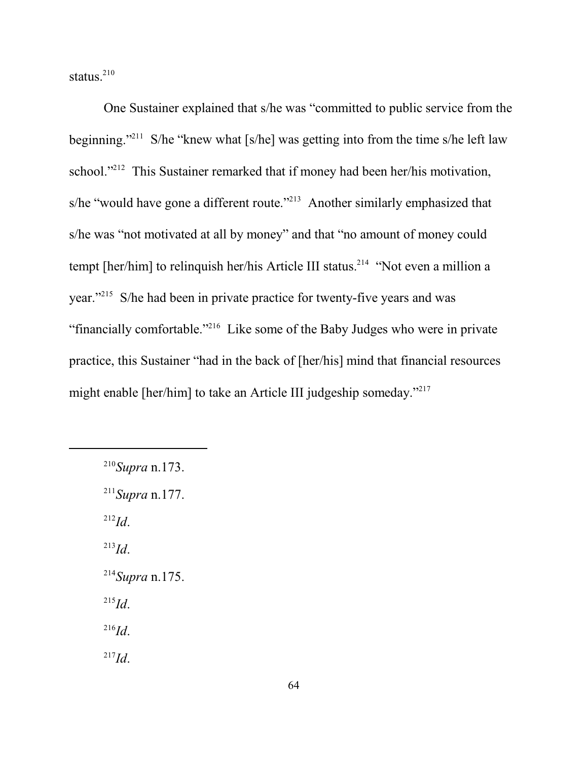status. $210$ 

One Sustainer explained that s/he was "committed to public service from the beginning."<sup>211</sup> S/he "knew what [s/he] was getting into from the time s/he left law school."<sup>212</sup> This Sustainer remarked that if money had been her/his motivation, s/he "would have gone a different route."<sup>213</sup> Another similarly emphasized that s/he was "not motivated at all by money" and that "no amount of money could tempt [her/him] to relinquish her/his Article III status.<sup>214</sup> "Not even a million a year."<sup>215</sup> S/he had been in private practice for twenty-five years and was "financially comfortable."<sup>216</sup> Like some of the Baby Judges who were in private practice, this Sustainer "had in the back of [her/his] mind that financial resources might enable [her/him] to take an Article III judgeship someday."<sup>217</sup>

212 *Id*.

213 *Id*.

214 *Supra* n.175.

215 *Id*.

216 *Id*.

<sup>210</sup> *Supra* n.173.

<sup>211</sup> *Supra* n.177.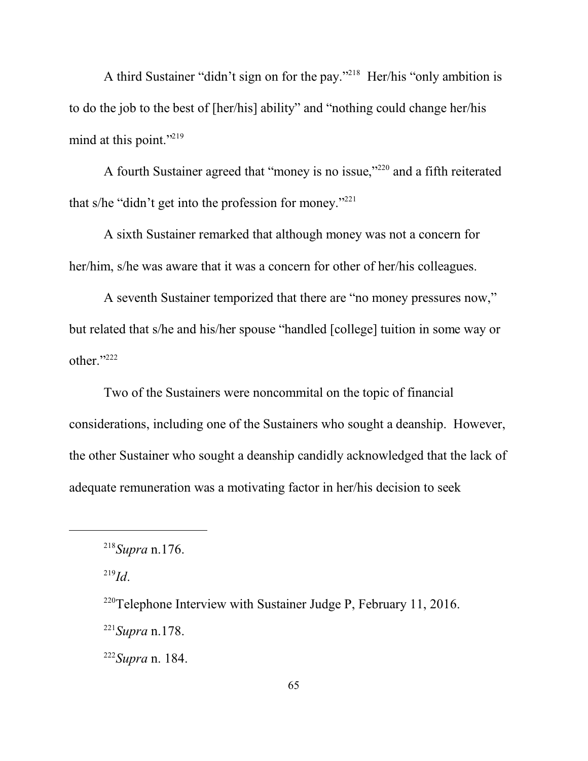A third Sustainer "didn't sign on for the pay."<sup>218</sup> Her/his "only ambition is to do the job to the best of [her/his] ability" and "nothing could change her/his mind at this point."<sup>219</sup>

A fourth Sustainer agreed that "money is no issue,"<sup>220</sup> and a fifth reiterated that s/he "didn't get into the profession for money."<sup>221</sup>

A sixth Sustainer remarked that although money was not a concern for her/him, s/he was aware that it was a concern for other of her/his colleagues.

A seventh Sustainer temporized that there are "no money pressures now," but related that s/he and his/her spouse "handled [college] tuition in some way or other."<sup>222</sup>

Two of the Sustainers were noncommital on the topic of financial considerations, including one of the Sustainers who sought a deanship. However, the other Sustainer who sought a deanship candidly acknowledged that the lack of adequate remuneration was a motivating factor in her/his decision to seek

219 *Id*.

<sup>220</sup>Telephone Interview with Sustainer Judge P, February 11, 2016.

221 *Supra* n.178.

222 *Supra* n. 184.

<sup>218</sup> *Supra* n.176.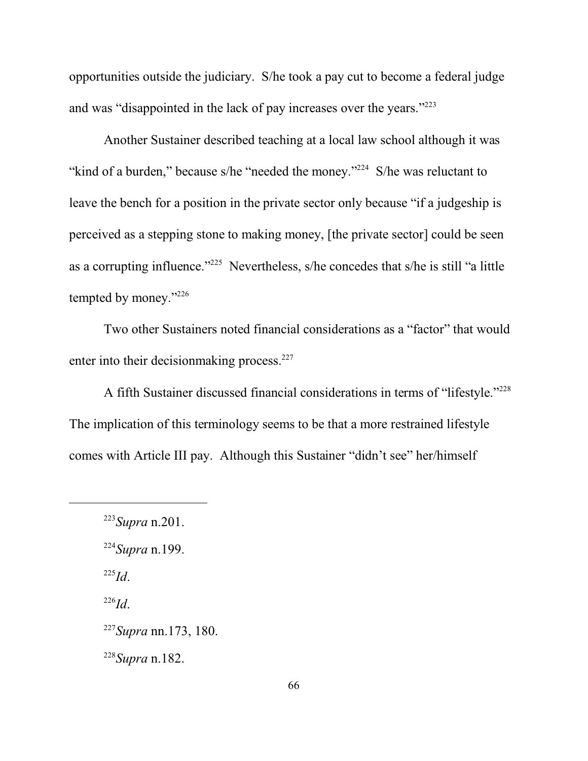opportunities outside the judiciary. S/he took a pay cut to become a federal judge and was "disappointed in the lack of pay increases over the years."<sup>223</sup>

Another Sustainer described teaching at a local law school although it was "kind of a burden," because s/he "needed the money."<sup>224</sup> S/he was reluctant to leave the bench for a position in the private sector only because "if a judgeship is perceived as a stepping stone to making money, [the private sector] could be seen as a corrupting influence."<sup>225</sup> Nevertheless, s/he concedes that s/he is still "a little tempted by money."<sup>226</sup>

Two other Sustainers noted financial considerations as a "factor" that would enter into their decision making process. $227$ 

A fifth Sustainer discussed financial considerations in terms of "lifestyle."<sup>228</sup> The implication of this terminology seems to be that a more restrained lifestyle comes with Article III pay. Although this Sustainer "didn't see" her/himself

224 *Supra* n.199.

225 *Id*.

226 *Id*.

228 *Supra* n.182.

<sup>223</sup> *Supra* n.201.

<sup>227</sup> *Supra* nn.173, 180.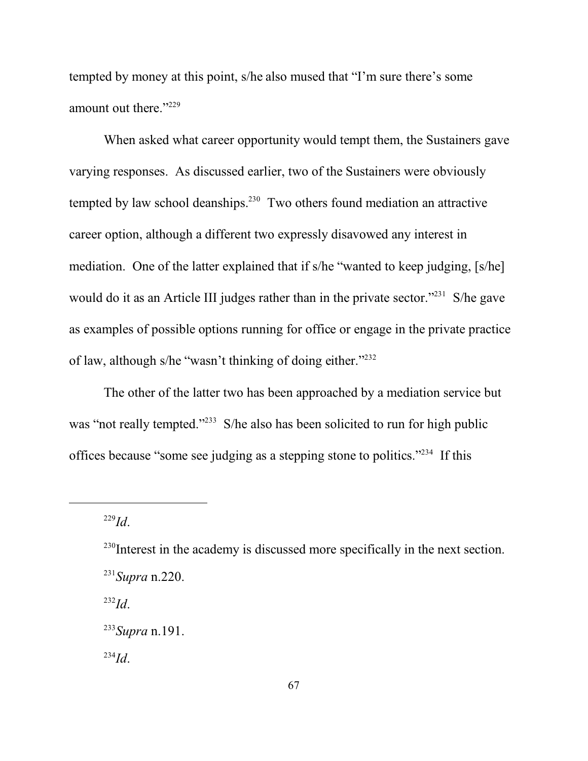tempted by money at this point, s/he also mused that "I'm sure there's some amount out there."<sup>229</sup>

When asked what career opportunity would tempt them, the Sustainers gave varying responses. As discussed earlier, two of the Sustainers were obviously tempted by law school deanships. $230$  Two others found mediation an attractive career option, although a different two expressly disavowed any interest in mediation. One of the latter explained that if s/he "wanted to keep judging, [s/he] would do it as an Article III judges rather than in the private sector."<sup>231</sup> S/he gave as examples of possible options running for office or engage in the private practice of law, although s/he "wasn't thinking of doing either."<sup>232</sup>

The other of the latter two has been approached by a mediation service but was "not really tempted."<sup>233</sup> S/he also has been solicited to run for high public offices because "some see judging as a stepping stone to politics."<sup>234</sup> If this

229 *Id*.

232 *Id*.

<sup>&</sup>lt;sup>230</sup>Interest in the academy is discussed more specifically in the next section. 231 *Supra* n.220.

<sup>233</sup> *Supra* n.191.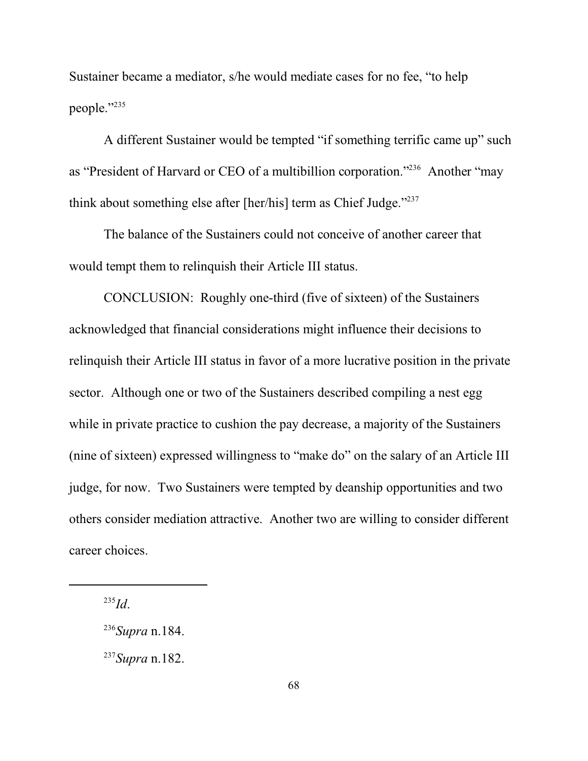Sustainer became a mediator, s/he would mediate cases for no fee, "to help people."<sup>235</sup>

A different Sustainer would be tempted "if something terrific came up" such as "President of Harvard or CEO of a multibillion corporation."<sup>236</sup> Another "may think about something else after [her/his] term as Chief Judge."<sup>237</sup>

The balance of the Sustainers could not conceive of another career that would tempt them to relinquish their Article III status.

CONCLUSION: Roughly one-third (five of sixteen) of the Sustainers acknowledged that financial considerations might influence their decisions to relinquish their Article III status in favor of a more lucrative position in the private sector. Although one or two of the Sustainers described compiling a nest egg while in private practice to cushion the pay decrease, a majority of the Sustainers (nine of sixteen) expressed willingness to "make do" on the salary of an Article III judge, for now. Two Sustainers were tempted by deanship opportunities and two others consider mediation attractive. Another two are willing to consider different career choices.

<sup>235</sup> *Id*.

<sup>236</sup> *Supra* n.184.

<sup>237</sup> *Supra* n.182.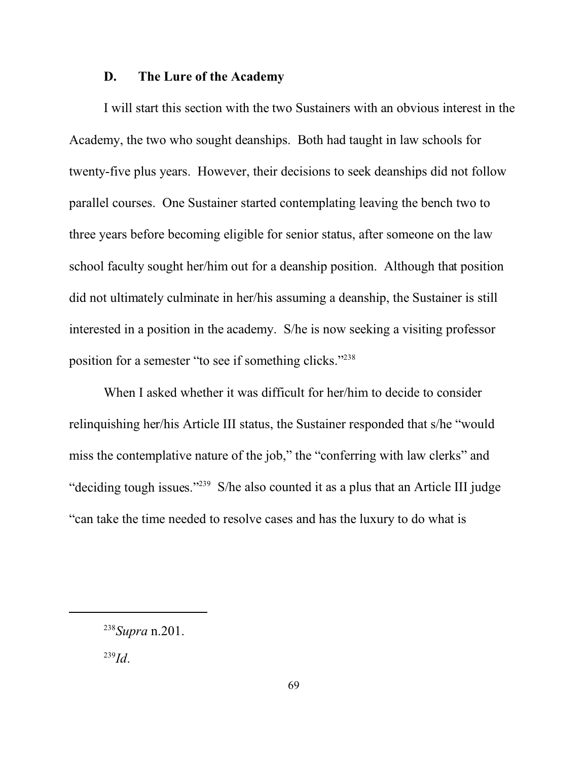## **D. The Lure of the Academy**

I will start this section with the two Sustainers with an obvious interest in the Academy, the two who sought deanships. Both had taught in law schools for twenty-five plus years. However, their decisions to seek deanships did not follow parallel courses. One Sustainer started contemplating leaving the bench two to three years before becoming eligible for senior status, after someone on the law school faculty sought her/him out for a deanship position. Although that position did not ultimately culminate in her/his assuming a deanship, the Sustainer is still interested in a position in the academy. S/he is now seeking a visiting professor position for a semester "to see if something clicks."<sup>238</sup>

When I asked whether it was difficult for her/him to decide to consider relinquishing her/his Article III status, the Sustainer responded that s/he "would miss the contemplative nature of the job," the "conferring with law clerks" and "deciding tough issues."<sup>239</sup> S/he also counted it as a plus that an Article III judge "can take the time needed to resolve cases and has the luxury to do what is

<sup>238</sup> *Supra* n.201.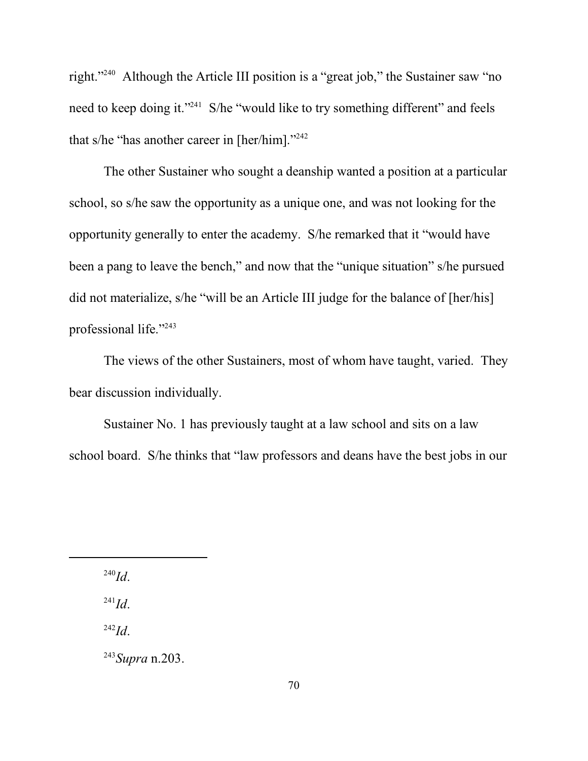right."<sup>240</sup> Although the Article III position is a "great job," the Sustainer saw "no need to keep doing it."<sup>241</sup> S/he "would like to try something different" and feels that s/he "has another career in [her/him]."<sup>242</sup>

The other Sustainer who sought a deanship wanted a position at a particular school, so s/he saw the opportunity as a unique one, and was not looking for the opportunity generally to enter the academy. S/he remarked that it "would have been a pang to leave the bench," and now that the "unique situation" s/he pursued did not materialize, s/he "will be an Article III judge for the balance of [her/his] professional life."<sup>243</sup>

The views of the other Sustainers, most of whom have taught, varied. They bear discussion individually.

Sustainer No. 1 has previously taught at a law school and sits on a law school board. S/he thinks that "law professors and deans have the best jobs in our

240 *Id*.

241 *Id*.

242 *Id*.

243 *Supra* n.203.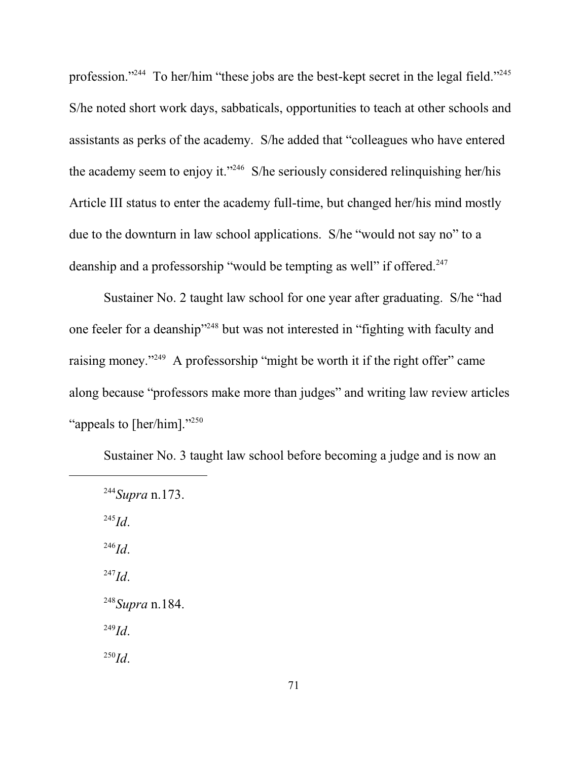profession."<sup>244</sup> To her/him "these jobs are the best-kept secret in the legal field."<sup>245</sup> S/he noted short work days, sabbaticals, opportunities to teach at other schools and assistants as perks of the academy. S/he added that "colleagues who have entered the academy seem to enjoy it."<sup>246</sup> S/he seriously considered relinquishing her/his Article III status to enter the academy full-time, but changed her/his mind mostly due to the downturn in law school applications. S/he "would not say no" to a deanship and a professorship "would be tempting as well" if offered.<sup>247</sup>

Sustainer No. 2 taught law school for one year after graduating. S/he "had one feeler for a deanship"<sup>248</sup> but was not interested in "fighting with faculty and raising money."<sup>249</sup> A professorship "might be worth it if the right offer" came along because "professors make more than judges" and writing law review articles "appeals to [her/him]."<sup>250</sup>

Sustainer No. 3 taught law school before becoming a judge and is now an

244 *Supra* n.173. 245 *Id*. 246 *Id*. 247 *Id*. 248 *Supra* n.184. 249 *Id*. 250 *Id*.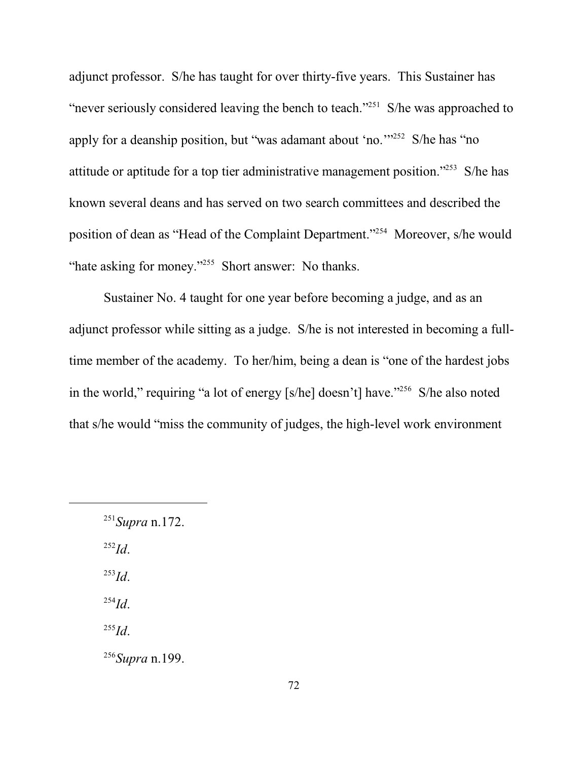adjunct professor. S/he has taught for over thirty-five years. This Sustainer has "never seriously considered leaving the bench to teach."<sup>251</sup> S/he was approached to apply for a deanship position, but "was adamant about 'no."<sup>252</sup> S/he has "no attitude or aptitude for a top tier administrative management position."<sup>253</sup> S/he has known several deans and has served on two search committees and described the position of dean as "Head of the Complaint Department."<sup>254</sup> Moreover, s/he would "hate asking for money."<sup>255</sup> Short answer: No thanks.

Sustainer No. 4 taught for one year before becoming a judge, and as an adjunct professor while sitting as a judge. S/he is not interested in becoming a fulltime member of the academy. To her/him, being a dean is "one of the hardest jobs in the world," requiring "a lot of energy [s/he] doesn't] have."<sup>256</sup> S/he also noted that s/he would "miss the community of judges, the high-level work environment

252 *Id*.

253 *Id*.

254 *Id*.

255 *Id*.

256 *Supra* n.199.

<sup>251</sup> *Supra* n.172.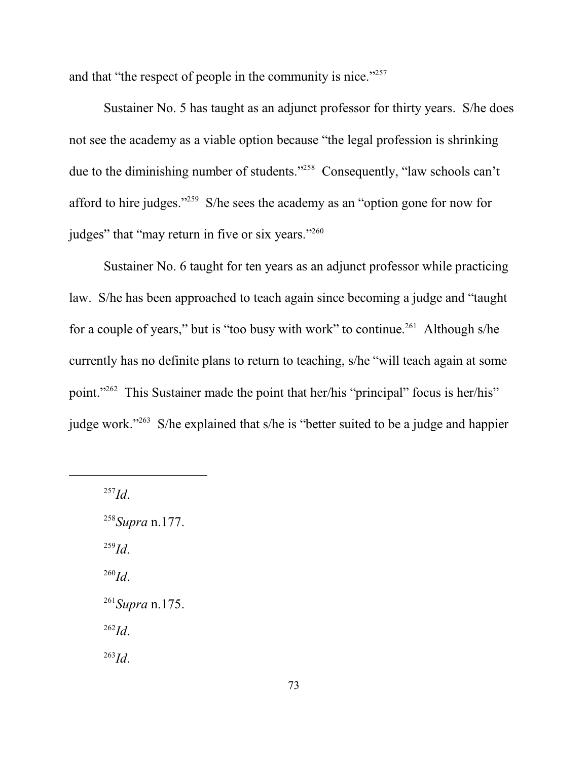and that "the respect of people in the community is nice."<sup>257</sup>

Sustainer No. 5 has taught as an adjunct professor for thirty years. S/he does not see the academy as a viable option because "the legal profession is shrinking due to the diminishing number of students."<sup>258</sup> Consequently, "law schools can't afford to hire judges."<sup>259</sup> S/he sees the academy as an "option gone for now for judges" that "may return in five or six years."<sup>260</sup>

Sustainer No. 6 taught for ten years as an adjunct professor while practicing law. S/he has been approached to teach again since becoming a judge and "taught for a couple of years," but is "too busy with work" to continue.<sup>261</sup> Although s/he currently has no definite plans to return to teaching, s/he "will teach again at some point."<sup>262</sup> This Sustainer made the point that her/his "principal" focus is her/his" judge work."<sup>263</sup> S/he explained that s/he is "better suited to be a judge and happier

257 *Id*.

258 *Supra* n.177. 259 *Id*. 260 *Id*. 261 *Supra* n.175. 262 *Id*. 263 *Id*.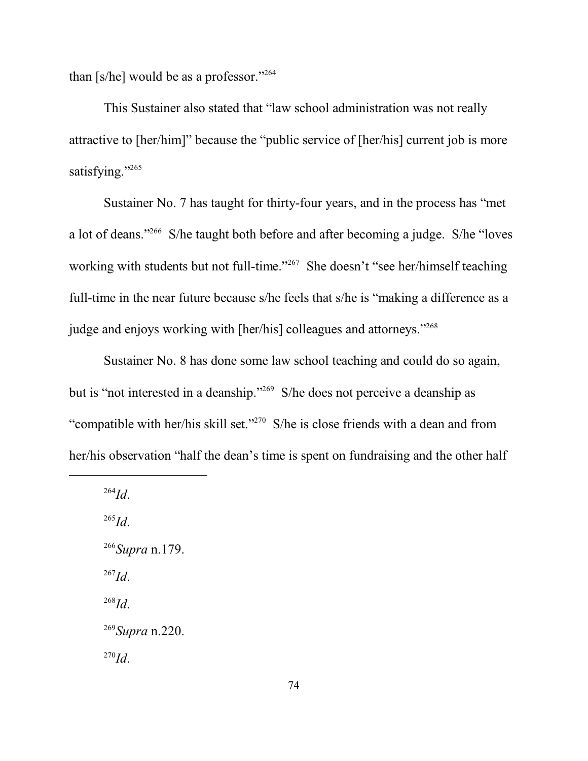than  $[s/he]$  would be as a professor."<sup>264</sup>

This Sustainer also stated that "law school administration was not really attractive to [her/him]" because the "public service of [her/his] current job is more satisfying."<sup>265</sup>

Sustainer No. 7 has taught for thirty-four years, and in the process has "met a lot of deans."<sup>266</sup> S/he taught both before and after becoming a judge. S/he "loves working with students but not full-time."<sup>267</sup> She doesn't "see her/himself teaching full-time in the near future because s/he feels that s/he is "making a difference as a judge and enjoys working with [her/his] colleagues and attorneys."<sup>268</sup>

Sustainer No. 8 has done some law school teaching and could do so again, but is "not interested in a deanship."<sup>269</sup> S/he does not perceive a deanship as "compatible with her/his skill set."<sup>270</sup> S/he is close friends with a dean and from her/his observation "half the dean's time is spent on fundraising and the other half

264 *Id*. 265 *Id*. 266 *Supra* n.179. 267 *Id*. 268 *Id*. 269 *Supra* n.220. 270 *Id*.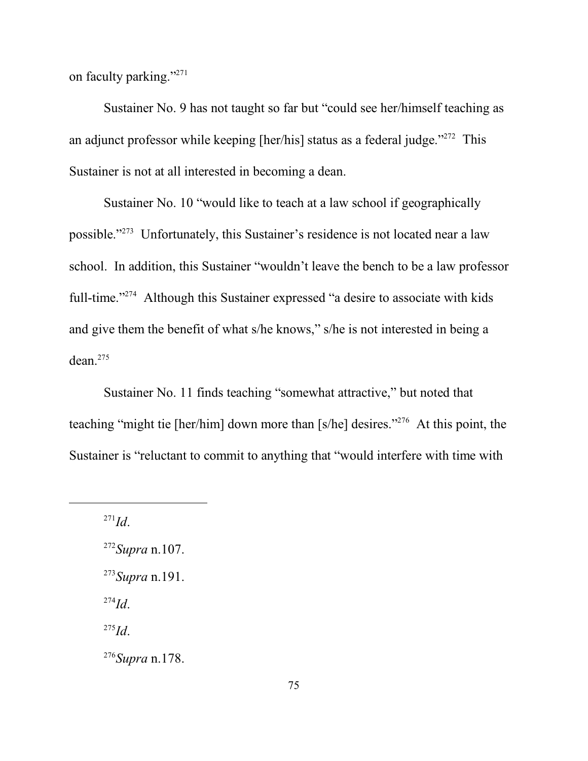on faculty parking."<sup>271</sup>

Sustainer No. 9 has not taught so far but "could see her/himself teaching as an adjunct professor while keeping [her/his] status as a federal judge."<sup>272</sup> This Sustainer is not at all interested in becoming a dean.

Sustainer No. 10 "would like to teach at a law school if geographically possible." 273 Unfortunately, this Sustainer's residence is not located near a law school. In addition, this Sustainer "wouldn't leave the bench to be a law professor full-time."<sup>274</sup> Although this Sustainer expressed "a desire to associate with kids and give them the benefit of what s/he knows," s/he is not interested in being a dean.<sup>275</sup>

Sustainer No. 11 finds teaching "somewhat attractive," but noted that teaching "might tie [her/him] down more than [s/he] desires."<sup>276</sup> At this point, the Sustainer is "reluctant to commit to anything that "would interfere with time with

271 *Id*.

272 *Supra* n.107. 273 *Supra* n.191. 274 *Id*. 275 *Id*.

276 *Supra* n.178.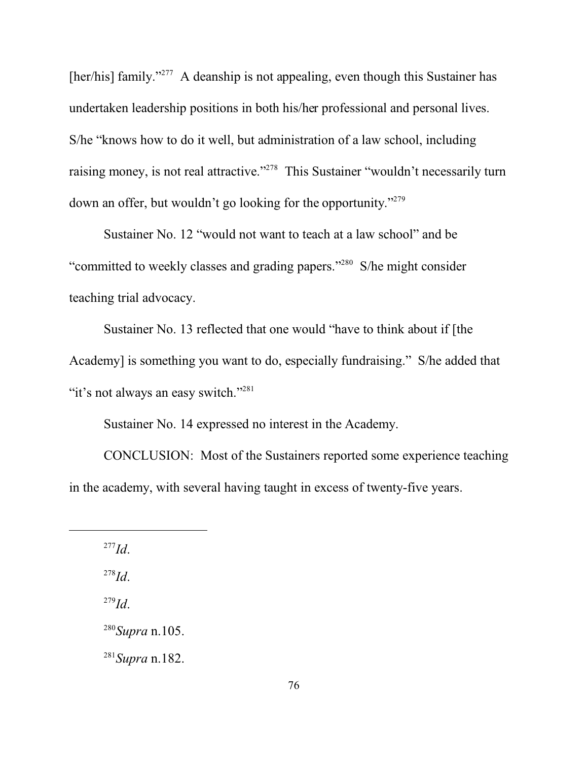[her/his] family."<sup>277</sup> A deanship is not appealing, even though this Sustainer has undertaken leadership positions in both his/her professional and personal lives. S/he "knows how to do it well, but administration of a law school, including raising money, is not real attractive."<sup>278</sup> This Sustainer "wouldn't necessarily turn down an offer, but wouldn't go looking for the opportunity."<sup>279</sup>

Sustainer No. 12 "would not want to teach at a law school" and be "committed to weekly classes and grading papers."<sup>280</sup> S/he might consider teaching trial advocacy.

Sustainer No. 13 reflected that one would "have to think about if [the Academy] is something you want to do, especially fundraising." S/he added that "it's not always an easy switch."<sup>281</sup>

Sustainer No. 14 expressed no interest in the Academy.

CONCLUSION: Most of the Sustainers reported some experience teaching in the academy, with several having taught in excess of twenty-five years.

277 *Id*.

278 *Id*.

279 *Id*.

280 *Supra* n.105.

281 *Supra* n.182.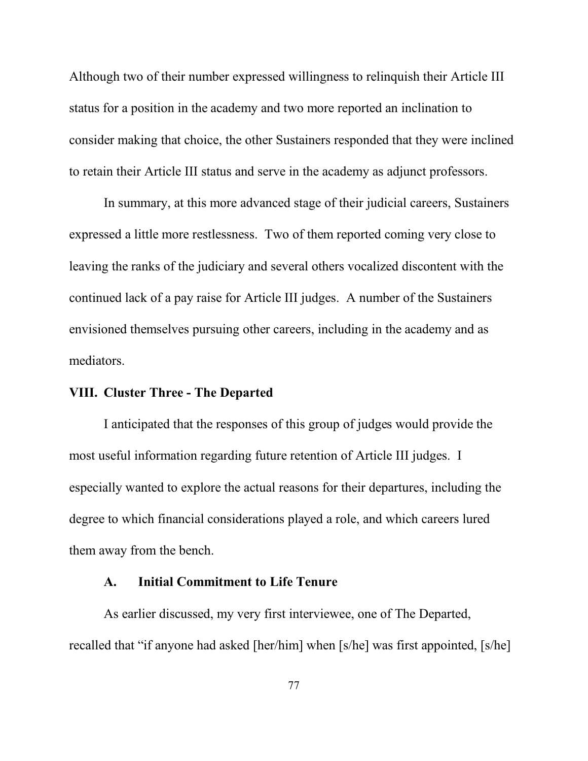Although two of their number expressed willingness to relinquish their Article III status for a position in the academy and two more reported an inclination to consider making that choice, the other Sustainers responded that they were inclined to retain their Article III status and serve in the academy as adjunct professors.

In summary, at this more advanced stage of their judicial careers, Sustainers expressed a little more restlessness. Two of them reported coming very close to leaving the ranks of the judiciary and several others vocalized discontent with the continued lack of a pay raise for Article III judges. A number of the Sustainers envisioned themselves pursuing other careers, including in the academy and as mediators.

### **VIII. Cluster Three - The Departed**

I anticipated that the responses of this group of judges would provide the most useful information regarding future retention of Article III judges. I especially wanted to explore the actual reasons for their departures, including the degree to which financial considerations played a role, and which careers lured them away from the bench.

### **A. Initial Commitment to Life Tenure**

As earlier discussed, my very first interviewee, one of The Departed, recalled that "if anyone had asked [her/him] when [s/he] was first appointed, [s/he]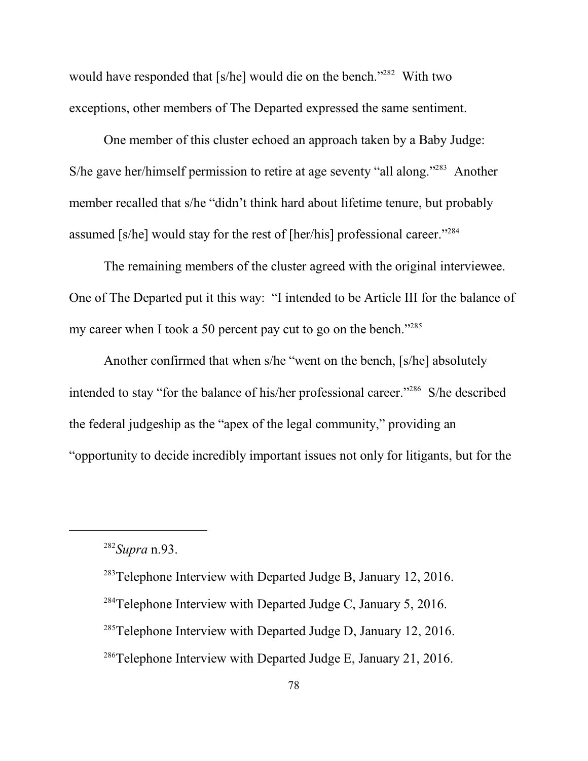would have responded that [s/he] would die on the bench."<sup>282</sup> With two exceptions, other members of The Departed expressed the same sentiment.

One member of this cluster echoed an approach taken by a Baby Judge: S/he gave her/himself permission to retire at age seventy "all along."<sup>283</sup> Another member recalled that s/he "didn't think hard about lifetime tenure, but probably assumed [s/he] would stay for the rest of [her/his] professional career."<sup>284</sup>

The remaining members of the cluster agreed with the original interviewee. One of The Departed put it this way: "I intended to be Article III for the balance of my career when I took a 50 percent pay cut to go on the bench."<sup>285</sup>

Another confirmed that when s/he "went on the bench, [s/he] absolutely intended to stay "for the balance of his/her professional career."<sup>286</sup> S/he described the federal judgeship as the "apex of the legal community," providing an "opportunity to decide incredibly important issues not only for litigants, but for the

<sup>282</sup> *Supra* n.93.

 $283$ Telephone Interview with Departed Judge B, January 12, 2016.

<sup>&</sup>lt;sup>284</sup>Telephone Interview with Departed Judge C, January 5, 2016.

 $285$ Telephone Interview with Departed Judge D, January 12, 2016.

 $286$ Telephone Interview with Departed Judge E, January 21, 2016.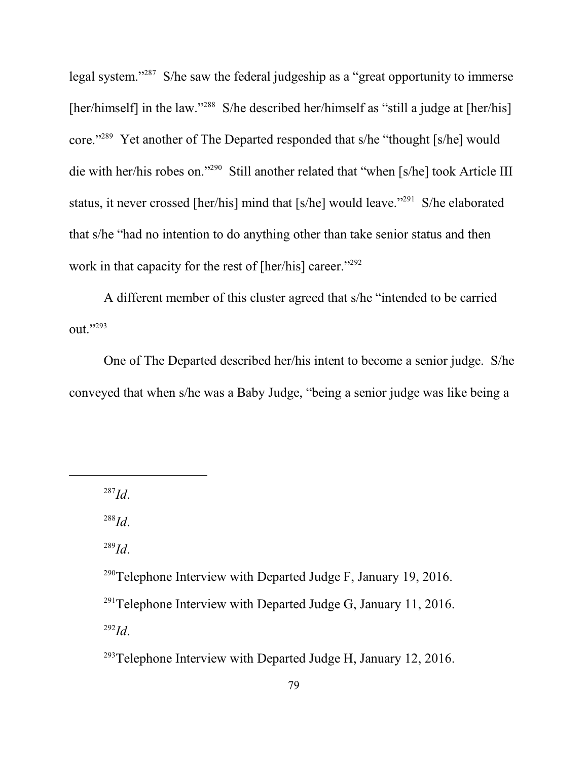legal system."<sup>287</sup> S/he saw the federal judgeship as a "great opportunity to immerse [her/himself] in the law."<sup>288</sup> S/he described her/himself as "still a judge at [her/his] core."<sup>289</sup> Yet another of The Departed responded that s/he "thought [s/he] would die with her/his robes on."<sup>290</sup> Still another related that "when [s/he] took Article III status, it never crossed [her/his] mind that [s/he] would leave."<sup>291</sup> S/he elaborated that s/he "had no intention to do anything other than take senior status and then work in that capacity for the rest of [her/his] career."<sup>292</sup>

A different member of this cluster agreed that s/he "intended to be carried out."<sup>293</sup>

One of The Departed described her/his intent to become a senior judge. S/he conveyed that when s/he was a Baby Judge, "being a senior judge was like being a

289 *Id*.

<sup>293</sup>Telephone Interview with Departed Judge H, January 12, 2016.

<sup>287</sup> *Id*.

<sup>288</sup> *Id*.

<sup>&</sup>lt;sup>290</sup>Telephone Interview with Departed Judge F, January 19, 2016.  $^{291}$ Telephone Interview with Departed Judge G, January 11, 2016. 292 *Id*.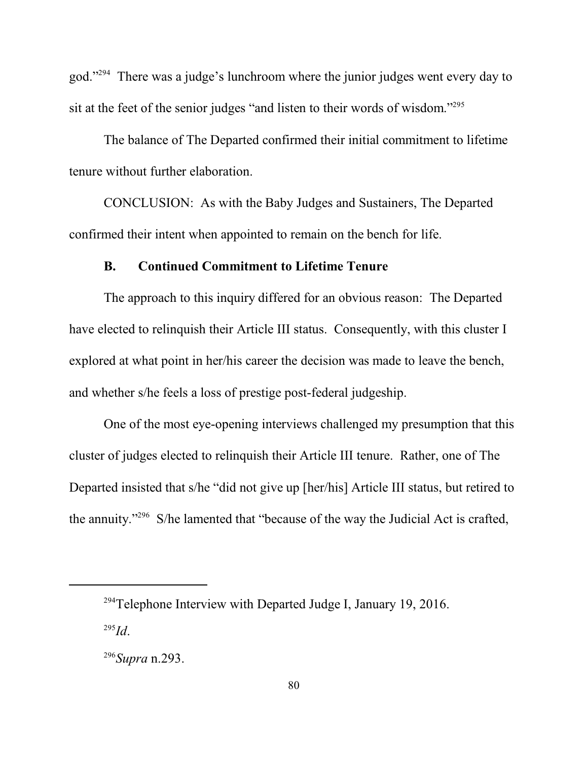god."<sup>294</sup> There was a judge's lunchroom where the junior judges went every day to sit at the feet of the senior judges "and listen to their words of wisdom."<sup>295</sup>

The balance of The Departed confirmed their initial commitment to lifetime tenure without further elaboration.

CONCLUSION: As with the Baby Judges and Sustainers, The Departed confirmed their intent when appointed to remain on the bench for life.

### **B. Continued Commitment to Lifetime Tenure**

The approach to this inquiry differed for an obvious reason: The Departed have elected to relinquish their Article III status. Consequently, with this cluster I explored at what point in her/his career the decision was made to leave the bench, and whether s/he feels a loss of prestige post-federal judgeship.

One of the most eye-opening interviews challenged my presumption that this cluster of judges elected to relinquish their Article III tenure. Rather, one of The Departed insisted that s/he "did not give up [her/his] Article III status, but retired to the annuity."<sup>296</sup> S/he lamented that "because of the way the Judicial Act is crafted,

 $294$ Telephone Interview with Departed Judge I, January 19, 2016.

<sup>295</sup> *Id*.

<sup>296</sup> *Supra* n.293.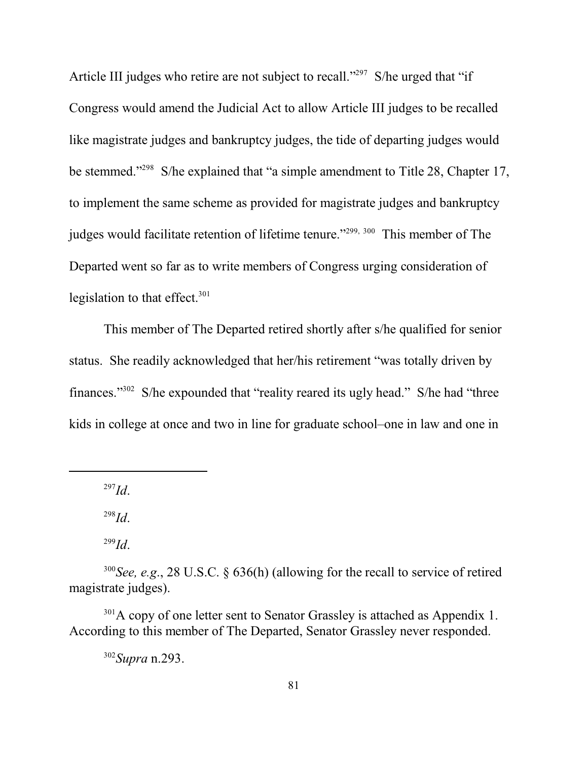Article III judges who retire are not subject to recall."<sup>297</sup> S/he urged that "if Congress would amend the Judicial Act to allow Article III judges to be recalled like magistrate judges and bankruptcy judges, the tide of departing judges would be stemmed."<sup>298</sup> S/he explained that "a simple amendment to Title 28, Chapter 17, to implement the same scheme as provided for magistrate judges and bankruptcy judges would facilitate retention of lifetime tenure."<sup>299, 300</sup> This member of The Departed went so far as to write members of Congress urging consideration of legislation to that effect.<sup>301</sup>

This member of The Departed retired shortly after s/he qualified for senior status. She readily acknowledged that her/his retirement "was totally driven by finances."<sup>302</sup> S/he expounded that "reality reared its ugly head." S/he had "three kids in college at once and two in line for graduate school–one in law and one in

297 *Id*.

298 *Id*.

299 *Id*.

 $301A$  copy of one letter sent to Senator Grassley is attached as Appendix 1. According to this member of The Departed, Senator Grassley never responded.

302 *Supra* n.293.

<sup>300</sup> *See, e.g*., 28 U.S.C. § 636(h) (allowing for the recall to service of retired magistrate judges).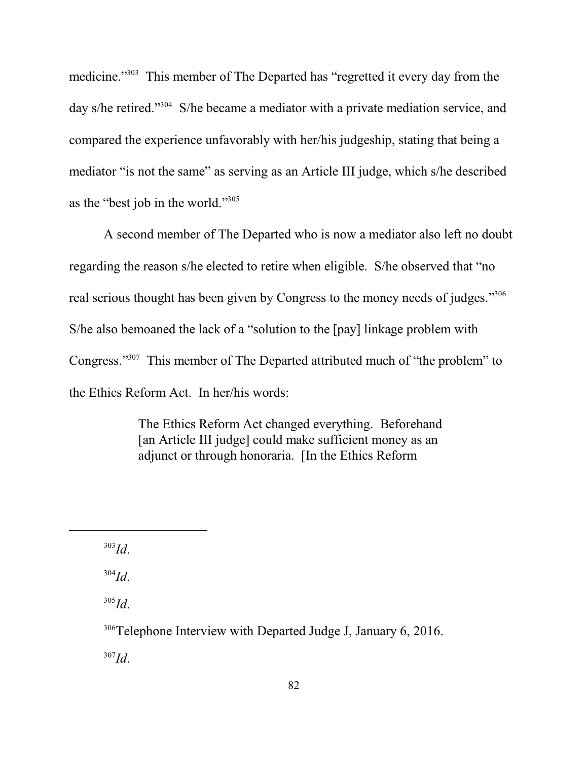medicine."<sup>303</sup> This member of The Departed has "regretted it every day from the day s/he retired."<sup>304</sup> S/he became a mediator with a private mediation service, and compared the experience unfavorably with her/his judgeship, stating that being a mediator "is not the same" as serving as an Article III judge, which s/he described as the "best job in the world."<sup>305</sup>

A second member of The Departed who is now a mediator also left no doubt regarding the reason s/he elected to retire when eligible. S/he observed that "no real serious thought has been given by Congress to the money needs of judges."<sup>306</sup> S/he also bemoaned the lack of a "solution to the [pay] linkage problem with Congress."<sup>307</sup> This member of The Departed attributed much of "the problem" to the Ethics Reform Act. In her/his words:

> The Ethics Reform Act changed everything. Beforehand [an Article III judge] could make sufficient money as an adjunct or through honoraria. [In the Ethics Reform

303 *Id*.

304 *Id*.

305 *Id*.

<sup>306</sup>Telephone Interview with Departed Judge J, January 6, 2016. 307 *Id*.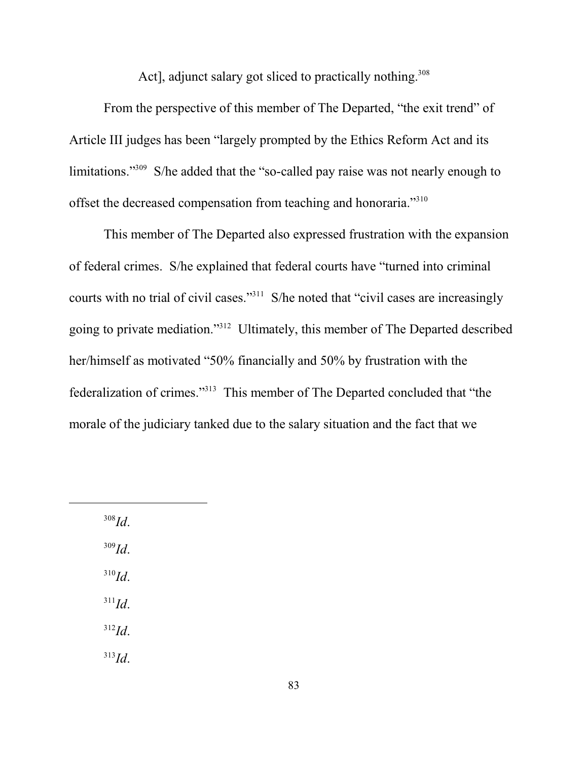Act], adjunct salary got sliced to practically nothing.<sup>308</sup>

From the perspective of this member of The Departed, "the exit trend" of Article III judges has been "largely prompted by the Ethics Reform Act and its limitations."<sup>309</sup> S/he added that the "so-called pay raise was not nearly enough to offset the decreased compensation from teaching and honoraria."<sup>310</sup>

This member of The Departed also expressed frustration with the expansion of federal crimes. S/he explained that federal courts have "turned into criminal courts with no trial of civil cases."<sup>311</sup> S/he noted that "civil cases are increasingly going to private mediation."<sup>312</sup> Ultimately, this member of The Departed described her/himself as motivated "50% financially and 50% by frustration with the federalization of crimes."<sup>313</sup> This member of The Departed concluded that "the morale of the judiciary tanked due to the salary situation and the fact that we

308 *Id*. 309 *Id*. 310 *Id*. 311 *Id*. 312 *Id*. 313 *Id*.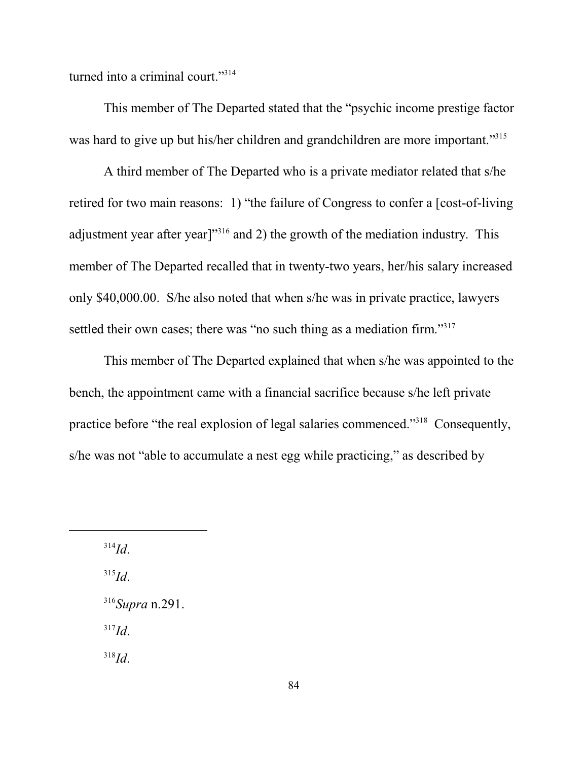turned into a criminal court."<sup>314</sup>

This member of The Departed stated that the "psychic income prestige factor was hard to give up but his/her children and grandchildren are more important."<sup>315</sup>

A third member of The Departed who is a private mediator related that s/he retired for two main reasons: 1) "the failure of Congress to confer a [cost-of-living adjustment year after year]"<sup>316</sup> and 2) the growth of the mediation industry. This member of The Departed recalled that in twenty-two years, her/his salary increased only \$40,000.00. S/he also noted that when s/he was in private practice, lawyers settled their own cases; there was "no such thing as a mediation firm."<sup>317</sup>

This member of The Departed explained that when s/he was appointed to the bench, the appointment came with a financial sacrifice because s/he left private practice before "the real explosion of legal salaries commenced."<sup>318</sup> Consequently, s/he was not "able to accumulate a nest egg while practicing," as described by

314 *Id*.

315 *Id*.

316 *Supra* n.291.

317 *Id*.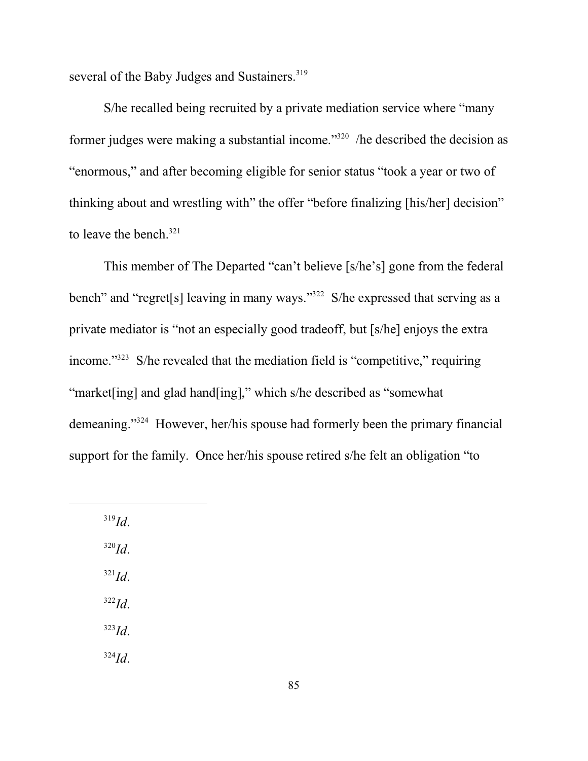several of the Baby Judges and Sustainers.<sup>319</sup>

S/he recalled being recruited by a private mediation service where "many former judges were making a substantial income."<sup>320</sup> /he described the decision as "enormous," and after becoming eligible for senior status "took a year or two of thinking about and wrestling with" the offer "before finalizing [his/her] decision" to leave the bench.<sup>321</sup>

This member of The Departed "can't believe [s/he's] gone from the federal bench" and "regret[s] leaving in many ways."<sup>322</sup> S/he expressed that serving as a private mediator is "not an especially good tradeoff, but [s/he] enjoys the extra income." 323 S/he revealed that the mediation field is "competitive," requiring "market[ing] and glad hand[ing]," which s/he described as "somewhat demeaning."<sup>324</sup> However, her/his spouse had formerly been the primary financial support for the family. Once her/his spouse retired s/he felt an obligation "to

319 *Id*. 320 *Id*. 321 *Id*. 322 *Id*. 323 *Id*. 324 *Id*.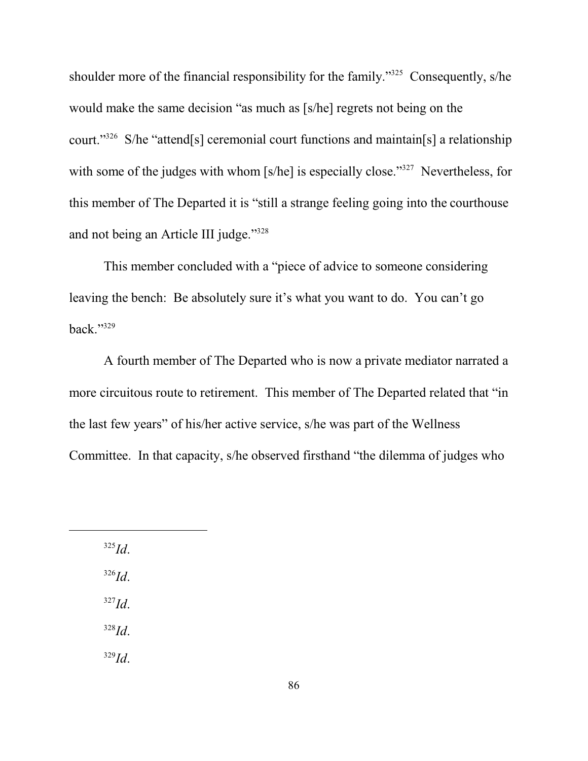shoulder more of the financial responsibility for the family."<sup>325</sup> Consequently, s/he would make the same decision "as much as [s/he] regrets not being on the court."<sup>326</sup> S/he "attend[s] ceremonial court functions and maintain[s] a relationship with some of the judges with whom [s/he] is especially close."<sup>327</sup> Nevertheless, for this member of The Departed it is "still a strange feeling going into the courthouse and not being an Article III judge."<sup>328</sup>

This member concluded with a "piece of advice to someone considering leaving the bench: Be absolutely sure it's what you want to do. You can't go back." $329$ 

A fourth member of The Departed who is now a private mediator narrated a more circuitous route to retirement. This member of The Departed related that "in the last few years" of his/her active service, s/he was part of the Wellness Committee. In that capacity, s/he observed firsthand "the dilemma of judges who

325 *Id*. 326 *Id*. 327 *Id*. 328 *Id*. 329 *Id*.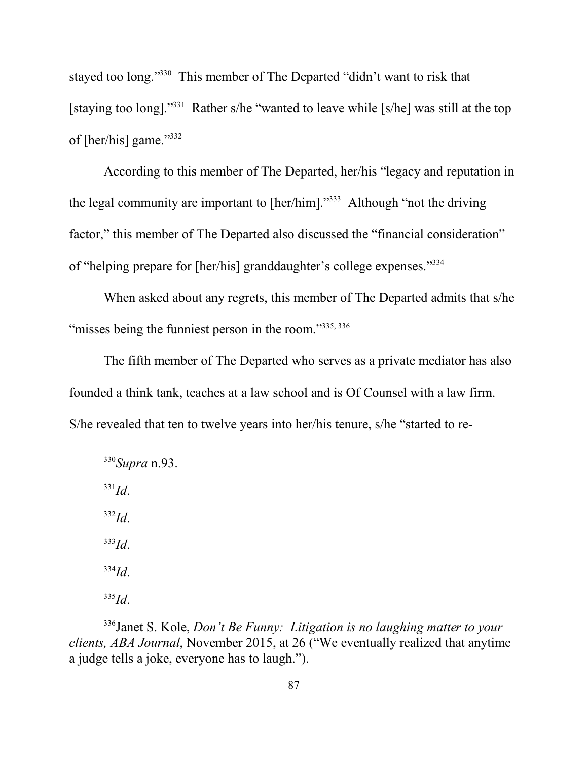stayed too long."<sup>330</sup> This member of The Departed "didn't want to risk that [staying too long]."<sup>331</sup> Rather s/he "wanted to leave while [s/he] was still at the top of [her/his] game."<sup>332</sup>

According to this member of The Departed, her/his "legacy and reputation in the legal community are important to [her/him]."<sup>333</sup> Although "not the driving factor," this member of The Departed also discussed the "financial consideration" of "helping prepare for [her/his] granddaughter's college expenses."<sup>334</sup>

When asked about any regrets, this member of The Departed admits that s/he "misses being the funniest person in the room."335, 336

The fifth member of The Departed who serves as a private mediator has also founded a think tank, teaches at a law school and is Of Counsel with a law firm. S/he revealed that ten to twelve years into her/his tenure, s/he "started to re-

330 *Supra* n.93. 331 *Id*. 332 *Id*. 333 *Id*. 334 *Id*. 335 *Id*.

336 Janet S. Kole, *Don't Be Funny: Litigation is no laughing matter to your clients, ABA Journal*, November 2015, at 26 ("We eventually realized that anytime a judge tells a joke, everyone has to laugh.").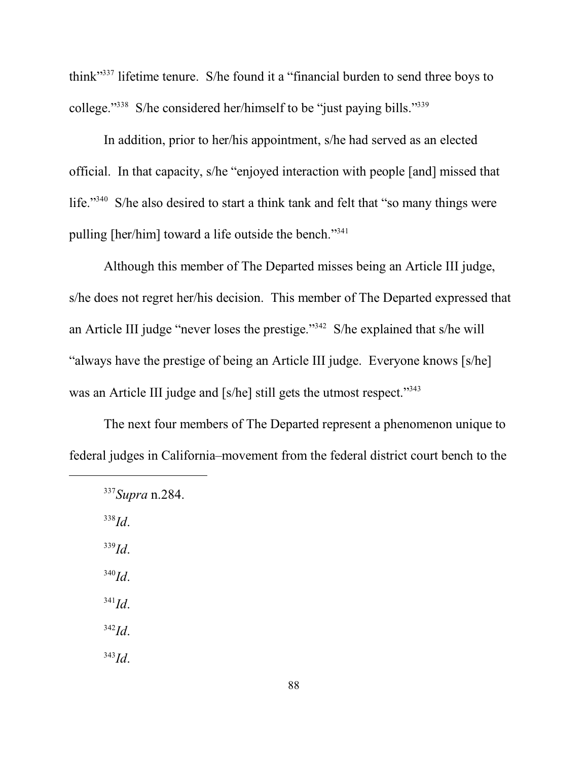think"<sup>337</sup> lifetime tenure. S/he found it a "financial burden to send three boys to college."<sup>338</sup> S/he considered her/himself to be "just paying bills."<sup>339</sup>

In addition, prior to her/his appointment, s/he had served as an elected official. In that capacity, s/he "enjoyed interaction with people [and] missed that life."<sup>340</sup> S/he also desired to start a think tank and felt that "so many things were pulling [her/him] toward a life outside the bench."<sup>341</sup>

Although this member of The Departed misses being an Article III judge, s/he does not regret her/his decision. This member of The Departed expressed that an Article III judge "never loses the prestige."<sup>342</sup> S/he explained that s/he will "always have the prestige of being an Article III judge. Everyone knows [s/he] was an Article III judge and [s/he] still gets the utmost respect."<sup>343</sup>

The next four members of The Departed represent a phenomenon unique to federal judges in California–movement from the federal district court bench to the

338 *Id*. 339 *Id*. 340 *Id*. 341 *Id*. 342 *Id*. 343 *Id*.

<sup>337</sup> *Supra* n.284.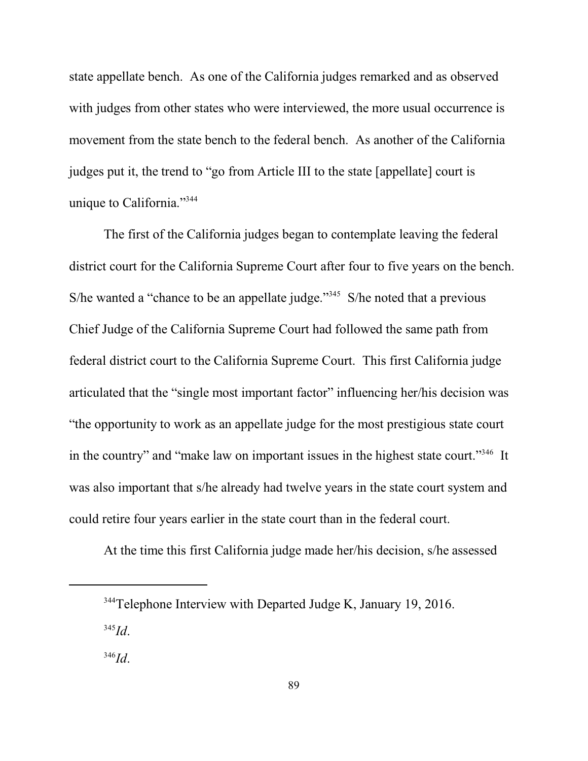state appellate bench. As one of the California judges remarked and as observed with judges from other states who were interviewed, the more usual occurrence is movement from the state bench to the federal bench. As another of the California judges put it, the trend to "go from Article III to the state [appellate] court is unique to California."<sup>344</sup>

The first of the California judges began to contemplate leaving the federal district court for the California Supreme Court after four to five years on the bench. S/he wanted a "chance to be an appellate judge."<sup>345</sup> S/he noted that a previous Chief Judge of the California Supreme Court had followed the same path from federal district court to the California Supreme Court. This first California judge articulated that the "single most important factor" influencing her/his decision was "the opportunity to work as an appellate judge for the most prestigious state court in the country" and "make law on important issues in the highest state court."<sup>346</sup> It was also important that s/he already had twelve years in the state court system and could retire four years earlier in the state court than in the federal court.

At the time this first California judge made her/his decision, s/he assessed

345 *Id*.

<sup>&</sup>lt;sup>344</sup>Telephone Interview with Departed Judge K, January 19, 2016.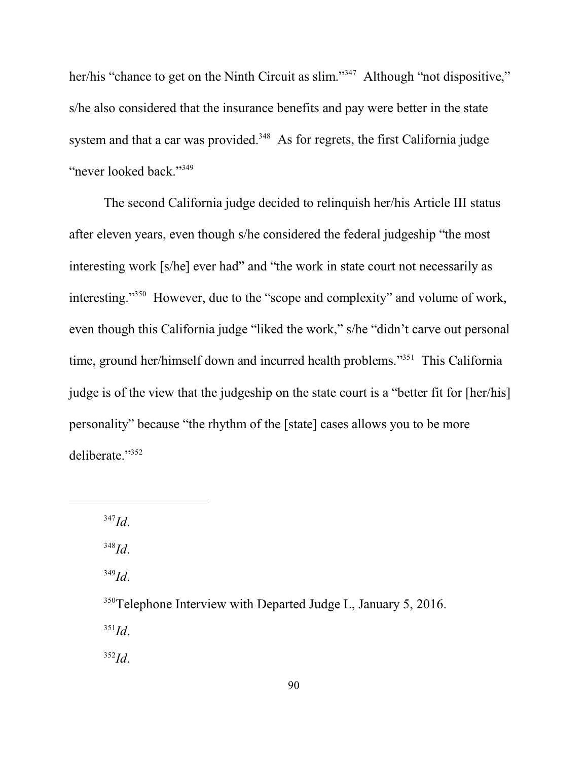her/his "chance to get on the Ninth Circuit as slim."<sup>347</sup> Although "not dispositive," s/he also considered that the insurance benefits and pay were better in the state system and that a car was provided.<sup>348</sup> As for regrets, the first California judge "never looked back."<sup>349</sup>

The second California judge decided to relinquish her/his Article III status after eleven years, even though s/he considered the federal judgeship "the most interesting work [s/he] ever had" and "the work in state court not necessarily as interesting."<sup>350</sup> However, due to the "scope and complexity" and volume of work, even though this California judge "liked the work," s/he "didn't carve out personal time, ground her/himself down and incurred health problems."<sup>351</sup> This California judge is of the view that the judgeship on the state court is a "better fit for [her/his] personality" because "the rhythm of the [state] cases allows you to be more deliberate."<sup>352</sup>

347 *Id*.

348 *Id*.

349 *Id*.

<sup>350</sup>Telephone Interview with Departed Judge L, January 5, 2016. 351 *Id*. 352 *Id*.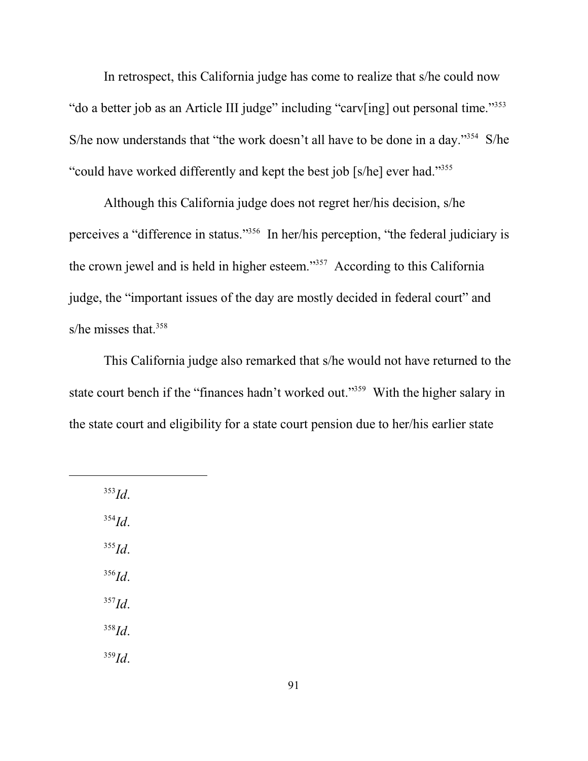In retrospect, this California judge has come to realize that s/he could now "do a better job as an Article III judge" including "carv[ing] out personal time."<sup>353</sup> S/he now understands that "the work doesn't all have to be done in a day."<sup>354</sup> S/he "could have worked differently and kept the best job [s/he] ever had."<sup>355</sup>

Although this California judge does not regret her/his decision, s/he perceives a "difference in status."<sup>356</sup> In her/his perception, "the federal judiciary is the crown jewel and is held in higher esteem."<sup>357</sup> According to this California judge, the "important issues of the day are mostly decided in federal court" and s/he misses that.<sup>358</sup>

This California judge also remarked that s/he would not have returned to the state court bench if the "finances hadn't worked out."<sup>359</sup> With the higher salary in the state court and eligibility for a state court pension due to her/his earlier state

353 *Id*.

354 *Id*.

355 *Id*.

356 *Id*.

357 *Id*. 358 *Id*.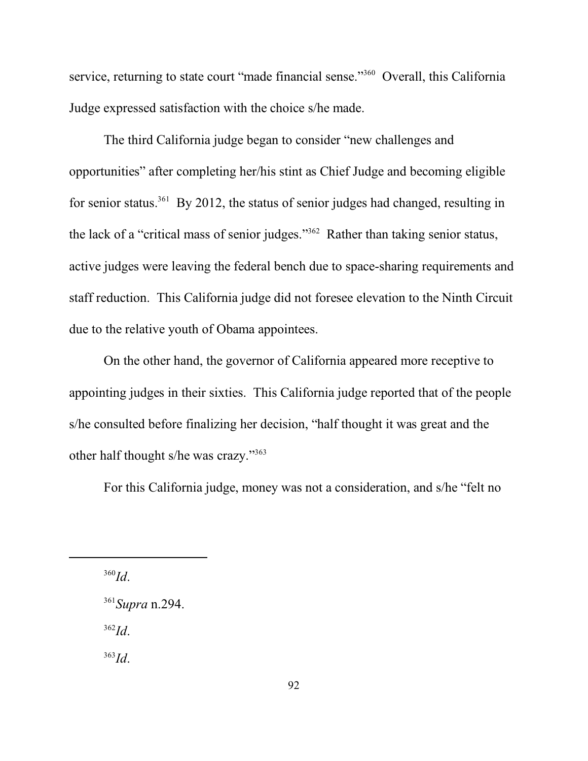service, returning to state court "made financial sense."<sup>360</sup> Overall, this California Judge expressed satisfaction with the choice s/he made.

The third California judge began to consider "new challenges and opportunities" after completing her/his stint as Chief Judge and becoming eligible for senior status.<sup>361</sup> By 2012, the status of senior judges had changed, resulting in the lack of a "critical mass of senior judges."<sup>362</sup> Rather than taking senior status, active judges were leaving the federal bench due to space-sharing requirements and staff reduction. This California judge did not foresee elevation to the Ninth Circuit due to the relative youth of Obama appointees.

On the other hand, the governor of California appeared more receptive to appointing judges in their sixties. This California judge reported that of the people s/he consulted before finalizing her decision, "half thought it was great and the other half thought s/he was crazy."<sup>363</sup>

For this California judge, money was not a consideration, and s/he "felt no

360 *Id*.

361 *Supra* n.294. 362 *Id*.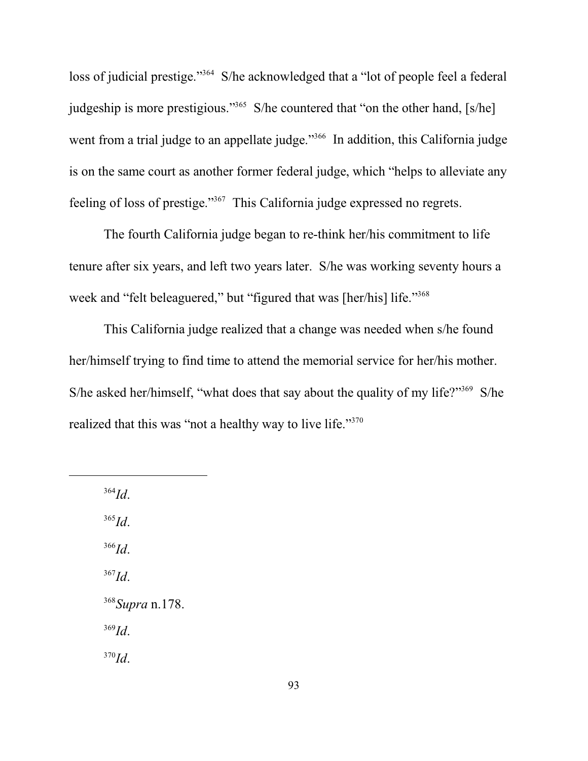loss of judicial prestige."<sup>364</sup> S/he acknowledged that a "lot of people feel a federal judgeship is more prestigious."<sup>365</sup> S/he countered that "on the other hand, [s/he] went from a trial judge to an appellate judge."<sup>366</sup> In addition, this California judge is on the same court as another former federal judge, which "helps to alleviate any feeling of loss of prestige."<sup>367</sup> This California judge expressed no regrets.

The fourth California judge began to re-think her/his commitment to life tenure after six years, and left two years later. S/he was working seventy hours a week and "felt beleaguered," but "figured that was [her/his] life."<sup>368</sup>

This California judge realized that a change was needed when s/he found her/himself trying to find time to attend the memorial service for her/his mother. S/he asked her/himself, "what does that say about the quality of my life?"<sup>369</sup> S/he realized that this was "not a healthy way to live life."<sup>370</sup>

364 *Id*. 365 *Id*. 366 *Id*. 367 *Id*. 368 *Supra* n.178. 369 *Id*. 370 *Id*.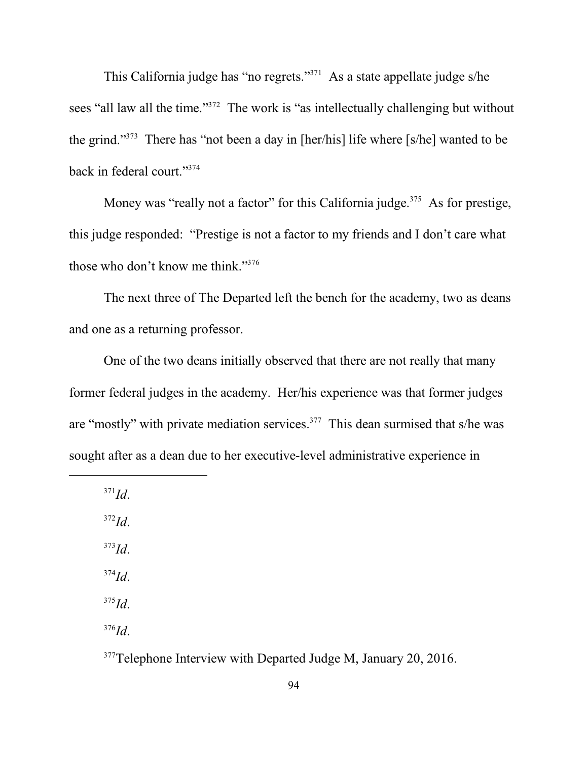This California judge has "no regrets."<sup>371</sup> As a state appellate judge s/he sees "all law all the time."<sup>372</sup> The work is "as intellectually challenging but without the grind."<sup>373</sup> There has "not been a day in [her/his] life where [s/he] wanted to be back in federal court."<sup>374</sup>

Money was "really not a factor" for this California judge.<sup>375</sup> As for prestige, this judge responded: "Prestige is not a factor to my friends and I don't care what those who don't know me think."<sup>376</sup>

The next three of The Departed left the bench for the academy, two as deans and one as a returning professor.

One of the two deans initially observed that there are not really that many former federal judges in the academy. Her/his experience was that former judges are "mostly" with private mediation services.<sup>377</sup> This dean surmised that s/he was sought after as a dean due to her executive-level administrative experience in

371 *Id*.

372 *Id*. 373 *Id*. 374 *Id*. 375 *Id*.

376 *Id*.

<sup>377</sup>Telephone Interview with Departed Judge M, January 20, 2016.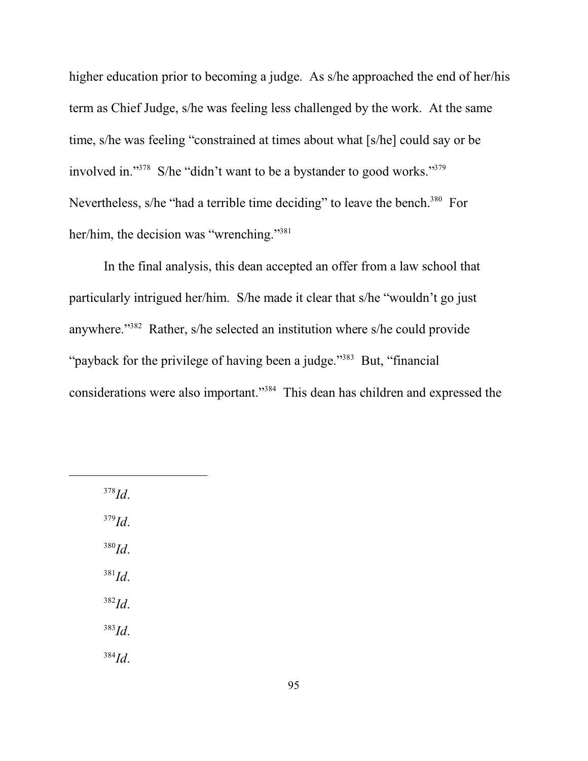higher education prior to becoming a judge. As s/he approached the end of her/his term as Chief Judge, s/he was feeling less challenged by the work. At the same time, s/he was feeling "constrained at times about what [s/he] could say or be involved in."<sup>378</sup> S/he "didn't want to be a bystander to good works."<sup>379</sup> Nevertheless, s/he "had a terrible time deciding" to leave the bench.<sup>380</sup> For her/him, the decision was "wrenching."<sup>381</sup>

In the final analysis, this dean accepted an offer from a law school that particularly intrigued her/him. S/he made it clear that s/he "wouldn't go just anywhere."<sup>382</sup> Rather, s/he selected an institution where s/he could provide "payback for the privilege of having been a judge."<sup>383</sup> But, "financial" considerations were also important."<sup>384</sup> This dean has children and expressed the

378 *Id*.

379 *Id*.

380 *Id*.

381 *Id*. 382 *Id*.

383 *Id*.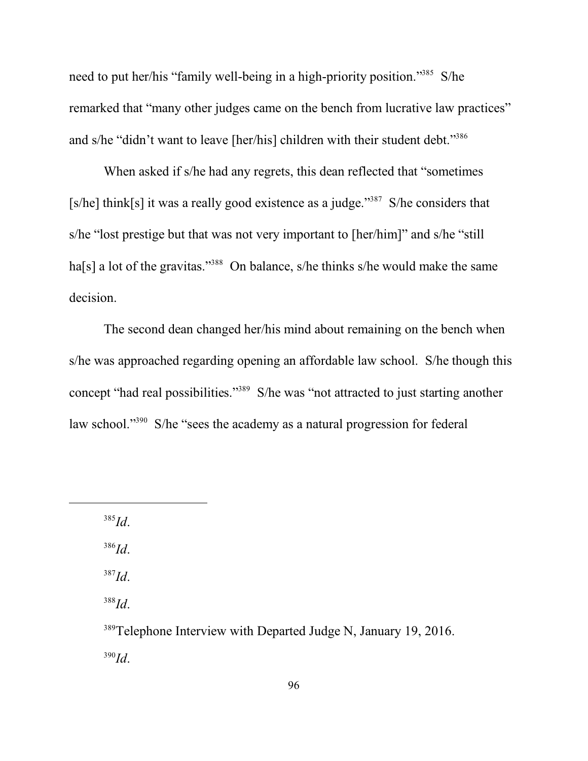need to put her/his "family well-being in a high-priority position."<sup>385</sup> S/he remarked that "many other judges came on the bench from lucrative law practices" and s/he "didn't want to leave [her/his] children with their student debt."<sup>386</sup>

When asked if s/he had any regrets, this dean reflected that "sometimes [s/he] think[s] it was a really good existence as a judge."<sup>387</sup> S/he considers that s/he "lost prestige but that was not very important to [her/him]" and s/he "still ha[s] a lot of the gravitas."<sup>388</sup> On balance, s/he thinks s/he would make the same decision.

The second dean changed her/his mind about remaining on the bench when s/he was approached regarding opening an affordable law school. S/he though this concept "had real possibilities."<sup>389</sup> S/he was "not attracted to just starting another law school."<sup>390</sup> S/he "sees the academy as a natural progression for federal

385 *Id*.

386 *Id*.

387 *Id*.

388 *Id*.

<sup>389</sup>Telephone Interview with Departed Judge N, January 19, 2016. 390 *Id*.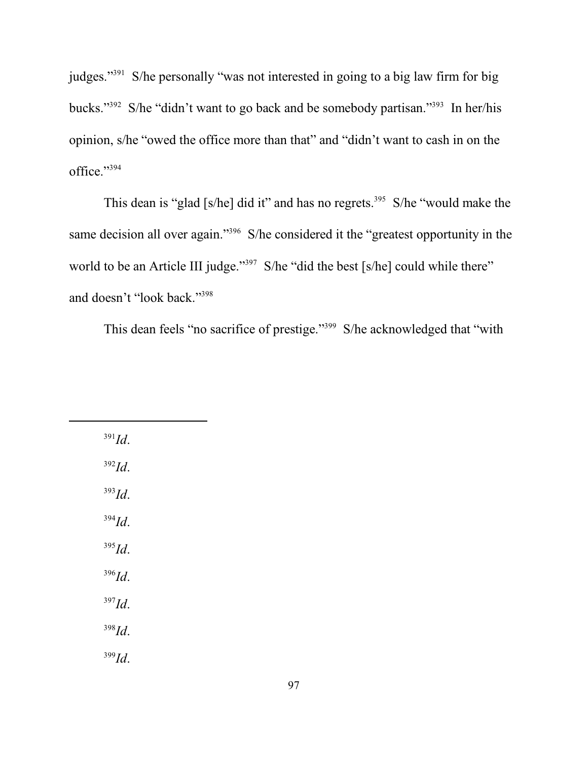judges."<sup>391</sup> S/he personally "was not interested in going to a big law firm for big bucks."<sup>392</sup> S/he "didn't want to go back and be somebody partisan."<sup>393</sup> In her/his opinion, s/he "owed the office more than that" and "didn't want to cash in on the office." 394

This dean is "glad [s/he] did it" and has no regrets.<sup>395</sup> S/he "would make the same decision all over again."<sup>396</sup> S/he considered it the "greatest opportunity in the world to be an Article III judge."<sup>397</sup> S/he "did the best [s/he] could while there" and doesn't "look back."<sup>398</sup>

This dean feels "no sacrifice of prestige."<sup>399</sup> S/he acknowledged that "with

| $391$ <i>Id.</i> |
|------------------|
| $392$ <i>Id.</i> |
| $393$ Id.        |
| $394$ <i>Id.</i> |
| $395$ Id.        |
| $396$ <i>Id.</i> |
| $397$ Id.        |
| $398$ <i>Id.</i> |
| $399$ Id.        |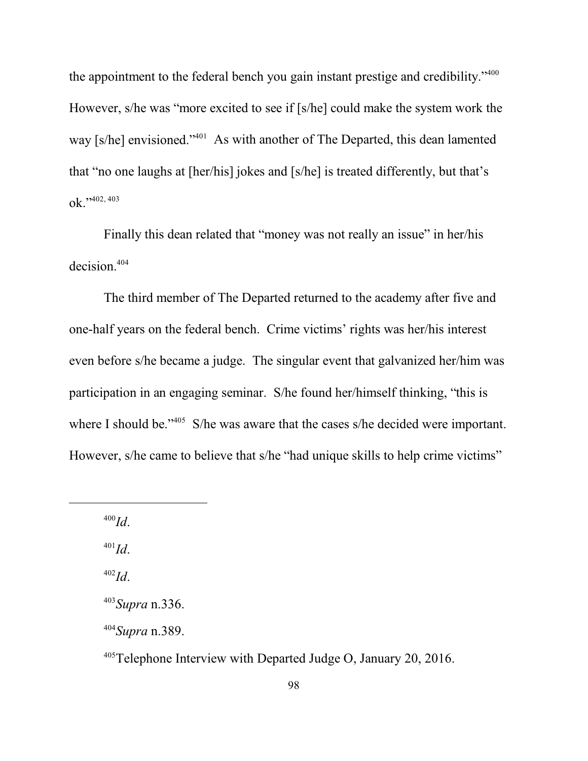the appointment to the federal bench you gain instant prestige and credibility."<sup>400</sup> However, s/he was "more excited to see if [s/he] could make the system work the way [s/he] envisioned."<sup>401</sup> As with another of The Departed, this dean lamented that "no one laughs at [her/his] jokes and [s/he] is treated differently, but that's ok."3402, 403

Finally this dean related that "money was not really an issue" in her/his decision.<sup>404</sup>

The third member of The Departed returned to the academy after five and one-half years on the federal bench. Crime victims' rights was her/his interest even before s/he became a judge. The singular event that galvanized her/him was participation in an engaging seminar. S/he found her/himself thinking, "this is where I should be."<sup>405</sup> S/he was aware that the cases s/he decided were important. However, s/he came to believe that s/he "had unique skills to help crime victims"

400 *Id*.

401 *Id*.

402 *Id*.

404 *Supra* n.389.

<sup>405</sup>Telephone Interview with Departed Judge O, January 20, 2016.

<sup>403</sup> *Supra* n.336.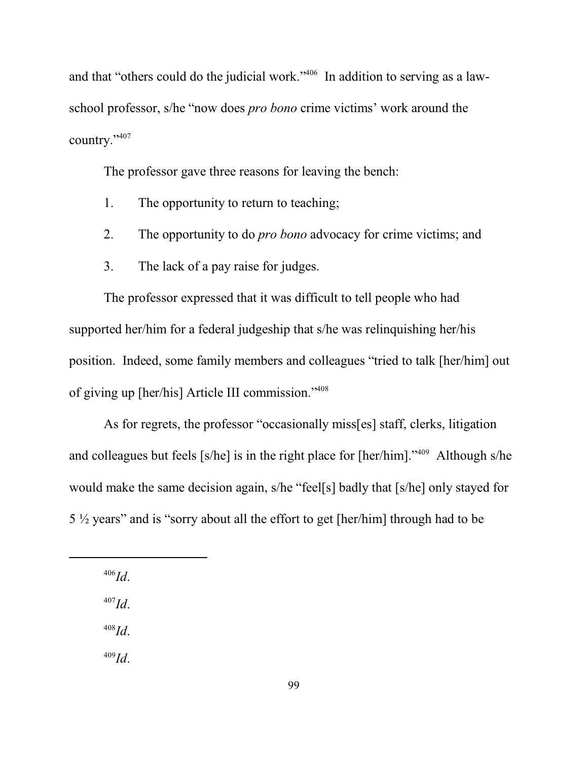and that "others could do the judicial work."<sup>406</sup> In addition to serving as a lawschool professor, s/he "now does *pro bono* crime victims' work around the country." 407

The professor gave three reasons for leaving the bench:

- 1. The opportunity to return to teaching;
- 2. The opportunity to do *pro bono* advocacy for crime victims; and
- 3. The lack of a pay raise for judges.

The professor expressed that it was difficult to tell people who had supported her/him for a federal judgeship that s/he was relinquishing her/his position. Indeed, some family members and colleagues "tried to talk [her/him] out of giving up [her/his] Article III commission."<sup>408</sup>

As for regrets, the professor "occasionally miss[es] staff, clerks, litigation and colleagues but feels [s/he] is in the right place for [her/him]."<sup>409</sup> Although s/he would make the same decision again, s/he "feel[s] badly that [s/he] only stayed for 5 ½ years" and is "sorry about all the effort to get [her/him] through had to be

406 *Id*.

407 *Id*.

408 *Id*.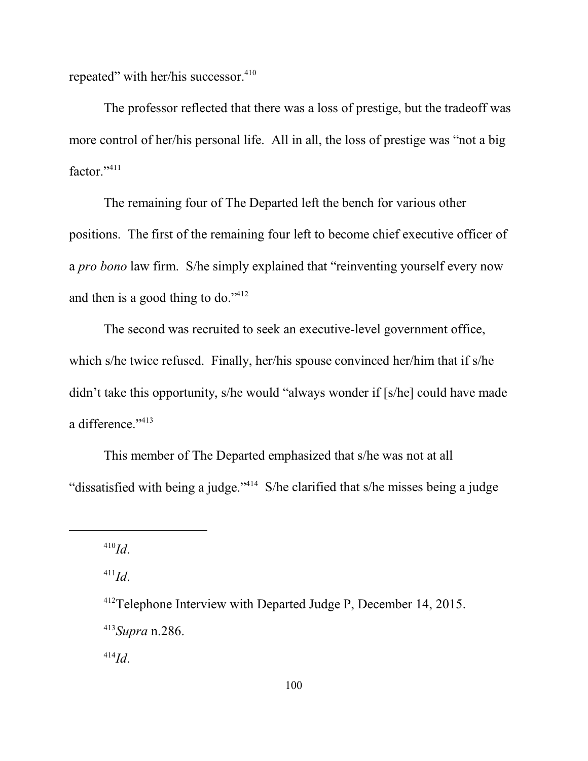repeated" with her/his successor.<sup>410</sup>

The professor reflected that there was a loss of prestige, but the tradeoff was more control of her/his personal life. All in all, the loss of prestige was "not a big factor."<sup>411</sup>

The remaining four of The Departed left the bench for various other positions. The first of the remaining four left to become chief executive officer of a *pro bono* law firm. S/he simply explained that "reinventing yourself every now and then is a good thing to do." $412$ 

The second was recruited to seek an executive-level government office, which s/he twice refused. Finally, her/his spouse convinced her/him that if s/he didn't take this opportunity, s/he would "always wonder if [s/he] could have made a difference."<sup>413</sup>

This member of The Departed emphasized that s/he was not at all "dissatisfied with being a judge."<sup>414</sup> S/he clarified that s/he misses being a judge

410 *Id*.

411 *Id*.

<sup>412</sup>Telephone Interview with Departed Judge P, December 14, 2015. 413 *Supra* n.286.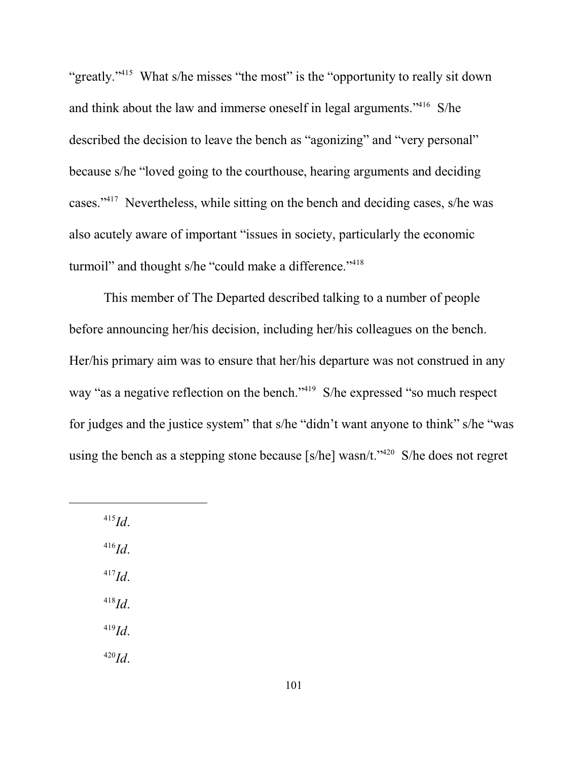"greatly."<sup>415</sup> What s/he misses "the most" is the "opportunity to really sit down and think about the law and immerse oneself in legal arguments."<sup>416</sup> S/he described the decision to leave the bench as "agonizing" and "very personal" because s/he "loved going to the courthouse, hearing arguments and deciding cases."<sup>417</sup> Nevertheless, while sitting on the bench and deciding cases, s/he was also acutely aware of important "issues in society, particularly the economic turmoil" and thought s/he "could make a difference."<sup>418</sup>

This member of The Departed described talking to a number of people before announcing her/his decision, including her/his colleagues on the bench. Her/his primary aim was to ensure that her/his departure was not construed in any way "as a negative reflection on the bench."<sup>419</sup> S/he expressed "so much respect for judges and the justice system" that s/he "didn't want anyone to think" s/he "was using the bench as a stepping stone because [s/he] wasn/t."<sup>420</sup> S/he does not regret

415 *Id*. 416 *Id*. 417 *Id*. 418 *Id*. 419 *Id*. 420 *Id*.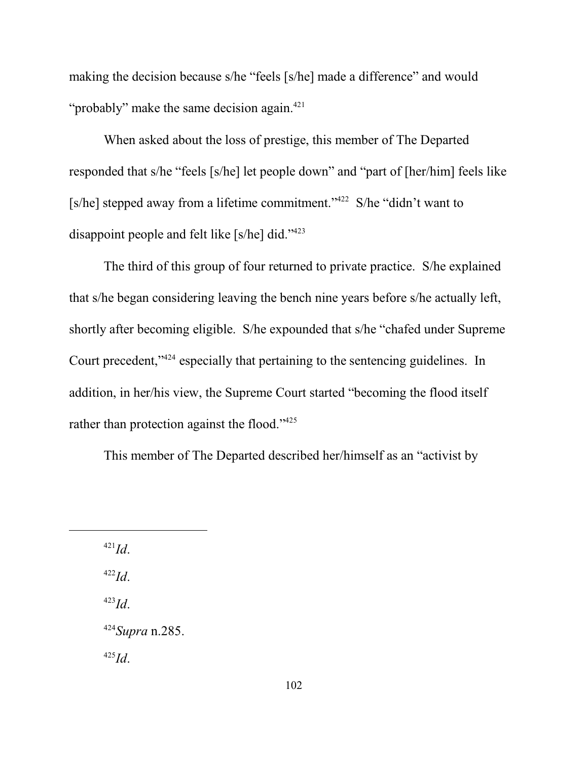making the decision because s/he "feels [s/he] made a difference" and would "probably" make the same decision again.<sup>421</sup>

When asked about the loss of prestige, this member of The Departed responded that s/he "feels [s/he] let people down" and "part of [her/him] feels like [s/he] stepped away from a lifetime commitment."<sup>422</sup> S/he "didn't want to disappoint people and felt like [s/he] did."<sup>423</sup>

The third of this group of four returned to private practice. S/he explained that s/he began considering leaving the bench nine years before s/he actually left, shortly after becoming eligible. S/he expounded that s/he "chafed under Supreme Court precedent,"<sup>424</sup> especially that pertaining to the sentencing guidelines. In addition, in her/his view, the Supreme Court started "becoming the flood itself rather than protection against the flood."<sup>425</sup>

This member of The Departed described her/himself as an "activist by

421 *Id*. 422 *Id*. 423 *Id*. 424 *Supra* n.285. 425 *Id*.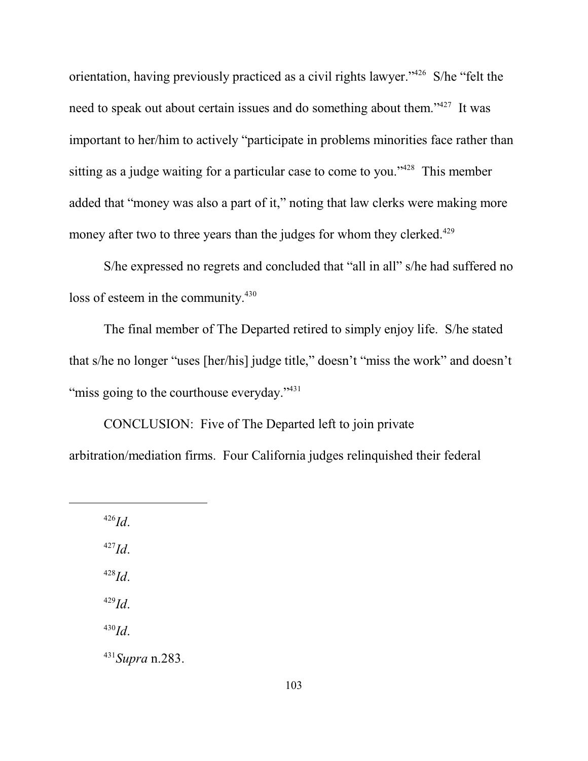orientation, having previously practiced as a civil rights lawyer."<sup>426</sup> S/he "felt the need to speak out about certain issues and do something about them."<sup>427</sup> It was important to her/him to actively "participate in problems minorities face rather than sitting as a judge waiting for a particular case to come to you."<sup>428</sup> This member added that "money was also a part of it," noting that law clerks were making more money after two to three years than the judges for whom they clerked.<sup>429</sup>

S/he expressed no regrets and concluded that "all in all" s/he had suffered no loss of esteem in the community.<sup>430</sup>

The final member of The Departed retired to simply enjoy life. S/he stated that s/he no longer "uses [her/his] judge title," doesn't "miss the work" and doesn't "miss going to the courthouse everyday."<sup>431</sup>

CONCLUSION: Five of The Departed left to join private arbitration/mediation firms. Four California judges relinquished their federal

426 *Id*. 427 *Id*.

428 *Id*.

429 *Id*.

430 *Id*.

431 *Supra* n.283.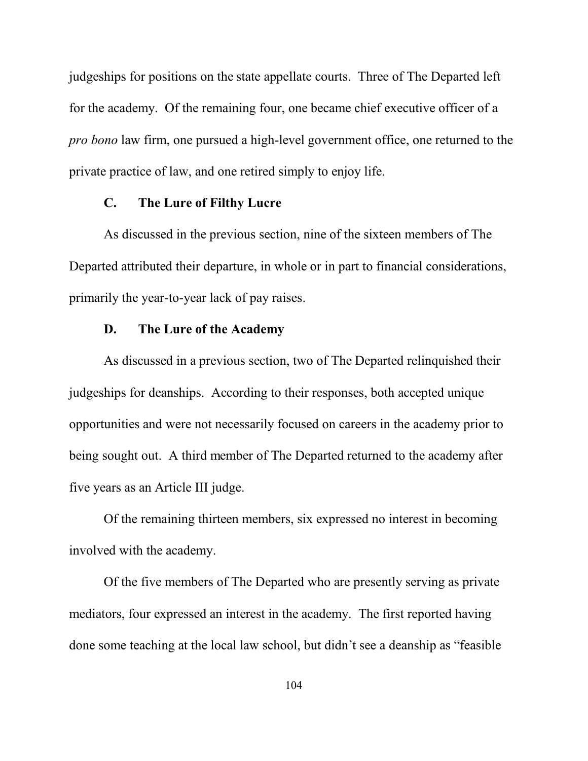judgeships for positions on the state appellate courts. Three of The Departed left for the academy. Of the remaining four, one became chief executive officer of a *pro bono* law firm, one pursued a high-level government office, one returned to the private practice of law, and one retired simply to enjoy life.

# **C. The Lure of Filthy Lucre**

As discussed in the previous section, nine of the sixteen members of The Departed attributed their departure, in whole or in part to financial considerations, primarily the year-to-year lack of pay raises.

# **D. The Lure of the Academy**

As discussed in a previous section, two of The Departed relinquished their judgeships for deanships. According to their responses, both accepted unique opportunities and were not necessarily focused on careers in the academy prior to being sought out. A third member of The Departed returned to the academy after five years as an Article III judge.

Of the remaining thirteen members, six expressed no interest in becoming involved with the academy.

Of the five members of The Departed who are presently serving as private mediators, four expressed an interest in the academy. The first reported having done some teaching at the local law school, but didn't see a deanship as "feasible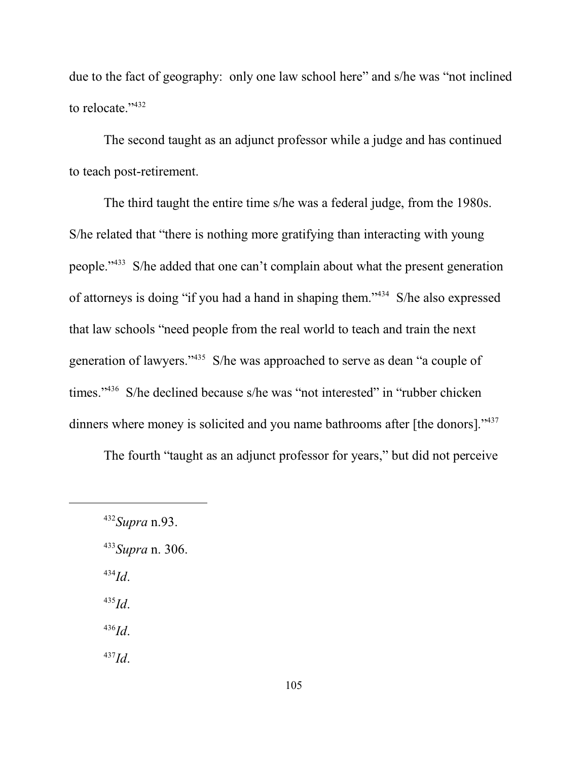due to the fact of geography: only one law school here" and s/he was "not inclined to relocate." 432

The second taught as an adjunct professor while a judge and has continued to teach post-retirement.

The third taught the entire time s/he was a federal judge, from the 1980s. S/he related that "there is nothing more gratifying than interacting with young people."<sup>433</sup> S/he added that one can't complain about what the present generation of attorneys is doing "if you had a hand in shaping them."<sup>434</sup> S/he also expressed that law schools "need people from the real world to teach and train the next generation of lawyers."<sup>435</sup> S/he was approached to serve as dean "a couple of times."<sup>436</sup> S/he declined because s/he was "not interested" in "rubber chicken dinners where money is solicited and you name bathrooms after [the donors]."<sup>437</sup>

The fourth "taught as an adjunct professor for years," but did not perceive

434 *Id*.

435 *Id*.

436 *Id*.

<sup>432</sup> *Supra* n.93.

<sup>433</sup> *Supra* n. 306.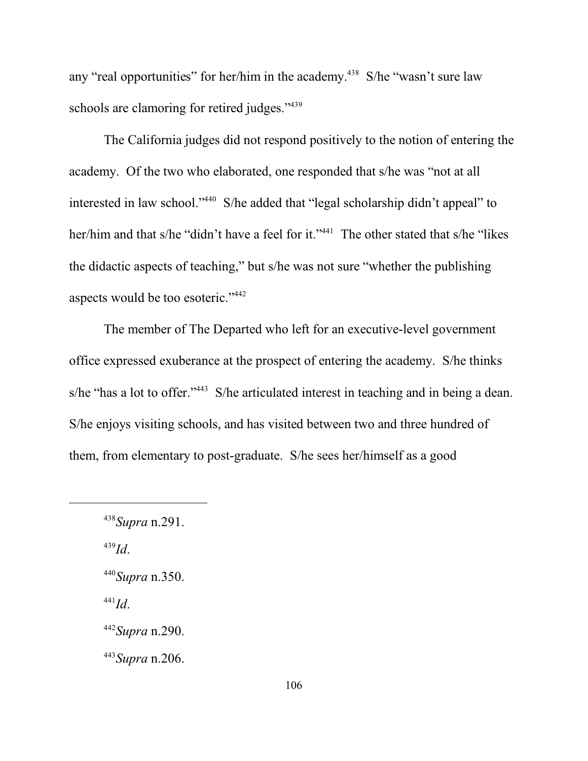any "real opportunities" for her/him in the academy.<sup>438</sup> S/he "wasn't sure law schools are clamoring for retired judges."<sup>439</sup>

The California judges did not respond positively to the notion of entering the academy. Of the two who elaborated, one responded that s/he was "not at all interested in law school."<sup>440</sup> S/he added that "legal scholarship didn't appeal" to her/him and that s/he "didn't have a feel for it."<sup>441</sup> The other stated that s/he "likes the didactic aspects of teaching," but s/he was not sure "whether the publishing aspects would be too esoteric."<sup>442</sup>

The member of The Departed who left for an executive-level government office expressed exuberance at the prospect of entering the academy. S/he thinks s/he "has a lot to offer."<sup>443</sup> S/he articulated interest in teaching and in being a dean. S/he enjoys visiting schools, and has visited between two and three hundred of them, from elementary to post-graduate. S/he sees her/himself as a good

439 *Id*.

441 *Id*.

443 *Supra* n.206.

<sup>438</sup> *Supra* n.291.

<sup>440</sup> *Supra* n.350.

<sup>442</sup> *Supra* n.290.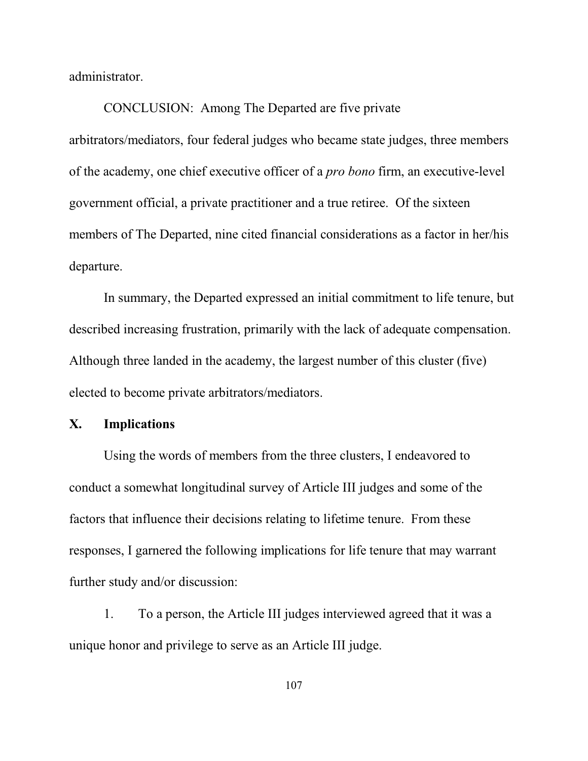administrator.

CONCLUSION: Among The Departed are five private arbitrators/mediators, four federal judges who became state judges, three members of the academy, one chief executive officer of a *pro bono* firm, an executive-level government official, a private practitioner and a true retiree. Of the sixteen members of The Departed, nine cited financial considerations as a factor in her/his departure.

In summary, the Departed expressed an initial commitment to life tenure, but described increasing frustration, primarily with the lack of adequate compensation. Although three landed in the academy, the largest number of this cluster (five) elected to become private arbitrators/mediators.

# **X. Implications**

Using the words of members from the three clusters, I endeavored to conduct a somewhat longitudinal survey of Article III judges and some of the factors that influence their decisions relating to lifetime tenure. From these responses, I garnered the following implications for life tenure that may warrant further study and/or discussion:

1. To a person, the Article III judges interviewed agreed that it was a unique honor and privilege to serve as an Article III judge.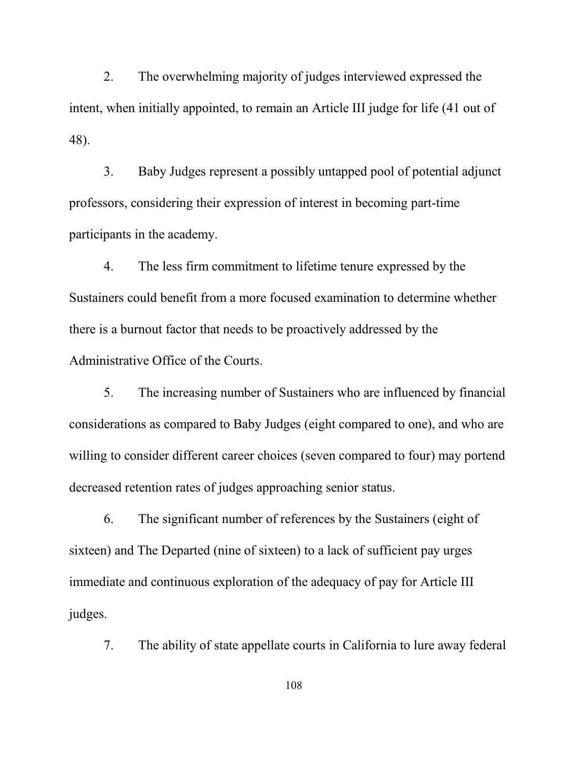2. The overwhelming majority of judges interviewed expressed the intent, when initially appointed, to remain an Article III judge for life (41 out of 48).

3. Baby Judges represent a possibly untapped pool of potential adjunct professors, considering their expression of interest in becoming part-time participants in the academy.

4. The less firm commitment to lifetime tenure expressed by the Sustainers could benefit from a more focused examination to determine whether there is a burnout factor that needs to be proactively addressed by the Administrative Office of the Courts.

5. The increasing number of Sustainers who are influenced by financial considerations as compared to Baby Judges (eight compared to one), and who are willing to consider different career choices (seven compared to four) may portend decreased retention rates of judges approaching senior status.

6. The significant number of references by the Sustainers (eight of sixteen) and The Departed (nine of sixteen) to a lack of sufficient pay urges immediate and continuous exploration of the adequacy of pay for Article III judges.

7. The ability of state appellate courts in California to lure away federal

108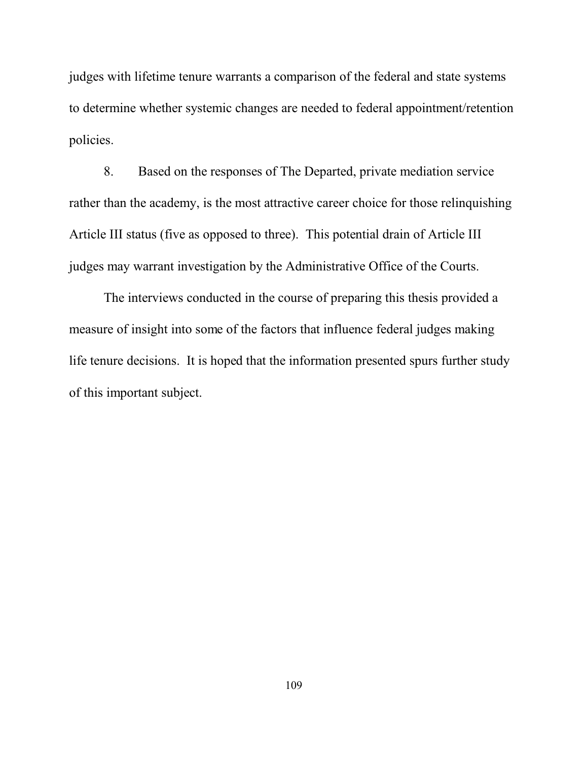judges with lifetime tenure warrants a comparison of the federal and state systems to determine whether systemic changes are needed to federal appointment/retention policies.

8. Based on the responses of The Departed, private mediation service rather than the academy, is the most attractive career choice for those relinquishing Article III status (five as opposed to three). This potential drain of Article III judges may warrant investigation by the Administrative Office of the Courts.

The interviews conducted in the course of preparing this thesis provided a measure of insight into some of the factors that influence federal judges making life tenure decisions. It is hoped that the information presented spurs further study of this important subject.